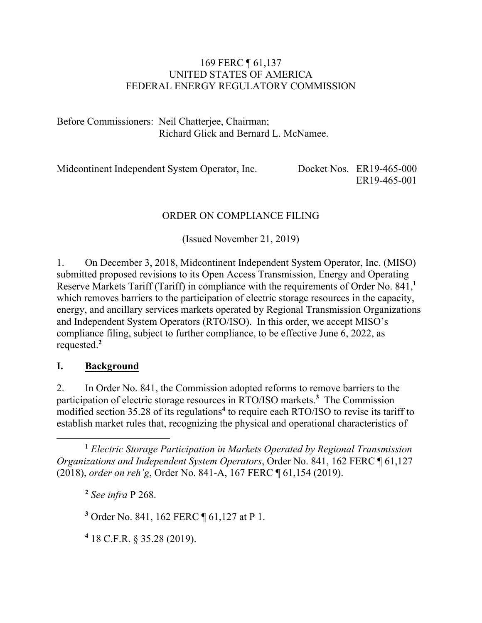### 169 FERC ¶ 61,137 UNITED STATES OF AMERICA FEDERAL ENERGY REGULATORY COMMISSION

Before Commissioners: Neil Chatterjee, Chairman; Richard Glick and Bernard L. McNamee.

| Midcontinent Independent System Operator, Inc. | Docket Nos. ER19-465-000 |
|------------------------------------------------|--------------------------|
|                                                | ER19-465-001             |

## ORDER ON COMPLIANCE FILING

(Issued November 21, 2019)

1. On December 3, 2018, Midcontinent Independent System Operator, Inc. (MISO) submitted proposed revisions to its Open Access Transmission, Energy and Operating Reserve Markets Tariff (Tariff) in compliance with the requirements of Order No. 841,**<sup>1</sup>** which removes barriers to the participation of electric storage resources in the capacity, energy, and ancillary services markets operated by Regional Transmission Organizations and Independent System Operators (RTO/ISO). In this order, we accept MISO's compliance filing, subject to further compliance, to be effective June 6, 2022, as requested.**<sup>2</sup>**

### **I. Background**

2. In Order No. 841, the Commission adopted reforms to remove barriers to the participation of electric storage resources in RTO/ISO markets.**<sup>3</sup>** The Commission modified section 35.28 of its regulations**<sup>4</sup>** to require each RTO/ISO to revise its tariff to establish market rules that, recognizing the physical and operational characteristics of

 $\overline{a}$ **<sup>1</sup>** *Electric Storage Participation in Markets Operated by Regional Transmission Organizations and Independent System Operators*, Order No. 841, 162 FERC ¶ 61,127 (2018), *order on reh'g*, Order No. 841-A, 167 FERC ¶ 61,154 (2019).

**<sup>2</sup>** *See infra* P 268.

**3** Order No. 841, 162 FERC ¶ 61,127 at P 1.

**4** 18 C.F.R. § 35.28 (2019).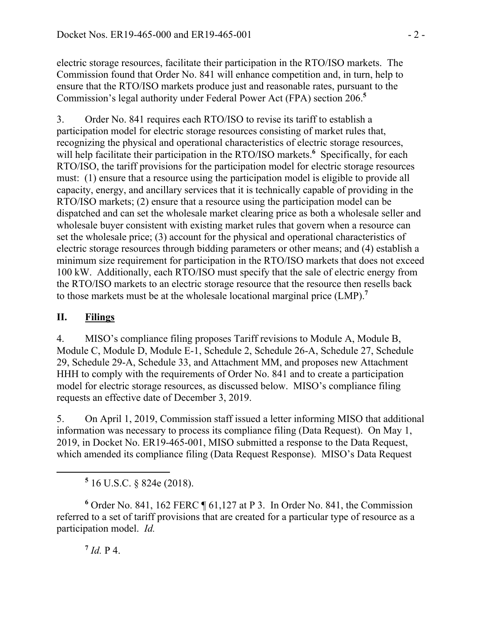electric storage resources, facilitate their participation in the RTO/ISO markets. The Commission found that Order No. 841 will enhance competition and, in turn, help to ensure that the RTO/ISO markets produce just and reasonable rates, pursuant to the Commission's legal authority under Federal Power Act (FPA) section 206.**<sup>5</sup>**

3. Order No. 841 requires each RTO/ISO to revise its tariff to establish a participation model for electric storage resources consisting of market rules that, recognizing the physical and operational characteristics of electric storage resources, will help facilitate their participation in the RTO/ISO markets.<sup>6</sup> Specifically, for each RTO/ISO, the tariff provisions for the participation model for electric storage resources must: (1) ensure that a resource using the participation model is eligible to provide all capacity, energy, and ancillary services that it is technically capable of providing in the RTO/ISO markets; (2) ensure that a resource using the participation model can be dispatched and can set the wholesale market clearing price as both a wholesale seller and wholesale buyer consistent with existing market rules that govern when a resource can set the wholesale price; (3) account for the physical and operational characteristics of electric storage resources through bidding parameters or other means; and (4) establish a minimum size requirement for participation in the RTO/ISO markets that does not exceed 100 kW. Additionally, each RTO/ISO must specify that the sale of electric energy from the RTO/ISO markets to an electric storage resource that the resource then resells back to those markets must be at the wholesale locational marginal price (LMP).**<sup>7</sup>**

# **II. Filings**

 $\overline{a}$ 

4. MISO's compliance filing proposes Tariff revisions to Module A, Module B, Module C, Module D, Module E-1, Schedule 2, Schedule 26-A, Schedule 27, Schedule 29, Schedule 29-A, Schedule 33, and Attachment MM, and proposes new Attachment HHH to comply with the requirements of Order No. 841 and to create a participation model for electric storage resources, as discussed below. MISO's compliance filing requests an effective date of December 3, 2019.

5. On April 1, 2019, Commission staff issued a letter informing MISO that additional information was necessary to process its compliance filing (Data Request). On May 1, 2019, in Docket No. ER19-465-001, MISO submitted a response to the Data Request, which amended its compliance filing (Data Request Response). MISO's Data Request

**5** 16 U.S.C. § 824e (2018).

 $6$  Order No. 841, 162 FERC  $\parallel 61,127$  at P 3. In Order No. 841, the Commission referred to a set of tariff provisions that are created for a particular type of resource as a participation model. *Id.*

 $^{7}$  *Id.* P 4.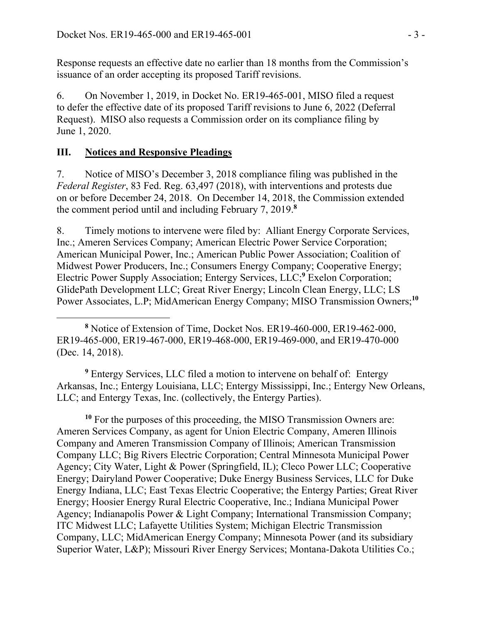Response requests an effective date no earlier than 18 months from the Commission's issuance of an order accepting its proposed Tariff revisions.

6. On November 1, 2019, in Docket No. ER19-465-001, MISO filed a request to defer the effective date of its proposed Tariff revisions to June 6, 2022 (Deferral Request). MISO also requests a Commission order on its compliance filing by June 1, 2020.

## **III. Notices and Responsive Pleadings**

 $\overline{a}$ 

7. Notice of MISO's December 3, 2018 compliance filing was published in the *Federal Register*, 83 Fed. Reg. 63,497 (2018), with interventions and protests due on or before December 24, 2018. On December 14, 2018, the Commission extended the comment period until and including February 7, 2019.**<sup>8</sup>**

8. Timely motions to intervene were filed by: Alliant Energy Corporate Services, Inc.; Ameren Services Company; American Electric Power Service Corporation; American Municipal Power, Inc.; American Public Power Association; Coalition of Midwest Power Producers, Inc.; Consumers Energy Company; Cooperative Energy; Electric Power Supply Association; Entergy Services, LLC;**<sup>9</sup>** Exelon Corporation; GlidePath Development LLC; Great River Energy; Lincoln Clean Energy, LLC; LS Power Associates, L.P; MidAmerican Energy Company; MISO Transmission Owners;**<sup>10</sup>**

<sup>9</sup> Entergy Services, LLC filed a motion to intervene on behalf of: Entergy Arkansas, Inc.; Entergy Louisiana, LLC; Entergy Mississippi, Inc.; Entergy New Orleans, LLC; and Entergy Texas, Inc. (collectively, the Entergy Parties).

<sup>10</sup> For the purposes of this proceeding, the MISO Transmission Owners are: Ameren Services Company, as agent for Union Electric Company, Ameren Illinois Company and Ameren Transmission Company of Illinois; American Transmission Company LLC; Big Rivers Electric Corporation; Central Minnesota Municipal Power Agency; City Water, Light & Power (Springfield, IL); Cleco Power LLC; Cooperative Energy; Dairyland Power Cooperative; Duke Energy Business Services, LLC for Duke Energy Indiana, LLC; East Texas Electric Cooperative; the Entergy Parties; Great River Energy; Hoosier Energy Rural Electric Cooperative, Inc.; Indiana Municipal Power Agency; Indianapolis Power & Light Company; International Transmission Company; ITC Midwest LLC; Lafayette Utilities System; Michigan Electric Transmission Company, LLC; MidAmerican Energy Company; Minnesota Power (and its subsidiary Superior Water, L&P); Missouri River Energy Services; Montana-Dakota Utilities Co.;

**<sup>8</sup>** Notice of Extension of Time, Docket Nos. ER19-460-000, ER19-462-000, ER19-465-000, ER19-467-000, ER19-468-000, ER19-469-000, and ER19-470-000 (Dec. 14, 2018).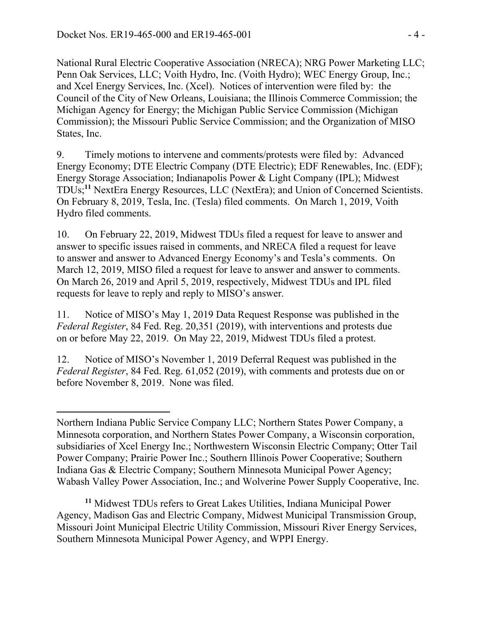$\overline{a}$ 

National Rural Electric Cooperative Association (NRECA); NRG Power Marketing LLC; Penn Oak Services, LLC; Voith Hydro, Inc. (Voith Hydro); WEC Energy Group, Inc.; and Xcel Energy Services, Inc. (Xcel). Notices of intervention were filed by: the Council of the City of New Orleans, Louisiana; the Illinois Commerce Commission; the Michigan Agency for Energy; the Michigan Public Service Commission (Michigan Commission); the Missouri Public Service Commission; and the Organization of MISO States, Inc.

9. Timely motions to intervene and comments/protests were filed by: Advanced Energy Economy; DTE Electric Company (DTE Electric); EDF Renewables, Inc. (EDF); Energy Storage Association; Indianapolis Power & Light Company (IPL); Midwest TDUs;**<sup>11</sup>** NextEra Energy Resources, LLC (NextEra); and Union of Concerned Scientists. On February 8, 2019, Tesla, Inc. (Tesla) filed comments. On March 1, 2019, Voith Hydro filed comments.

10. On February 22, 2019, Midwest TDUs filed a request for leave to answer and answer to specific issues raised in comments, and NRECA filed a request for leave to answer and answer to Advanced Energy Economy's and Tesla's comments. On March 12, 2019, MISO filed a request for leave to answer and answer to comments. On March 26, 2019 and April 5, 2019, respectively, Midwest TDUs and IPL filed requests for leave to reply and reply to MISO's answer.

11. Notice of MISO's May 1, 2019 Data Request Response was published in the *Federal Register*, 84 Fed. Reg. 20,351 (2019), with interventions and protests due on or before May 22, 2019. On May 22, 2019, Midwest TDUs filed a protest.

12. Notice of MISO's November 1, 2019 Deferral Request was published in the *Federal Register*, 84 Fed. Reg. 61,052 (2019), with comments and protests due on or before November 8, 2019. None was filed.

**<sup>11</sup>** Midwest TDUs refers to Great Lakes Utilities, Indiana Municipal Power Agency, Madison Gas and Electric Company, Midwest Municipal Transmission Group, Missouri Joint Municipal Electric Utility Commission, Missouri River Energy Services, Southern Minnesota Municipal Power Agency, and WPPI Energy.

Northern Indiana Public Service Company LLC; Northern States Power Company, a Minnesota corporation, and Northern States Power Company, a Wisconsin corporation, subsidiaries of Xcel Energy Inc.; Northwestern Wisconsin Electric Company; Otter Tail Power Company; Prairie Power Inc.; Southern Illinois Power Cooperative; Southern Indiana Gas & Electric Company; Southern Minnesota Municipal Power Agency; Wabash Valley Power Association, Inc.; and Wolverine Power Supply Cooperative, Inc.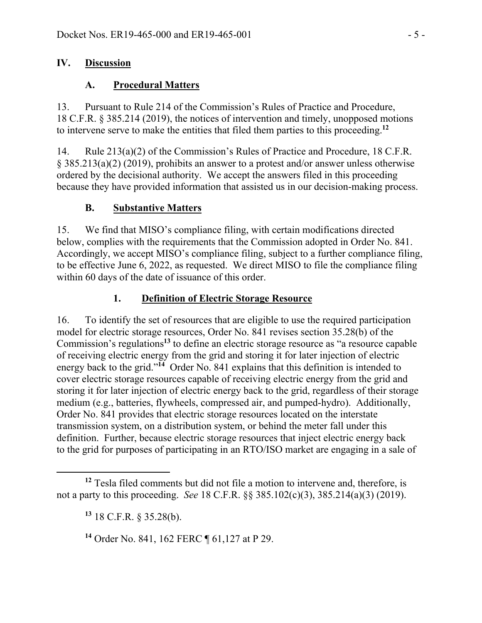## **IV. Discussion**

# **A. Procedural Matters**

13. Pursuant to Rule 214 of the Commission's Rules of Practice and Procedure, 18 C.F.R. § 385.214 (2019), the notices of intervention and timely, unopposed motions to intervene serve to make the entities that filed them parties to this proceeding.**<sup>12</sup>**

14. Rule 213(a)(2) of the Commission's Rules of Practice and Procedure, 18 C.F.R. § 385.213(a)(2) (2019), prohibits an answer to a protest and/or answer unless otherwise ordered by the decisional authority. We accept the answers filed in this proceeding because they have provided information that assisted us in our decision-making process.

# **B. Substantive Matters**

15. We find that MISO's compliance filing, with certain modifications directed below, complies with the requirements that the Commission adopted in Order No. 841. Accordingly, we accept MISO's compliance filing, subject to a further compliance filing, to be effective June 6, 2022, as requested. We direct MISO to file the compliance filing within 60 days of the date of issuance of this order.

# **1. Definition of Electric Storage Resource**

16. To identify the set of resources that are eligible to use the required participation model for electric storage resources, Order No. 841 revises section 35.28(b) of the Commission's regulations**<sup>13</sup>** to define an electric storage resource as "a resource capable of receiving electric energy from the grid and storing it for later injection of electric energy back to the grid."<sup>14</sup> Order No. 841 explains that this definition is intended to cover electric storage resources capable of receiving electric energy from the grid and storing it for later injection of electric energy back to the grid, regardless of their storage medium (e.g., batteries, flywheels, compressed air, and pumped-hydro). Additionally, Order No. 841 provides that electric storage resources located on the interstate transmission system, on a distribution system, or behind the meter fall under this definition. Further, because electric storage resources that inject electric energy back to the grid for purposes of participating in an RTO/ISO market are engaging in a sale of

 $\overline{a}$ **<sup>12</sup>** Tesla filed comments but did not file a motion to intervene and, therefore, is not a party to this proceeding. *See* 18 C.F.R. §§ 385.102(c)(3), 385.214(a)(3) (2019).

**<sup>13</sup>** 18 C.F.R. § 35.28(b).

**<sup>14</sup>** Order No. 841, 162 FERC ¶ 61,127 at P 29.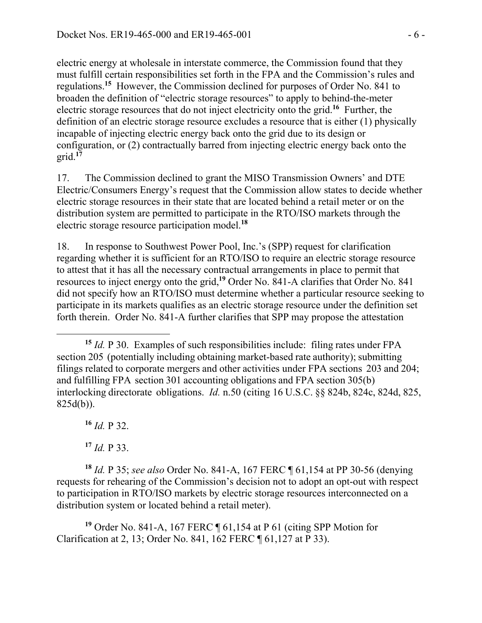electric energy at wholesale in interstate commerce, the Commission found that they must fulfill certain responsibilities set forth in the FPA and the Commission's rules and regulations.**<sup>15</sup>** However, the Commission declined for purposes of Order No. 841 to broaden the definition of "electric storage resources" to apply to behind-the-meter electric storage resources that do not inject electricity onto the grid.**<sup>16</sup>** Further, the definition of an electric storage resource excludes a resource that is either (1) physically incapable of injecting electric energy back onto the grid due to its design or configuration, or (2) contractually barred from injecting electric energy back onto the grid.**<sup>17</sup>**

17. The Commission declined to grant the MISO Transmission Owners' and DTE Electric/Consumers Energy's request that the Commission allow states to decide whether electric storage resources in their state that are located behind a retail meter or on the distribution system are permitted to participate in the RTO/ISO markets through the electric storage resource participation model.**<sup>18</sup>**

18. In response to Southwest Power Pool, Inc.'s (SPP) request for clarification regarding whether it is sufficient for an RTO/ISO to require an electric storage resource to attest that it has all the necessary contractual arrangements in place to permit that resources to inject energy onto the grid,**<sup>19</sup>** Order No. 841-A clarifies that Order No. 841 did not specify how an RTO/ISO must determine whether a particular resource seeking to participate in its markets qualifies as an electric storage resource under the definition set forth therein. Order No. 841-A further clarifies that SPP may propose the attestation

 $^{16}$  *Id.* P 32.

 $\overline{a}$ 

**<sup>17</sup>** *Id.* P 33.

**<sup>18</sup>** *Id.* P 35; *see also* Order No. 841-A, 167 FERC ¶ 61,154 at PP 30-56 (denying requests for rehearing of the Commission's decision not to adopt an opt-out with respect to participation in RTO/ISO markets by electric storage resources interconnected on a distribution system or located behind a retail meter).

**<sup>19</sup>** Order No. 841-A, 167 FERC ¶ 61,154 at P 61 (citing SPP Motion for Clarification at 2, 13; Order No. 841, 162 FERC ¶ 61,127 at P 33).

**<sup>15</sup>** *Id.* P 30. Examples of such responsibilities include: filing rates under FPA section 205 (potentially including obtaining market-based rate authority); submitting filings related to corporate mergers and other activities under FPA sections 203 and 204; and fulfilling FPA section 301 accounting obligations and FPA section 305(b) interlocking directorate obligations. *Id.* n.50 (citing 16 U.S.C. §§ 824b, 824c, 824d, 825, 825d(b)).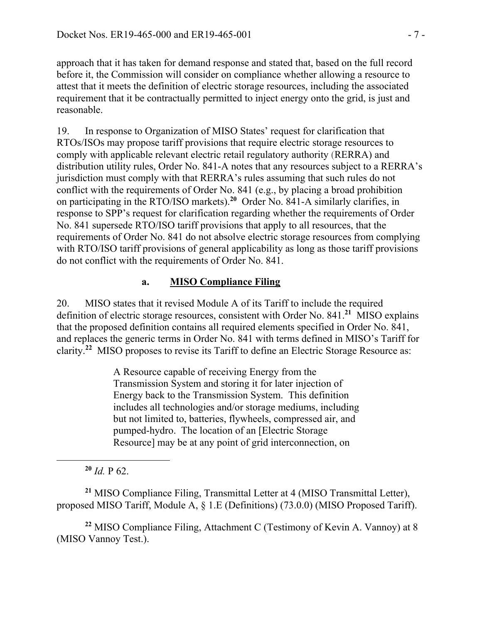approach that it has taken for demand response and stated that, based on the full record before it, the Commission will consider on compliance whether allowing a resource to attest that it meets the definition of electric storage resources, including the associated requirement that it be contractually permitted to inject energy onto the grid, is just and reasonable.

19. In response to Organization of MISO States' request for clarification that RTOs/ISOs may propose tariff provisions that require electric storage resources to comply with applicable relevant electric retail regulatory authority (RERRA) and distribution utility rules, Order No. 841-A notes that any resources subject to a RERRA's jurisdiction must comply with that RERRA's rules assuming that such rules do not conflict with the requirements of Order No. 841 (e.g., by placing a broad prohibition on participating in the RTO/ISO markets).**<sup>20</sup>** Order No. 841-A similarly clarifies, in response to SPP's request for clarification regarding whether the requirements of Order No. 841 supersede RTO/ISO tariff provisions that apply to all resources, that the requirements of Order No. 841 do not absolve electric storage resources from complying with RTO/ISO tariff provisions of general applicability as long as those tariff provisions do not conflict with the requirements of Order No. 841.

### **a. MISO Compliance Filing**

20. MISO states that it revised Module A of its Tariff to include the required definition of electric storage resources, consistent with Order No. 841.**<sup>21</sup>** MISO explains that the proposed definition contains all required elements specified in Order No. 841, and replaces the generic terms in Order No. 841 with terms defined in MISO's Tariff for clarity.**<sup>22</sup>** MISO proposes to revise its Tariff to define an Electric Storage Resource as:

> A Resource capable of receiving Energy from the Transmission System and storing it for later injection of Energy back to the Transmission System. This definition includes all technologies and/or storage mediums, including but not limited to, batteries, flywheels, compressed air, and pumped-hydro. The location of an [Electric Storage Resource] may be at any point of grid interconnection, on

**<sup>20</sup>** *Id.* P 62.

**<sup>21</sup>** MISO Compliance Filing, Transmittal Letter at 4 (MISO Transmittal Letter), proposed MISO Tariff, Module A, § 1.E (Definitions) (73.0.0) (MISO Proposed Tariff).

**<sup>22</sup>** MISO Compliance Filing, Attachment C (Testimony of Kevin A. Vannoy) at 8 (MISO Vannoy Test.).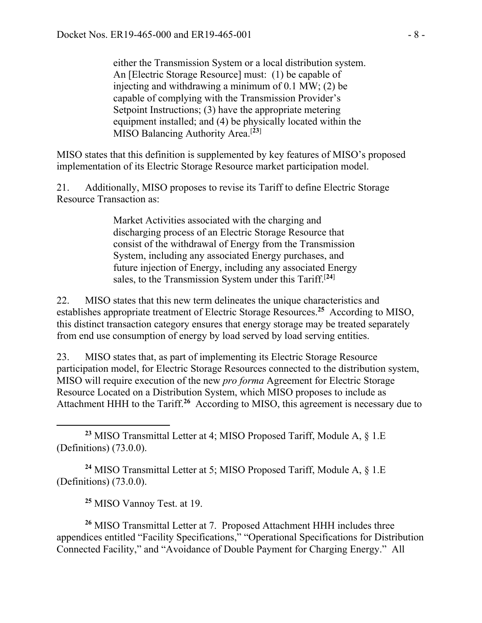either the Transmission System or a local distribution system. An [Electric Storage Resource] must: (1) be capable of injecting and withdrawing a minimum of 0.1 MW; (2) be capable of complying with the Transmission Provider's Setpoint Instructions; (3) have the appropriate metering equipment installed; and (4) be physically located within the MISO Balancing Authority Area.[**<sup>23</sup>**]

MISO states that this definition is supplemented by key features of MISO's proposed implementation of its Electric Storage Resource market participation model.

21. Additionally, MISO proposes to revise its Tariff to define Electric Storage Resource Transaction as:

> Market Activities associated with the charging and discharging process of an Electric Storage Resource that consist of the withdrawal of Energy from the Transmission System, including any associated Energy purchases, and future injection of Energy, including any associated Energy sales, to the Transmission System under this Tariff.[**<sup>24</sup>**]

22. MISO states that this new term delineates the unique characteristics and establishes appropriate treatment of Electric Storage Resources.**<sup>25</sup>** According to MISO, this distinct transaction category ensures that energy storage may be treated separately from end use consumption of energy by load served by load serving entities.

23. MISO states that, as part of implementing its Electric Storage Resource participation model, for Electric Storage Resources connected to the distribution system, MISO will require execution of the new *pro forma* Agreement for Electric Storage Resource Located on a Distribution System, which MISO proposes to include as Attachment HHH to the Tariff.**<sup>26</sup>** According to MISO, this agreement is necessary due to

**<sup>23</sup>** MISO Transmittal Letter at 4; MISO Proposed Tariff, Module A, § 1.E (Definitions) (73.0.0).

**<sup>24</sup>** MISO Transmittal Letter at 5; MISO Proposed Tariff, Module A, § 1.E (Definitions) (73.0.0).

**<sup>25</sup>** MISO Vannoy Test. at 19.

 $\overline{a}$ 

**<sup>26</sup>** MISO Transmittal Letter at 7. Proposed Attachment HHH includes three appendices entitled "Facility Specifications," "Operational Specifications for Distribution Connected Facility," and "Avoidance of Double Payment for Charging Energy." All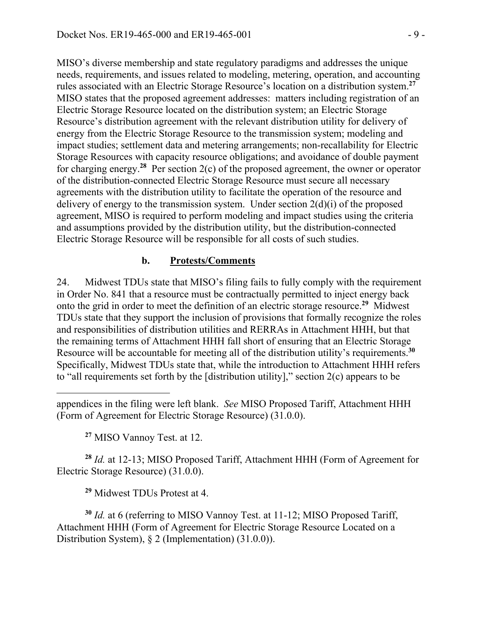MISO's diverse membership and state regulatory paradigms and addresses the unique needs, requirements, and issues related to modeling, metering, operation, and accounting rules associated with an Electric Storage Resource's location on a distribution system.**<sup>27</sup>** MISO states that the proposed agreement addresses: matters including registration of an Electric Storage Resource located on the distribution system; an Electric Storage Resource's distribution agreement with the relevant distribution utility for delivery of energy from the Electric Storage Resource to the transmission system; modeling and impact studies; settlement data and metering arrangements; non-recallability for Electric Storage Resources with capacity resource obligations; and avoidance of double payment for charging energy.**<sup>28</sup>** Per section 2(c) of the proposed agreement, the owner or operator of the distribution-connected Electric Storage Resource must secure all necessary agreements with the distribution utility to facilitate the operation of the resource and delivery of energy to the transmission system. Under section 2(d)(i) of the proposed agreement, MISO is required to perform modeling and impact studies using the criteria and assumptions provided by the distribution utility, but the distribution-connected Electric Storage Resource will be responsible for all costs of such studies.

### **b. Protests/Comments**

24. Midwest TDUs state that MISO's filing fails to fully comply with the requirement in Order No. 841 that a resource must be contractually permitted to inject energy back onto the grid in order to meet the definition of an electric storage resource.**<sup>29</sup>** Midwest TDUs state that they support the inclusion of provisions that formally recognize the roles and responsibilities of distribution utilities and RERRAs in Attachment HHH, but that the remaining terms of Attachment HHH fall short of ensuring that an Electric Storage Resource will be accountable for meeting all of the distribution utility's requirements.**<sup>30</sup>** Specifically, Midwest TDUs state that, while the introduction to Attachment HHH refers to "all requirements set forth by the [distribution utility]," section  $2(c)$  appears to be

**<sup>27</sup>** MISO Vannoy Test. at 12.

 $\overline{a}$ 

**<sup>28</sup>** *Id.* at 12-13; MISO Proposed Tariff, Attachment HHH (Form of Agreement for Electric Storage Resource) (31.0.0).

**<sup>29</sup>** Midwest TDUs Protest at 4.

**<sup>30</sup>** *Id.* at 6 (referring to MISO Vannoy Test. at 11-12; MISO Proposed Tariff, Attachment HHH (Form of Agreement for Electric Storage Resource Located on a Distribution System), § 2 (Implementation) (31.0.0)).

appendices in the filing were left blank. *See* MISO Proposed Tariff, Attachment HHH (Form of Agreement for Electric Storage Resource) (31.0.0).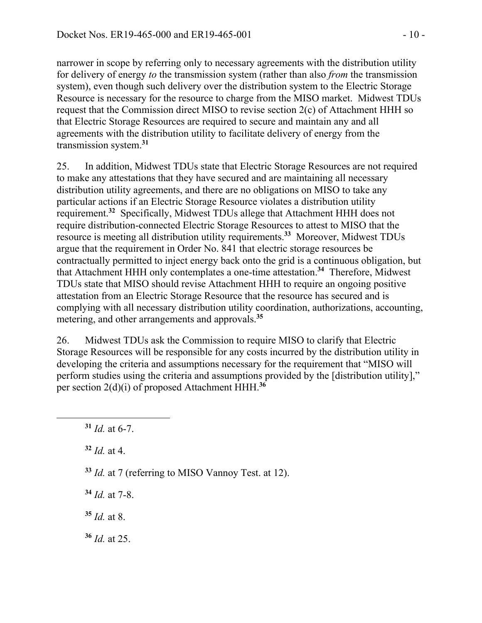narrower in scope by referring only to necessary agreements with the distribution utility for delivery of energy *to* the transmission system (rather than also *from* the transmission system), even though such delivery over the distribution system to the Electric Storage Resource is necessary for the resource to charge from the MISO market. Midwest TDUs request that the Commission direct MISO to revise section 2(c) of Attachment HHH so that Electric Storage Resources are required to secure and maintain any and all agreements with the distribution utility to facilitate delivery of energy from the transmission system.**<sup>31</sup>**

25. In addition, Midwest TDUs state that Electric Storage Resources are not required to make any attestations that they have secured and are maintaining all necessary distribution utility agreements, and there are no obligations on MISO to take any particular actions if an Electric Storage Resource violates a distribution utility requirement.**<sup>32</sup>** Specifically, Midwest TDUs allege that Attachment HHH does not require distribution-connected Electric Storage Resources to attest to MISO that the resource is meeting all distribution utility requirements.**<sup>33</sup>** Moreover, Midwest TDUs argue that the requirement in Order No. 841 that electric storage resources be contractually permitted to inject energy back onto the grid is a continuous obligation, but that Attachment HHH only contemplates a one-time attestation.**<sup>34</sup>** Therefore, Midwest TDUs state that MISO should revise Attachment HHH to require an ongoing positive attestation from an Electric Storage Resource that the resource has secured and is complying with all necessary distribution utility coordination, authorizations, accounting, metering, and other arrangements and approvals.**<sup>35</sup>**

26. Midwest TDUs ask the Commission to require MISO to clarify that Electric Storage Resources will be responsible for any costs incurred by the distribution utility in developing the criteria and assumptions necessary for the requirement that "MISO will perform studies using the criteria and assumptions provided by the [distribution utility]," per section 2(d)(i) of proposed Attachment HHH.**<sup>36</sup>**

 $\overline{a}$ 

**<sup>32</sup>** *Id.* at 4.

**<sup>33</sup>** *Id.* at 7 (referring to MISO Vannoy Test. at 12).

**<sup>34</sup>** *Id.* at 7-8.

**<sup>35</sup>** *Id.* at 8.

**<sup>36</sup>** *Id.* at 25.

**<sup>31</sup>** *Id.* at 6-7.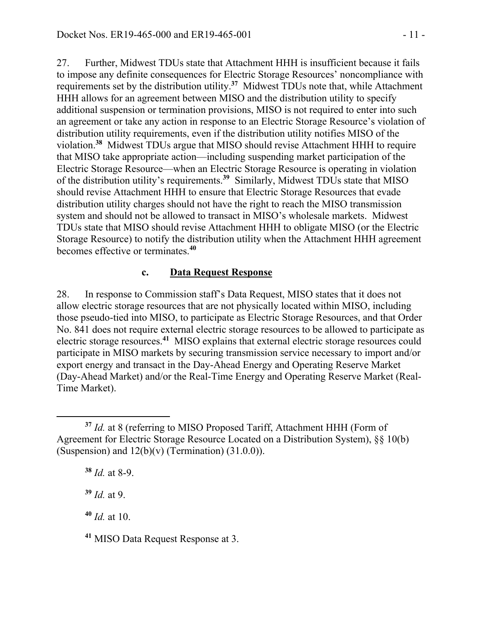27. Further, Midwest TDUs state that Attachment HHH is insufficient because it fails to impose any definite consequences for Electric Storage Resources' noncompliance with requirements set by the distribution utility.**<sup>37</sup>** Midwest TDUs note that, while Attachment HHH allows for an agreement between MISO and the distribution utility to specify additional suspension or termination provisions, MISO is not required to enter into such an agreement or take any action in response to an Electric Storage Resource's violation of distribution utility requirements, even if the distribution utility notifies MISO of the violation.**<sup>38</sup>** Midwest TDUs argue that MISO should revise Attachment HHH to require that MISO take appropriate action—including suspending market participation of the Electric Storage Resource—when an Electric Storage Resource is operating in violation of the distribution utility's requirements.**<sup>39</sup>** Similarly, Midwest TDUs state that MISO should revise Attachment HHH to ensure that Electric Storage Resources that evade distribution utility charges should not have the right to reach the MISO transmission system and should not be allowed to transact in MISO's wholesale markets. Midwest TDUs state that MISO should revise Attachment HHH to obligate MISO (or the Electric Storage Resource) to notify the distribution utility when the Attachment HHH agreement becomes effective or terminates.**<sup>40</sup>**

### **c. Data Request Response**

28. In response to Commission staff's Data Request, MISO states that it does not allow electric storage resources that are not physically located within MISO, including those pseudo-tied into MISO, to participate as Electric Storage Resources, and that Order No. 841 does not require external electric storage resources to be allowed to participate as electric storage resources.**<sup>41</sup>** MISO explains that external electric storage resources could participate in MISO markets by securing transmission service necessary to import and/or export energy and transact in the Day-Ahead Energy and Operating Reserve Market (Day-Ahead Market) and/or the Real-Time Energy and Operating Reserve Market (Real-Time Market).

 $\overline{a}$ 

**<sup>39</sup>** *Id.* at 9.

**<sup>40</sup>** *Id.* at 10.

**<sup>41</sup>** MISO Data Request Response at 3.

**<sup>37</sup>** *Id.* at 8 (referring to MISO Proposed Tariff, Attachment HHH (Form of Agreement for Electric Storage Resource Located on a Distribution System), §§ 10(b) (Suspension) and  $12(b)(v)$  (Termination) (31.0.0)).

**<sup>38</sup>** *Id.* at 8-9.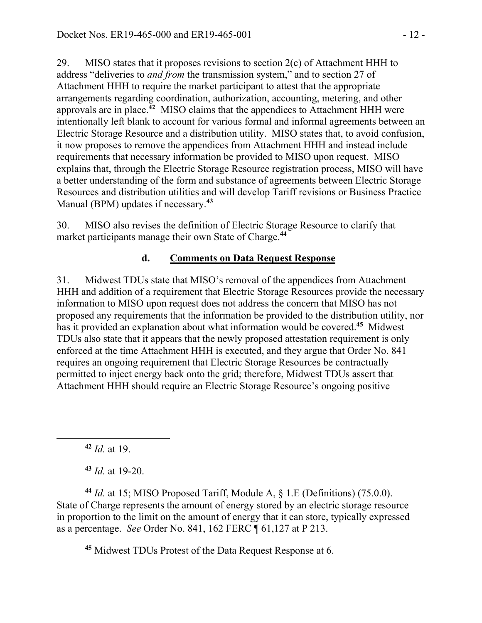29. MISO states that it proposes revisions to section 2(c) of Attachment HHH to address "deliveries to *and from* the transmission system," and to section 27 of Attachment HHH to require the market participant to attest that the appropriate arrangements regarding coordination, authorization, accounting, metering, and other approvals are in place.**<sup>42</sup>** MISO claims that the appendices to Attachment HHH were intentionally left blank to account for various formal and informal agreements between an Electric Storage Resource and a distribution utility. MISO states that, to avoid confusion, it now proposes to remove the appendices from Attachment HHH and instead include requirements that necessary information be provided to MISO upon request. MISO explains that, through the Electric Storage Resource registration process, MISO will have a better understanding of the form and substance of agreements between Electric Storage Resources and distribution utilities and will develop Tariff revisions or Business Practice Manual (BPM) updates if necessary.**<sup>43</sup>**

30. MISO also revises the definition of Electric Storage Resource to clarify that market participants manage their own State of Charge.**<sup>44</sup>**

# **d. Comments on Data Request Response**

31. Midwest TDUs state that MISO's removal of the appendices from Attachment HHH and addition of a requirement that Electric Storage Resources provide the necessary information to MISO upon request does not address the concern that MISO has not proposed any requirements that the information be provided to the distribution utility, nor has it provided an explanation about what information would be covered.**<sup>45</sup>** Midwest TDUs also state that it appears that the newly proposed attestation requirement is only enforced at the time Attachment HHH is executed, and they argue that Order No. 841 requires an ongoing requirement that Electric Storage Resources be contractually permitted to inject energy back onto the grid; therefore, Midwest TDUs assert that Attachment HHH should require an Electric Storage Resource's ongoing positive

**<sup>42</sup>** *Id.* at 19.

 $\overline{a}$ 

**<sup>43</sup>** *Id.* at 19-20.

**<sup>44</sup>** *Id.* at 15; MISO Proposed Tariff, Module A, § 1.E (Definitions) (75.0.0). State of Charge represents the amount of energy stored by an electric storage resource in proportion to the limit on the amount of energy that it can store, typically expressed as a percentage. *See* Order No. 841, 162 FERC ¶ 61,127 at P 213.

**<sup>45</sup>** Midwest TDUs Protest of the Data Request Response at 6.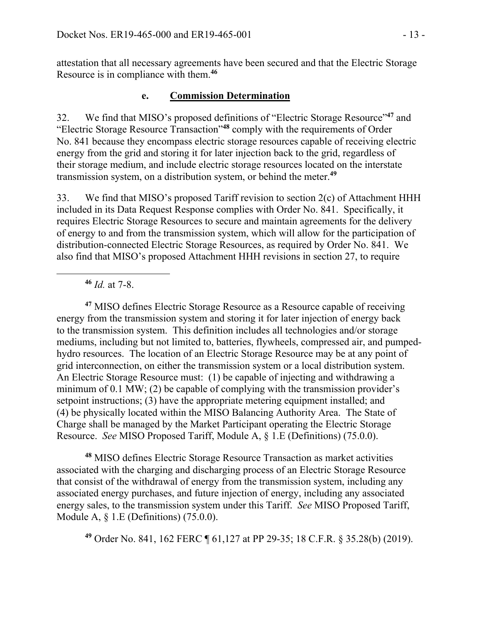attestation that all necessary agreements have been secured and that the Electric Storage Resource is in compliance with them.**<sup>46</sup>**

### **e. Commission Determination**

32. We find that MISO's proposed definitions of "Electric Storage Resource"**<sup>47</sup>** and "Electric Storage Resource Transaction"**<sup>48</sup>** comply with the requirements of Order No. 841 because they encompass electric storage resources capable of receiving electric energy from the grid and storing it for later injection back to the grid, regardless of their storage medium, and include electric storage resources located on the interstate transmission system, on a distribution system, or behind the meter.**<sup>49</sup>**

33. We find that MISO's proposed Tariff revision to section 2(c) of Attachment HHH included in its Data Request Response complies with Order No. 841. Specifically, it requires Electric Storage Resources to secure and maintain agreements for the delivery of energy to and from the transmission system, which will allow for the participation of distribution-connected Electric Storage Resources, as required by Order No. 841. We also find that MISO's proposed Attachment HHH revisions in section 27, to require

**<sup>46</sup>** *Id.* at 7-8.

 $\overline{a}$ 

**<sup>47</sup>** MISO defines Electric Storage Resource as a Resource capable of receiving energy from the transmission system and storing it for later injection of energy back to the transmission system. This definition includes all technologies and/or storage mediums, including but not limited to, batteries, flywheels, compressed air, and pumpedhydro resources. The location of an Electric Storage Resource may be at any point of grid interconnection, on either the transmission system or a local distribution system. An Electric Storage Resource must: (1) be capable of injecting and withdrawing a minimum of 0.1 MW; (2) be capable of complying with the transmission provider's setpoint instructions; (3) have the appropriate metering equipment installed; and (4) be physically located within the MISO Balancing Authority Area. The State of Charge shall be managed by the Market Participant operating the Electric Storage Resource. *See* MISO Proposed Tariff, Module A, § 1.E (Definitions) (75.0.0).

**<sup>48</sup>** MISO defines Electric Storage Resource Transaction as market activities associated with the charging and discharging process of an Electric Storage Resource that consist of the withdrawal of energy from the transmission system, including any associated energy purchases, and future injection of energy, including any associated energy sales, to the transmission system under this Tariff. *See* MISO Proposed Tariff, Module A, § 1.E (Definitions) (75.0.0).

**<sup>49</sup>** Order No. 841, 162 FERC ¶ 61,127 at PP 29-35; 18 C.F.R. § 35.28(b) (2019).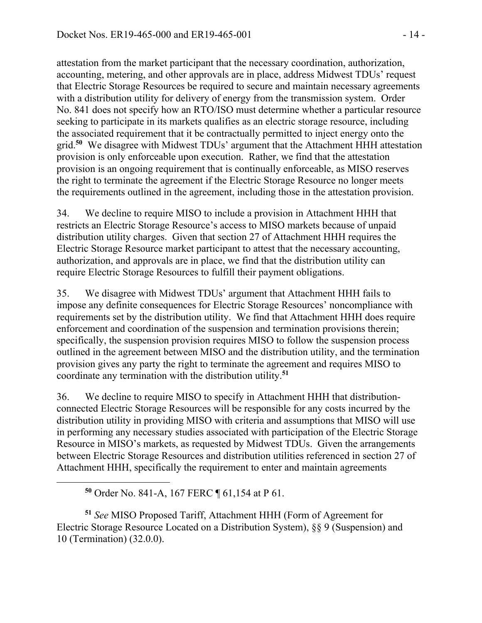attestation from the market participant that the necessary coordination, authorization, accounting, metering, and other approvals are in place, address Midwest TDUs' request that Electric Storage Resources be required to secure and maintain necessary agreements with a distribution utility for delivery of energy from the transmission system. Order No. 841 does not specify how an RTO/ISO must determine whether a particular resource seeking to participate in its markets qualifies as an electric storage resource, including the associated requirement that it be contractually permitted to inject energy onto the grid.**<sup>50</sup>** We disagree with Midwest TDUs' argument that the Attachment HHH attestation provision is only enforceable upon execution. Rather, we find that the attestation provision is an ongoing requirement that is continually enforceable, as MISO reserves the right to terminate the agreement if the Electric Storage Resource no longer meets the requirements outlined in the agreement, including those in the attestation provision.

34. We decline to require MISO to include a provision in Attachment HHH that restricts an Electric Storage Resource's access to MISO markets because of unpaid distribution utility charges. Given that section 27 of Attachment HHH requires the Electric Storage Resource market participant to attest that the necessary accounting, authorization, and approvals are in place, we find that the distribution utility can require Electric Storage Resources to fulfill their payment obligations.

35. We disagree with Midwest TDUs' argument that Attachment HHH fails to impose any definite consequences for Electric Storage Resources' noncompliance with requirements set by the distribution utility. We find that Attachment HHH does require enforcement and coordination of the suspension and termination provisions therein; specifically, the suspension provision requires MISO to follow the suspension process outlined in the agreement between MISO and the distribution utility, and the termination provision gives any party the right to terminate the agreement and requires MISO to coordinate any termination with the distribution utility.**<sup>51</sup>**

36. We decline to require MISO to specify in Attachment HHH that distributionconnected Electric Storage Resources will be responsible for any costs incurred by the distribution utility in providing MISO with criteria and assumptions that MISO will use in performing any necessary studies associated with participation of the Electric Storage Resource in MISO's markets, as requested by Midwest TDUs. Given the arrangements between Electric Storage Resources and distribution utilities referenced in section 27 of Attachment HHH, specifically the requirement to enter and maintain agreements

 $\overline{a}$ 

**<sup>51</sup>** *See* MISO Proposed Tariff, Attachment HHH (Form of Agreement for Electric Storage Resource Located on a Distribution System), §§ 9 (Suspension) and 10 (Termination) (32.0.0).

**<sup>50</sup>** Order No. 841-A, 167 FERC ¶ 61,154 at P 61.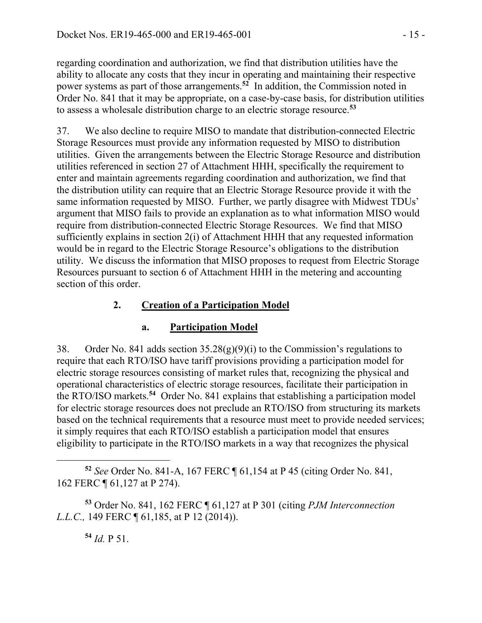regarding coordination and authorization, we find that distribution utilities have the ability to allocate any costs that they incur in operating and maintaining their respective power systems as part of those arrangements.**<sup>52</sup>** In addition, the Commission noted in Order No. 841 that it may be appropriate, on a case-by-case basis, for distribution utilities to assess a wholesale distribution charge to an electric storage resource.**<sup>53</sup>**

37. We also decline to require MISO to mandate that distribution-connected Electric Storage Resources must provide any information requested by MISO to distribution utilities. Given the arrangements between the Electric Storage Resource and distribution utilities referenced in section 27 of Attachment HHH, specifically the requirement to enter and maintain agreements regarding coordination and authorization, we find that the distribution utility can require that an Electric Storage Resource provide it with the same information requested by MISO. Further, we partly disagree with Midwest TDUs' argument that MISO fails to provide an explanation as to what information MISO would require from distribution-connected Electric Storage Resources. We find that MISO sufficiently explains in section 2(i) of Attachment HHH that any requested information would be in regard to the Electric Storage Resource's obligations to the distribution utility. We discuss the information that MISO proposes to request from Electric Storage Resources pursuant to section 6 of Attachment HHH in the metering and accounting section of this order.

# **2. Creation of a Participation Model**

# **a. Participation Model**

38. Order No. 841 adds section  $35.28(g)(9)(i)$  to the Commission's regulations to require that each RTO/ISO have tariff provisions providing a participation model for electric storage resources consisting of market rules that, recognizing the physical and operational characteristics of electric storage resources, facilitate their participation in the RTO/ISO markets.**<sup>54</sup>** Order No. 841 explains that establishing a participation model for electric storage resources does not preclude an RTO/ISO from structuring its markets based on the technical requirements that a resource must meet to provide needed services; it simply requires that each RTO/ISO establish a participation model that ensures eligibility to participate in the RTO/ISO markets in a way that recognizes the physical

 **<sup>52</sup>** *See* Order No. 841-A, 167 FERC ¶ 61,154 at P 45 (citing Order No. 841, 162 FERC ¶ 61,127 at P 274).

**<sup>53</sup>** Order No. 841, 162 FERC ¶ 61,127 at P 301 (citing *PJM Interconnection L.L.C.*, 149 FERC ¶ 61,185, at P 12 (2014)).

**<sup>54</sup>** *Id.* P 51.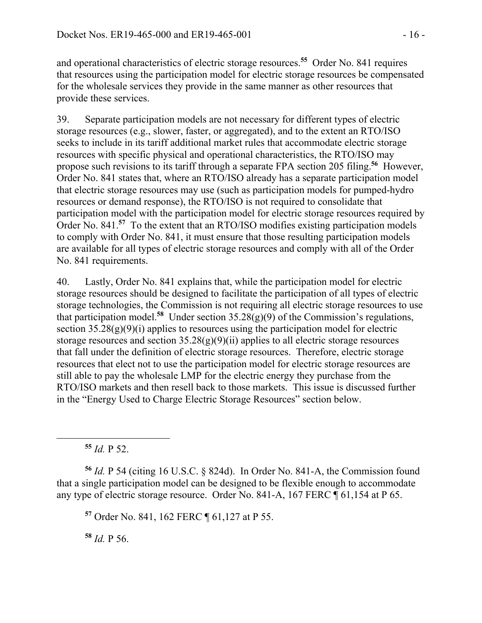and operational characteristics of electric storage resources.**<sup>55</sup>** Order No. 841 requires that resources using the participation model for electric storage resources be compensated for the wholesale services they provide in the same manner as other resources that provide these services.

39. Separate participation models are not necessary for different types of electric storage resources (e.g., slower, faster, or aggregated), and to the extent an RTO/ISO seeks to include in its tariff additional market rules that accommodate electric storage resources with specific physical and operational characteristics, the RTO/ISO may propose such revisions to its tariff through a separate FPA section 205 filing.**<sup>56</sup>** However, Order No. 841 states that, where an RTO/ISO already has a separate participation model that electric storage resources may use (such as participation models for pumped-hydro resources or demand response), the RTO/ISO is not required to consolidate that participation model with the participation model for electric storage resources required by Order No. 841.**<sup>57</sup>** To the extent that an RTO/ISO modifies existing participation models to comply with Order No. 841, it must ensure that those resulting participation models are available for all types of electric storage resources and comply with all of the Order No. 841 requirements.

40. Lastly, Order No. 841 explains that, while the participation model for electric storage resources should be designed to facilitate the participation of all types of electric storage technologies, the Commission is not requiring all electric storage resources to use that participation model.<sup>58</sup> Under section  $35.28(g)(9)$  of the Commission's regulations, section  $35.28(g)(9)(i)$  applies to resources using the participation model for electric storage resources and section  $35.28(g)(9)(ii)$  applies to all electric storage resources that fall under the definition of electric storage resources. Therefore, electric storage resources that elect not to use the participation model for electric storage resources are still able to pay the wholesale LMP for the electric energy they purchase from the RTO/ISO markets and then resell back to those markets. This issue is discussed further in the "Energy Used to Charge Electric Storage Resources" section below.

 $55$  *Id.* P 52.

 $\overline{a}$ 

**<sup>56</sup>** *Id.* P 54 (citing 16 U.S.C. § 824d). In Order No. 841-A, the Commission found that a single participation model can be designed to be flexible enough to accommodate any type of electric storage resource. Order No. 841-A, 167 FERC ¶ 61,154 at P 65.

**<sup>57</sup>** Order No. 841, 162 FERC ¶ 61,127 at P 55.

**<sup>58</sup>** *Id.* P 56.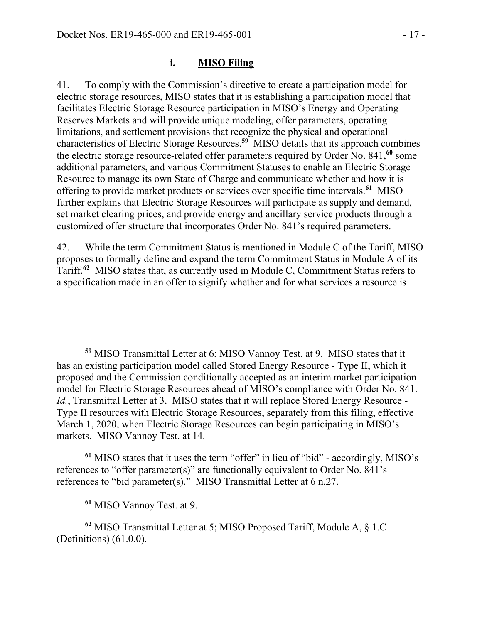#### **i. MISO Filing**

41. To comply with the Commission's directive to create a participation model for electric storage resources, MISO states that it is establishing a participation model that facilitates Electric Storage Resource participation in MISO's Energy and Operating Reserves Markets and will provide unique modeling, offer parameters, operating limitations, and settlement provisions that recognize the physical and operational characteristics of Electric Storage Resources.**<sup>59</sup>** MISO details that its approach combines the electric storage resource-related offer parameters required by Order No. 841,**<sup>60</sup>** some additional parameters, and various Commitment Statuses to enable an Electric Storage Resource to manage its own State of Charge and communicate whether and how it is offering to provide market products or services over specific time intervals.**<sup>61</sup>** MISO further explains that Electric Storage Resources will participate as supply and demand, set market clearing prices, and provide energy and ancillary service products through a customized offer structure that incorporates Order No. 841's required parameters.

42. While the term Commitment Status is mentioned in Module C of the Tariff, MISO proposes to formally define and expand the term Commitment Status in Module A of its Tariff.**<sup>62</sup>** MISO states that, as currently used in Module C, Commitment Status refers to a specification made in an offer to signify whether and for what services a resource is

**<sup>60</sup>** MISO states that it uses the term "offer" in lieu of "bid" - accordingly, MISO's references to "offer parameter(s)" are functionally equivalent to Order No. 841's references to "bid parameter(s)." MISO Transmittal Letter at 6 n.27.

**<sup>61</sup>** MISO Vannoy Test. at 9.

 $\overline{a}$ 

**<sup>62</sup>** MISO Transmittal Letter at 5; MISO Proposed Tariff, Module A, § 1.C (Definitions) (61.0.0).

**<sup>59</sup>** MISO Transmittal Letter at 6; MISO Vannoy Test. at 9. MISO states that it has an existing participation model called Stored Energy Resource - Type II, which it proposed and the Commission conditionally accepted as an interim market participation model for Electric Storage Resources ahead of MISO's compliance with Order No. 841. *Id.*, Transmittal Letter at 3. MISO states that it will replace Stored Energy Resource - Type II resources with Electric Storage Resources, separately from this filing, effective March 1, 2020, when Electric Storage Resources can begin participating in MISO's markets. MISO Vannoy Test. at 14.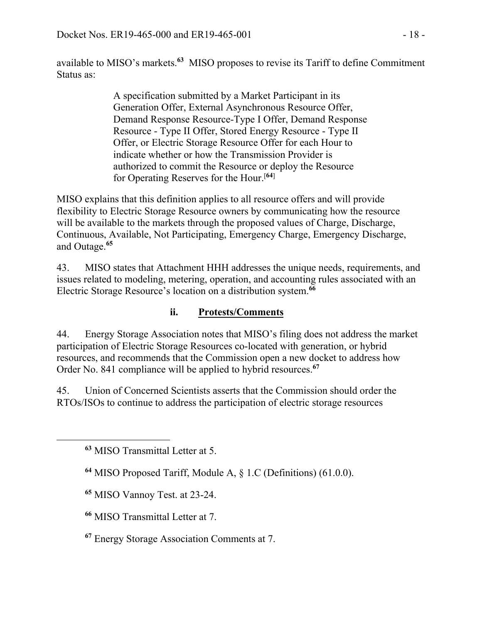available to MISO's markets.**<sup>63</sup>** MISO proposes to revise its Tariff to define Commitment Status as:

> A specification submitted by a Market Participant in its Generation Offer, External Asynchronous Resource Offer, Demand Response Resource-Type I Offer, Demand Response Resource - Type II Offer, Stored Energy Resource - Type II Offer, or Electric Storage Resource Offer for each Hour to indicate whether or how the Transmission Provider is authorized to commit the Resource or deploy the Resource for Operating Reserves for the Hour.[**<sup>64</sup>**]

MISO explains that this definition applies to all resource offers and will provide flexibility to Electric Storage Resource owners by communicating how the resource will be available to the markets through the proposed values of Charge, Discharge, Continuous, Available, Not Participating, Emergency Charge, Emergency Discharge, and Outage.**<sup>65</sup>**

43. MISO states that Attachment HHH addresses the unique needs, requirements, and issues related to modeling, metering, operation, and accounting rules associated with an Electric Storage Resource's location on a distribution system.**<sup>66</sup>**

## **ii. Protests/Comments**

44. Energy Storage Association notes that MISO's filing does not address the market participation of Electric Storage Resources co-located with generation, or hybrid resources, and recommends that the Commission open a new docket to address how Order No. 841 compliance will be applied to hybrid resources.**<sup>67</sup>**

45. Union of Concerned Scientists asserts that the Commission should order the RTOs/ISOs to continue to address the participation of electric storage resources

 $\overline{a}$ 

- **<sup>64</sup>** MISO Proposed Tariff, Module A, § 1.C (Definitions) (61.0.0).
- **<sup>65</sup>** MISO Vannoy Test. at 23-24.
- **<sup>66</sup>** MISO Transmittal Letter at 7.

**<sup>67</sup>** Energy Storage Association Comments at 7.

**<sup>63</sup>** MISO Transmittal Letter at 5.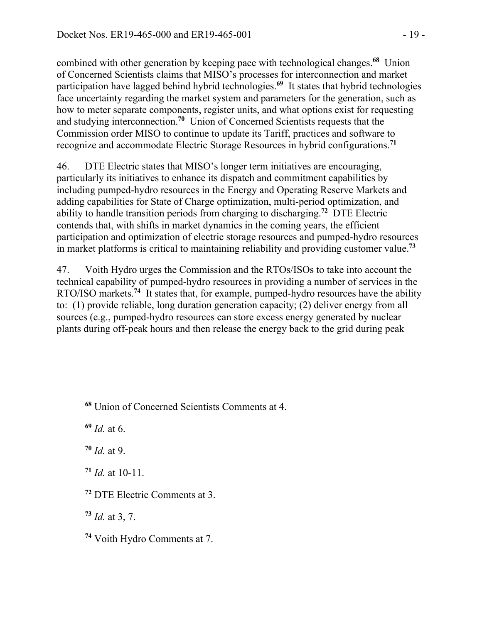combined with other generation by keeping pace with technological changes.**<sup>68</sup>** Union of Concerned Scientists claims that MISO's processes for interconnection and market participation have lagged behind hybrid technologies.**<sup>69</sup>** It states that hybrid technologies face uncertainty regarding the market system and parameters for the generation, such as how to meter separate components, register units, and what options exist for requesting and studying interconnection.**<sup>70</sup>** Union of Concerned Scientists requests that the Commission order MISO to continue to update its Tariff, practices and software to recognize and accommodate Electric Storage Resources in hybrid configurations.**<sup>71</sup>**

46. DTE Electric states that MISO's longer term initiatives are encouraging, particularly its initiatives to enhance its dispatch and commitment capabilities by including pumped-hydro resources in the Energy and Operating Reserve Markets and adding capabilities for State of Charge optimization, multi-period optimization, and ability to handle transition periods from charging to discharging.**<sup>72</sup>** DTE Electric contends that, with shifts in market dynamics in the coming years, the efficient participation and optimization of electric storage resources and pumped-hydro resources in market platforms is critical to maintaining reliability and providing customer value.**<sup>73</sup>**

47. Voith Hydro urges the Commission and the RTOs/ISOs to take into account the technical capability of pumped-hydro resources in providing a number of services in the RTO/ISO markets.**<sup>74</sup>** It states that, for example, pumped-hydro resources have the ability to: (1) provide reliable, long duration generation capacity; (2) deliver energy from all sources (e.g., pumped-hydro resources can store excess energy generated by nuclear plants during off-peak hours and then release the energy back to the grid during peak

**<sup>69</sup>** *Id.* at 6.

 $\overline{a}$ 

**<sup>70</sup>** *Id.* at 9.

**<sup>71</sup>** *Id.* at 10-11.

**<sup>72</sup>** DTE Electric Comments at 3.

**<sup>73</sup>** *Id.* at 3, 7.

**<sup>74</sup>** Voith Hydro Comments at 7.

**<sup>68</sup>** Union of Concerned Scientists Comments at 4.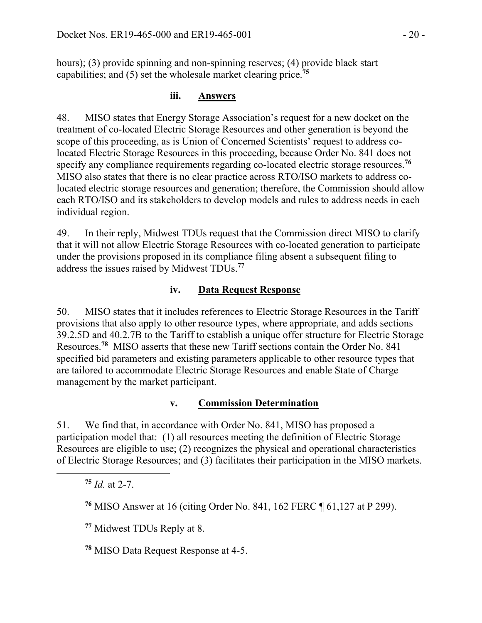hours); (3) provide spinning and non-spinning reserves; (4) provide black start capabilities; and (5) set the wholesale market clearing price.**<sup>75</sup>**

## **iii. Answers**

48. MISO states that Energy Storage Association's request for a new docket on the treatment of co-located Electric Storage Resources and other generation is beyond the scope of this proceeding, as is Union of Concerned Scientists' request to address colocated Electric Storage Resources in this proceeding, because Order No. 841 does not specify any compliance requirements regarding co-located electric storage resources.**<sup>76</sup>** MISO also states that there is no clear practice across RTO/ISO markets to address colocated electric storage resources and generation; therefore, the Commission should allow each RTO/ISO and its stakeholders to develop models and rules to address needs in each individual region.

49. In their reply, Midwest TDUs request that the Commission direct MISO to clarify that it will not allow Electric Storage Resources with co-located generation to participate under the provisions proposed in its compliance filing absent a subsequent filing to address the issues raised by Midwest TDUs.**<sup>77</sup>**

## **iv. Data Request Response**

50. MISO states that it includes references to Electric Storage Resources in the Tariff provisions that also apply to other resource types, where appropriate, and adds sections 39.2.5D and 40.2.7B to the Tariff to establish a unique offer structure for Electric Storage Resources.**<sup>78</sup>** MISO asserts that these new Tariff sections contain the Order No. 841 specified bid parameters and existing parameters applicable to other resource types that are tailored to accommodate Electric Storage Resources and enable State of Charge management by the market participant.

## **v. Commission Determination**

51. We find that, in accordance with Order No. 841, MISO has proposed a participation model that: (1) all resources meeting the definition of Electric Storage Resources are eligible to use; (2) recognizes the physical and operational characteristics of Electric Storage Resources; and (3) facilitates their participation in the MISO markets.

**<sup>75</sup>** *Id.* at 2-7.

 $\overline{a}$ 

**<sup>76</sup>** MISO Answer at 16 (citing Order No. 841, 162 FERC ¶ 61,127 at P 299).

**<sup>77</sup>** Midwest TDUs Reply at 8.

**<sup>78</sup>** MISO Data Request Response at 4-5.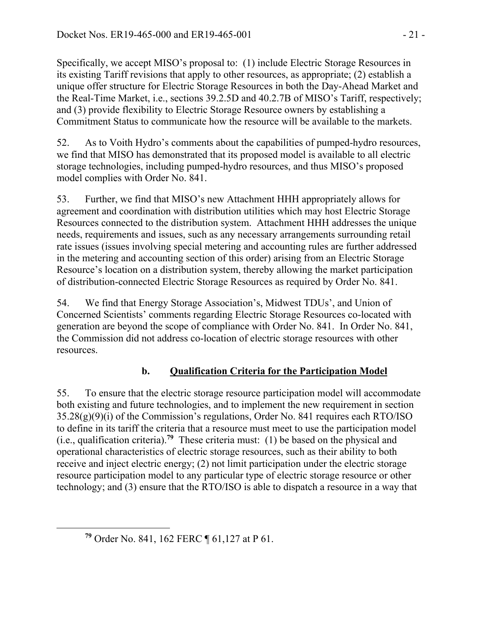Specifically, we accept MISO's proposal to: (1) include Electric Storage Resources in its existing Tariff revisions that apply to other resources, as appropriate; (2) establish a unique offer structure for Electric Storage Resources in both the Day-Ahead Market and the Real-Time Market, i.e., sections 39.2.5D and 40.2.7B of MISO's Tariff, respectively; and (3) provide flexibility to Electric Storage Resource owners by establishing a Commitment Status to communicate how the resource will be available to the markets.

52. As to Voith Hydro's comments about the capabilities of pumped-hydro resources, we find that MISO has demonstrated that its proposed model is available to all electric storage technologies, including pumped-hydro resources, and thus MISO's proposed model complies with Order No. 841.

53. Further, we find that MISO's new Attachment HHH appropriately allows for agreement and coordination with distribution utilities which may host Electric Storage Resources connected to the distribution system. Attachment HHH addresses the unique needs, requirements and issues, such as any necessary arrangements surrounding retail rate issues (issues involving special metering and accounting rules are further addressed in the metering and accounting section of this order) arising from an Electric Storage Resource's location on a distribution system, thereby allowing the market participation of distribution-connected Electric Storage Resources as required by Order No. 841.

54. We find that Energy Storage Association's, Midwest TDUs', and Union of Concerned Scientists' comments regarding Electric Storage Resources co-located with generation are beyond the scope of compliance with Order No. 841. In Order No. 841, the Commission did not address co-location of electric storage resources with other resources.

# **b. Qualification Criteria for the Participation Model**

55. To ensure that the electric storage resource participation model will accommodate both existing and future technologies, and to implement the new requirement in section 35.28(g)(9)(i) of the Commission's regulations, Order No. 841 requires each RTO/ISO to define in its tariff the criteria that a resource must meet to use the participation model (i.e., qualification criteria).**<sup>79</sup>** These criteria must: (1) be based on the physical and operational characteristics of electric storage resources, such as their ability to both receive and inject electric energy; (2) not limit participation under the electric storage resource participation model to any particular type of electric storage resource or other technology; and (3) ensure that the RTO/ISO is able to dispatch a resource in a way that

**<sup>79</sup>** Order No. 841, 162 FERC ¶ 61,127 at P 61.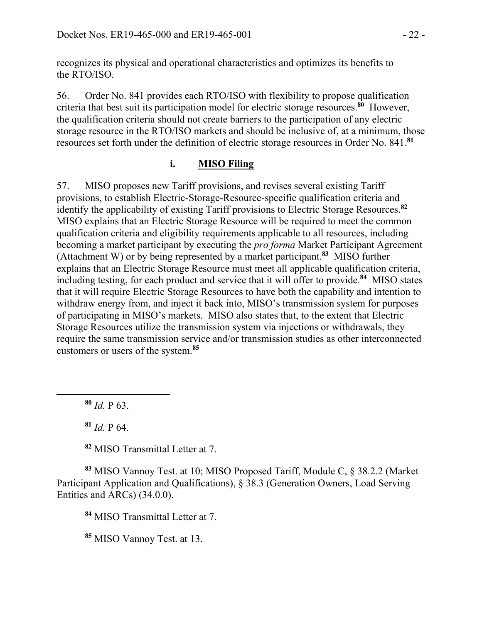recognizes its physical and operational characteristics and optimizes its benefits to the RTO/ISO.

56. Order No. 841 provides each RTO/ISO with flexibility to propose qualification criteria that best suit its participation model for electric storage resources.**<sup>80</sup>** However, the qualification criteria should not create barriers to the participation of any electric storage resource in the RTO/ISO markets and should be inclusive of, at a minimum, those resources set forth under the definition of electric storage resources in Order No. 841.**<sup>81</sup>**

# **i. MISO Filing**

57. MISO proposes new Tariff provisions, and revises several existing Tariff provisions, to establish Electric-Storage-Resource-specific qualification criteria and identify the applicability of existing Tariff provisions to Electric Storage Resources.**<sup>82</sup>** MISO explains that an Electric Storage Resource will be required to meet the common qualification criteria and eligibility requirements applicable to all resources, including becoming a market participant by executing the *pro forma* Market Participant Agreement (Attachment W) or by being represented by a market participant.**<sup>83</sup>** MISO further explains that an Electric Storage Resource must meet all applicable qualification criteria, including testing, for each product and service that it will offer to provide.**<sup>84</sup>** MISO states that it will require Electric Storage Resources to have both the capability and intention to withdraw energy from, and inject it back into, MISO's transmission system for purposes of participating in MISO's markets. MISO also states that, to the extent that Electric Storage Resources utilize the transmission system via injections or withdrawals, they require the same transmission service and/or transmission studies as other interconnected customers or users of the system.**<sup>85</sup>**

**<sup>80</sup>** *Id.* P 63.

 $\overline{a}$ 

**<sup>81</sup>** *Id.* P 64.

**<sup>82</sup>** MISO Transmittal Letter at 7.

**<sup>83</sup>** MISO Vannoy Test. at 10; MISO Proposed Tariff, Module C, § 38.2.2 (Market Participant Application and Qualifications), § 38.3 (Generation Owners, Load Serving Entities and ARCs) (34.0.0).

**<sup>84</sup>** MISO Transmittal Letter at 7.

**<sup>85</sup>** MISO Vannoy Test. at 13.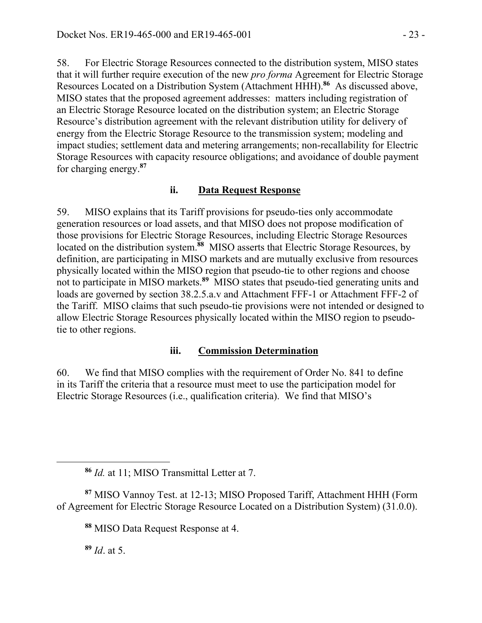58. For Electric Storage Resources connected to the distribution system, MISO states that it will further require execution of the new *pro forma* Agreement for Electric Storage Resources Located on a Distribution System (Attachment HHH).**<sup>86</sup>** As discussed above, MISO states that the proposed agreement addresses: matters including registration of an Electric Storage Resource located on the distribution system; an Electric Storage Resource's distribution agreement with the relevant distribution utility for delivery of energy from the Electric Storage Resource to the transmission system; modeling and impact studies; settlement data and metering arrangements; non-recallability for Electric Storage Resources with capacity resource obligations; and avoidance of double payment for charging energy.**<sup>87</sup>**

### **ii. Data Request Response**

59. MISO explains that its Tariff provisions for pseudo-ties only accommodate generation resources or load assets, and that MISO does not propose modification of those provisions for Electric Storage Resources, including Electric Storage Resources located on the distribution system.<sup>88</sup> MISO asserts that Electric Storage Resources, by definition, are participating in MISO markets and are mutually exclusive from resources physically located within the MISO region that pseudo-tie to other regions and choose not to participate in MISO markets.**<sup>89</sup>** MISO states that pseudo-tied generating units and loads are governed by section 38.2.5.a.v and Attachment FFF-1 or Attachment FFF-2 of the Tariff. MISO claims that such pseudo-tie provisions were not intended or designed to allow Electric Storage Resources physically located within the MISO region to pseudotie to other regions.

#### **iii. Commission Determination**

60. We find that MISO complies with the requirement of Order No. 841 to define in its Tariff the criteria that a resource must meet to use the participation model for Electric Storage Resources (i.e., qualification criteria). We find that MISO's

**<sup>87</sup>** MISO Vannoy Test. at 12-13; MISO Proposed Tariff, Attachment HHH (Form of Agreement for Electric Storage Resource Located on a Distribution System) (31.0.0).

**<sup>88</sup>** MISO Data Request Response at 4.

**<sup>89</sup>** *Id*. at 5.

**<sup>86</sup>** *Id.* at 11; MISO Transmittal Letter at 7.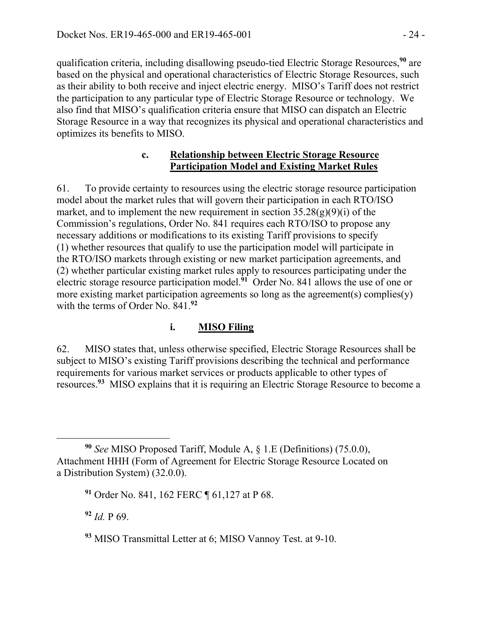qualification criteria, including disallowing pseudo-tied Electric Storage Resources,**<sup>90</sup>** are based on the physical and operational characteristics of Electric Storage Resources, such as their ability to both receive and inject electric energy. MISO's Tariff does not restrict the participation to any particular type of Electric Storage Resource or technology. We also find that MISO's qualification criteria ensure that MISO can dispatch an Electric Storage Resource in a way that recognizes its physical and operational characteristics and optimizes its benefits to MISO.

### **c. Relationship between Electric Storage Resource Participation Model and Existing Market Rules**

61. To provide certainty to resources using the electric storage resource participation model about the market rules that will govern their participation in each RTO/ISO market, and to implement the new requirement in section  $35.28(g)(9)(i)$  of the Commission's regulations, Order No. 841 requires each RTO/ISO to propose any necessary additions or modifications to its existing Tariff provisions to specify (1) whether resources that qualify to use the participation model will participate in the RTO/ISO markets through existing or new market participation agreements, and (2) whether particular existing market rules apply to resources participating under the electric storage resource participation model.**<sup>91</sup>** Order No. 841 allows the use of one or more existing market participation agreements so long as the agreement(s) complies(y) with the terms of Order No. 841.**<sup>92</sup>**

## **i. MISO Filing**

62. MISO states that, unless otherwise specified, Electric Storage Resources shall be subject to MISO's existing Tariff provisions describing the technical and performance requirements for various market services or products applicable to other types of resources.**<sup>93</sup>** MISO explains that it is requiring an Electric Storage Resource to become a

**<sup>92</sup>** *Id.* P 69.

**<sup>90</sup>** *See* MISO Proposed Tariff, Module A, § 1.E (Definitions) (75.0.0), Attachment HHH (Form of Agreement for Electric Storage Resource Located on a Distribution System) (32.0.0).

**<sup>91</sup>** Order No. 841, 162 FERC ¶ 61,127 at P 68.

**<sup>93</sup>** MISO Transmittal Letter at 6; MISO Vannoy Test. at 9-10.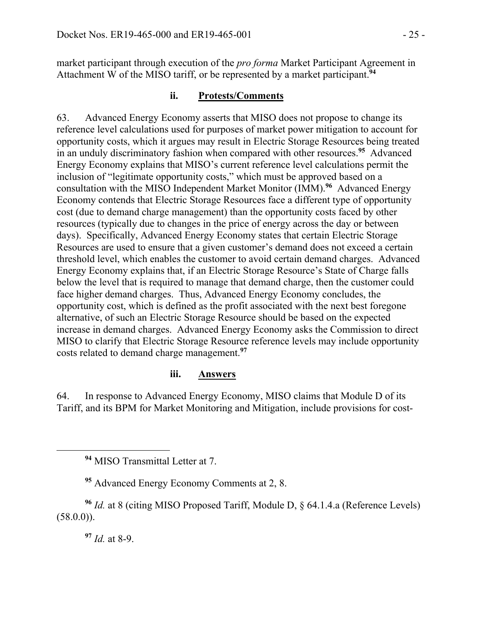market participant through execution of the *pro forma* Market Participant Agreement in Attachment W of the MISO tariff, or be represented by a market participant.**<sup>94</sup>**

### **ii. Protests/Comments**

63. Advanced Energy Economy asserts that MISO does not propose to change its reference level calculations used for purposes of market power mitigation to account for opportunity costs, which it argues may result in Electric Storage Resources being treated in an unduly discriminatory fashion when compared with other resources.**<sup>95</sup>** Advanced Energy Economy explains that MISO's current reference level calculations permit the inclusion of "legitimate opportunity costs," which must be approved based on a consultation with the MISO Independent Market Monitor (IMM).**<sup>96</sup>** Advanced Energy Economy contends that Electric Storage Resources face a different type of opportunity cost (due to demand charge management) than the opportunity costs faced by other resources (typically due to changes in the price of energy across the day or between days). Specifically, Advanced Energy Economy states that certain Electric Storage Resources are used to ensure that a given customer's demand does not exceed a certain threshold level, which enables the customer to avoid certain demand charges. Advanced Energy Economy explains that, if an Electric Storage Resource's State of Charge falls below the level that is required to manage that demand charge, then the customer could face higher demand charges. Thus, Advanced Energy Economy concludes, the opportunity cost, which is defined as the profit associated with the next best foregone alternative, of such an Electric Storage Resource should be based on the expected increase in demand charges. Advanced Energy Economy asks the Commission to direct MISO to clarify that Electric Storage Resource reference levels may include opportunity costs related to demand charge management.**<sup>97</sup>**

### **iii. Answers**

64. In response to Advanced Energy Economy, MISO claims that Module D of its Tariff, and its BPM for Market Monitoring and Mitigation, include provisions for cost-

**<sup>97</sup>** *Id.* at 8-9.

**<sup>94</sup>** MISO Transmittal Letter at 7.

**<sup>95</sup>** Advanced Energy Economy Comments at 2, 8.

**<sup>96</sup>** *Id.* at 8 (citing MISO Proposed Tariff, Module D, § 64.1.4.a (Reference Levels)  $(58.0.0)$ .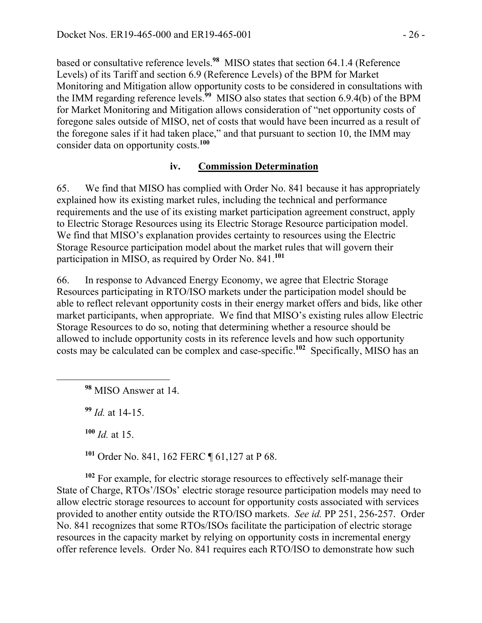based or consultative reference levels.**<sup>98</sup>** MISO states that section 64.1.4 (Reference Levels) of its Tariff and section 6.9 (Reference Levels) of the BPM for Market Monitoring and Mitigation allow opportunity costs to be considered in consultations with the IMM regarding reference levels.**<sup>99</sup>** MISO also states that section 6.9.4(b) of the BPM for Market Monitoring and Mitigation allows consideration of "net opportunity costs of foregone sales outside of MISO, net of costs that would have been incurred as a result of the foregone sales if it had taken place," and that pursuant to section 10, the IMM may consider data on opportunity costs.**<sup>100</sup>**

#### **iv. Commission Determination**

65. We find that MISO has complied with Order No. 841 because it has appropriately explained how its existing market rules, including the technical and performance requirements and the use of its existing market participation agreement construct, apply to Electric Storage Resources using its Electric Storage Resource participation model. We find that MISO's explanation provides certainty to resources using the Electric Storage Resource participation model about the market rules that will govern their participation in MISO, as required by Order No. 841.**<sup>101</sup>**

66. In response to Advanced Energy Economy, we agree that Electric Storage Resources participating in RTO/ISO markets under the participation model should be able to reflect relevant opportunity costs in their energy market offers and bids, like other market participants, when appropriate. We find that MISO's existing rules allow Electric Storage Resources to do so, noting that determining whether a resource should be allowed to include opportunity costs in its reference levels and how such opportunity costs may be calculated can be complex and case-specific.**<sup>102</sup>** Specifically, MISO has an

**<sup>99</sup>** *Id.* at 14-15.

**<sup>100</sup>** *Id.* at 15.

**<sup>101</sup>** Order No. 841, 162 FERC ¶ 61,127 at P 68.

**<sup>102</sup>** For example, for electric storage resources to effectively self-manage their State of Charge, RTOs'/ISOs' electric storage resource participation models may need to allow electric storage resources to account for opportunity costs associated with services provided to another entity outside the RTO/ISO markets. *See id.* PP 251, 256-257. Order No. 841 recognizes that some RTOs/ISOs facilitate the participation of electric storage resources in the capacity market by relying on opportunity costs in incremental energy offer reference levels. Order No. 841 requires each RTO/ISO to demonstrate how such

**<sup>98</sup>** MISO Answer at 14.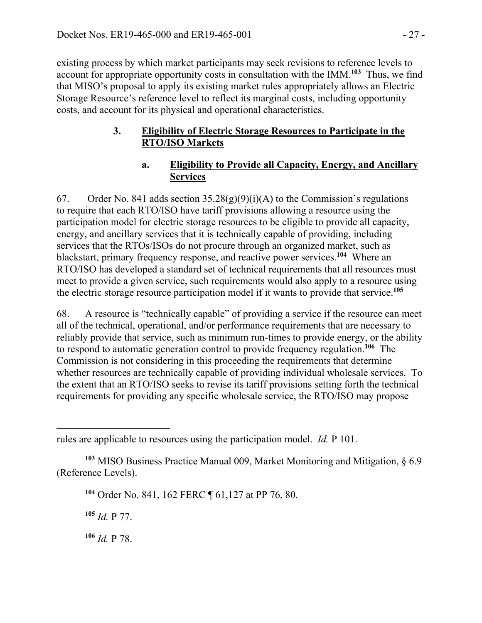existing process by which market participants may seek revisions to reference levels to account for appropriate opportunity costs in consultation with the IMM.**<sup>103</sup>** Thus, we find that MISO's proposal to apply its existing market rules appropriately allows an Electric Storage Resource's reference level to reflect its marginal costs, including opportunity costs, and account for its physical and operational characteristics.

## **3. Eligibility of Electric Storage Resources to Participate in the RTO/ISO Markets**

## **a. Eligibility to Provide all Capacity, Energy, and Ancillary Services**

67. Order No. 841 adds section  $35.28(g)(9)(i)(A)$  to the Commission's regulations to require that each RTO/ISO have tariff provisions allowing a resource using the participation model for electric storage resources to be eligible to provide all capacity, energy, and ancillary services that it is technically capable of providing, including services that the RTOs/ISOs do not procure through an organized market, such as blackstart, primary frequency response, and reactive power services.**<sup>104</sup>** Where an RTO/ISO has developed a standard set of technical requirements that all resources must meet to provide a given service, such requirements would also apply to a resource using the electric storage resource participation model if it wants to provide that service.**<sup>105</sup>**

68. A resource is "technically capable" of providing a service if the resource can meet all of the technical, operational, and/or performance requirements that are necessary to reliably provide that service, such as minimum run-times to provide energy, or the ability to respond to automatic generation control to provide frequency regulation.**<sup>106</sup>** The Commission is not considering in this proceeding the requirements that determine whether resources are technically capable of providing individual wholesale services. To the extent that an RTO/ISO seeks to revise its tariff provisions setting forth the technical requirements for providing any specific wholesale service, the RTO/ISO may propose

**<sup>105</sup>** *Id.* P 77.

 $\overline{a}$ 

**<sup>106</sup>** *Id.* P 78.

rules are applicable to resources using the participation model. *Id.* P 101.

**<sup>103</sup>** MISO Business Practice Manual 009, Market Monitoring and Mitigation, § 6.9 (Reference Levels).

**<sup>104</sup>** Order No. 841, 162 FERC ¶ 61,127 at PP 76, 80.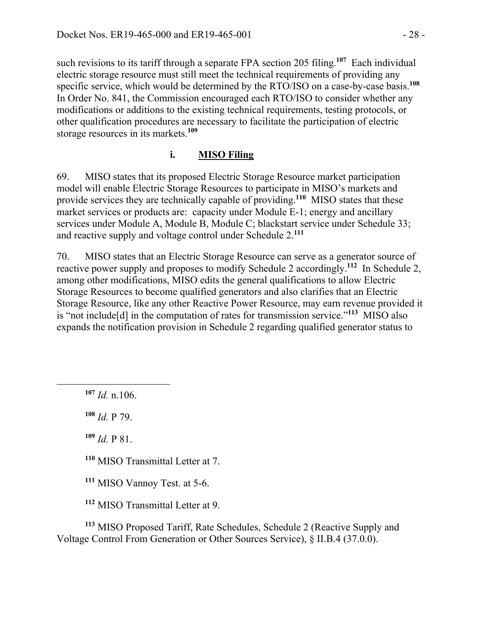such revisions to its tariff through a separate FPA section 205 filing.**<sup>107</sup>** Each individual electric storage resource must still meet the technical requirements of providing any specific service, which would be determined by the RTO/ISO on a case-by-case basis.**<sup>108</sup>** In Order No. 841, the Commission encouraged each RTO/ISO to consider whether any modifications or additions to the existing technical requirements, testing protocols, or other qualification procedures are necessary to facilitate the participation of electric storage resources in its markets.**<sup>109</sup>**

### **i. MISO Filing**

69. MISO states that its proposed Electric Storage Resource market participation model will enable Electric Storage Resources to participate in MISO's markets and provide services they are technically capable of providing.**<sup>110</sup>** MISO states that these market services or products are: capacity under Module E-1; energy and ancillary services under Module A, Module B, Module C; blackstart service under Schedule 33; and reactive supply and voltage control under Schedule 2.**<sup>111</sup>**

70. MISO states that an Electric Storage Resource can serve as a generator source of reactive power supply and proposes to modify Schedule 2 accordingly.**<sup>112</sup>** In Schedule 2, among other modifications, MISO edits the general qualifications to allow Electric Storage Resources to become qualified generators and also clarifies that an Electric Storage Resource, like any other Reactive Power Resource, may earn revenue provided it is "not include[d] in the computation of rates for transmission service."**<sup>113</sup>** MISO also expands the notification provision in Schedule 2 regarding qualified generator status to

 $107$  *Id.* n.106.

 $\overline{a}$ 

**<sup>108</sup>** *Id.* P 79.

 $109$  *Id.* P 81.

**<sup>110</sup>** MISO Transmittal Letter at 7.

**<sup>111</sup>** MISO Vannoy Test. at 5-6.

**<sup>112</sup>** MISO Transmittal Letter at 9.

**<sup>113</sup>** MISO Proposed Tariff, Rate Schedules, Schedule 2 (Reactive Supply and Voltage Control From Generation or Other Sources Service), § II.B.4 (37.0.0).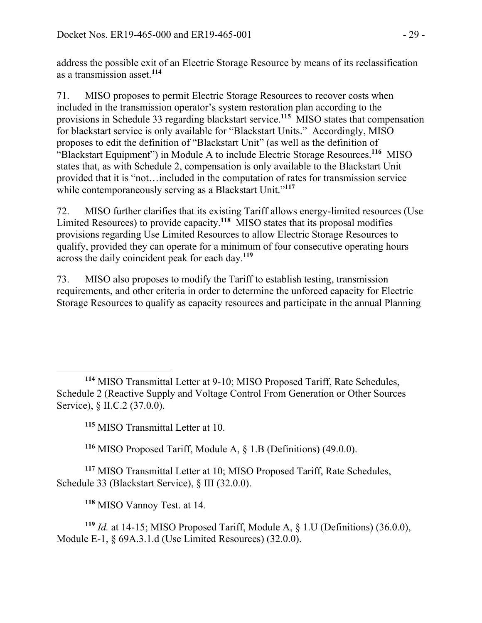address the possible exit of an Electric Storage Resource by means of its reclassification as a transmission asset.**<sup>114</sup>**

71. MISO proposes to permit Electric Storage Resources to recover costs when included in the transmission operator's system restoration plan according to the provisions in Schedule 33 regarding blackstart service.**<sup>115</sup>** MISO states that compensation for blackstart service is only available for "Blackstart Units." Accordingly, MISO proposes to edit the definition of "Blackstart Unit" (as well as the definition of "Blackstart Equipment") in Module A to include Electric Storage Resources.**<sup>116</sup>** MISO states that, as with Schedule 2, compensation is only available to the Blackstart Unit provided that it is "not…included in the computation of rates for transmission service while contemporaneously serving as a Blackstart Unit."<sup>117</sup>

72. MISO further clarifies that its existing Tariff allows energy-limited resources (Use Limited Resources) to provide capacity.**<sup>118</sup>** MISO states that its proposal modifies provisions regarding Use Limited Resources to allow Electric Storage Resources to qualify, provided they can operate for a minimum of four consecutive operating hours across the daily coincident peak for each day.**<sup>119</sup>**

73. MISO also proposes to modify the Tariff to establish testing, transmission requirements, and other criteria in order to determine the unforced capacity for Electric Storage Resources to qualify as capacity resources and participate in the annual Planning

**<sup>115</sup>** MISO Transmittal Letter at 10.

**<sup>116</sup>** MISO Proposed Tariff, Module A, § 1.B (Definitions) (49.0.0).

**<sup>117</sup>** MISO Transmittal Letter at 10; MISO Proposed Tariff, Rate Schedules, Schedule 33 (Blackstart Service), § III (32.0.0).

**<sup>118</sup>** MISO Vannoy Test. at 14.

**<sup>119</sup>** *Id.* at 14-15; MISO Proposed Tariff, Module A, § 1.U (Definitions) (36.0.0), Module E-1, § 69A.3.1.d (Use Limited Resources) (32.0.0).

 $\overline{a}$ **<sup>114</sup>** MISO Transmittal Letter at 9-10; MISO Proposed Tariff, Rate Schedules, Schedule 2 (Reactive Supply and Voltage Control From Generation or Other Sources Service), § II.C.2 (37.0.0).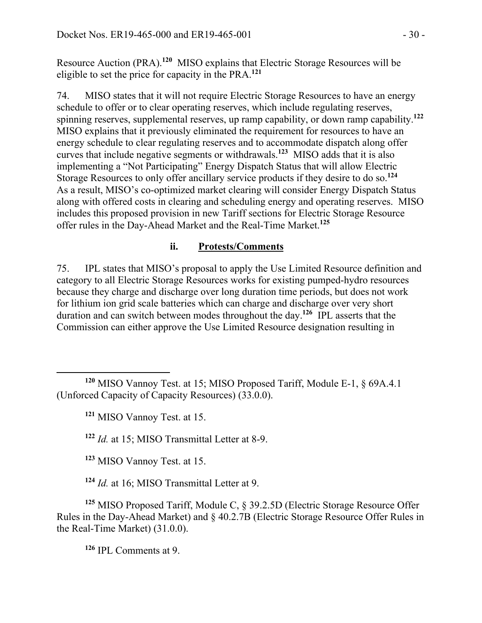Resource Auction (PRA).**<sup>120</sup>** MISO explains that Electric Storage Resources will be eligible to set the price for capacity in the PRA.**<sup>121</sup>**

74. MISO states that it will not require Electric Storage Resources to have an energy schedule to offer or to clear operating reserves, which include regulating reserves, spinning reserves, supplemental reserves, up ramp capability, or down ramp capability.**<sup>122</sup>** MISO explains that it previously eliminated the requirement for resources to have an energy schedule to clear regulating reserves and to accommodate dispatch along offer curves that include negative segments or withdrawals.**<sup>123</sup>** MISO adds that it is also implementing a "Not Participating" Energy Dispatch Status that will allow Electric Storage Resources to only offer ancillary service products if they desire to do so.**<sup>124</sup>** As a result, MISO's co-optimized market clearing will consider Energy Dispatch Status along with offered costs in clearing and scheduling energy and operating reserves. MISO includes this proposed provision in new Tariff sections for Electric Storage Resource offer rules in the Day-Ahead Market and the Real-Time Market.**<sup>125</sup>**

## **ii. Protests/Comments**

75. IPL states that MISO's proposal to apply the Use Limited Resource definition and category to all Electric Storage Resources works for existing pumped-hydro resources because they charge and discharge over long duration time periods, but does not work for lithium ion grid scale batteries which can charge and discharge over very short duration and can switch between modes throughout the day.**<sup>126</sup>** IPL asserts that the Commission can either approve the Use Limited Resource designation resulting in

**<sup>121</sup>** MISO Vannoy Test. at 15.

**<sup>122</sup>** *Id.* at 15; MISO Transmittal Letter at 8-9.

**<sup>123</sup>** MISO Vannoy Test. at 15.

**<sup>124</sup>** *Id.* at 16; MISO Transmittal Letter at 9.

**<sup>125</sup>** MISO Proposed Tariff, Module C, § 39.2.5D (Electric Storage Resource Offer Rules in the Day-Ahead Market) and § 40.2.7B (Electric Storage Resource Offer Rules in the Real-Time Market) (31.0.0).

**<sup>126</sup>** IPL Comments at 9.

 $\overline{a}$ **<sup>120</sup>** MISO Vannoy Test. at 15; MISO Proposed Tariff, Module E-1, § 69A.4.1 (Unforced Capacity of Capacity Resources) (33.0.0).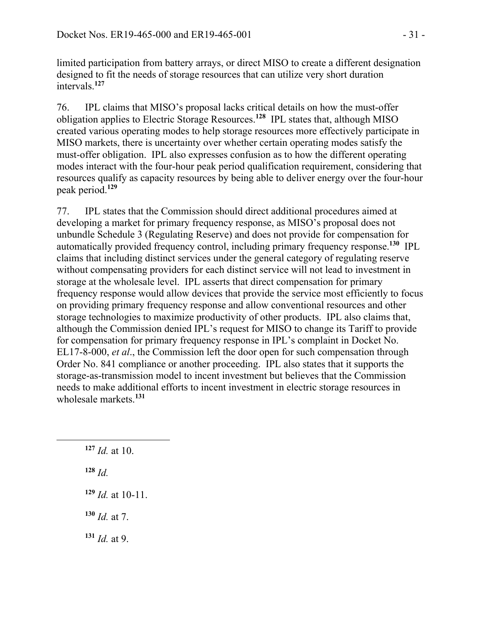limited participation from battery arrays, or direct MISO to create a different designation designed to fit the needs of storage resources that can utilize very short duration intervals.**<sup>127</sup>**

76. IPL claims that MISO's proposal lacks critical details on how the must-offer obligation applies to Electric Storage Resources.**<sup>128</sup>** IPL states that, although MISO created various operating modes to help storage resources more effectively participate in MISO markets, there is uncertainty over whether certain operating modes satisfy the must-offer obligation. IPL also expresses confusion as to how the different operating modes interact with the four-hour peak period qualification requirement, considering that resources qualify as capacity resources by being able to deliver energy over the four-hour peak period.**<sup>129</sup>**

77. IPL states that the Commission should direct additional procedures aimed at developing a market for primary frequency response, as MISO's proposal does not unbundle Schedule 3 (Regulating Reserve) and does not provide for compensation for automatically provided frequency control, including primary frequency response.**<sup>130</sup>** IPL claims that including distinct services under the general category of regulating reserve without compensating providers for each distinct service will not lead to investment in storage at the wholesale level. IPL asserts that direct compensation for primary frequency response would allow devices that provide the service most efficiently to focus on providing primary frequency response and allow conventional resources and other storage technologies to maximize productivity of other products. IPL also claims that, although the Commission denied IPL's request for MISO to change its Tariff to provide for compensation for primary frequency response in IPL's complaint in Docket No. EL17-8-000, *et al*., the Commission left the door open for such compensation through Order No. 841 compliance or another proceeding. IPL also states that it supports the storage-as-transmission model to incent investment but believes that the Commission needs to make additional efforts to incent investment in electric storage resources in wholesale markets.**<sup>131</sup>**

 *Id.* at 10. **<sup>128</sup>** *Id. Id.* at 10-11. *Id.* at 7. *Id.* at 9.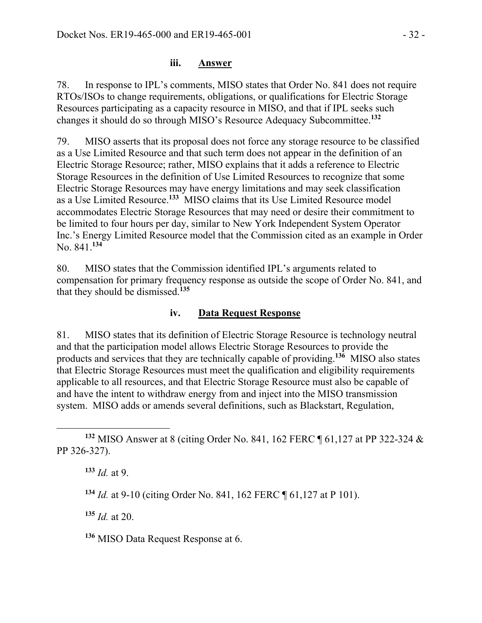### **iii. Answer**

78. In response to IPL's comments, MISO states that Order No. 841 does not require RTOs/ISOs to change requirements, obligations, or qualifications for Electric Storage Resources participating as a capacity resource in MISO, and that if IPL seeks such changes it should do so through MISO's Resource Adequacy Subcommittee.**<sup>132</sup>**

79. MISO asserts that its proposal does not force any storage resource to be classified as a Use Limited Resource and that such term does not appear in the definition of an Electric Storage Resource; rather, MISO explains that it adds a reference to Electric Storage Resources in the definition of Use Limited Resources to recognize that some Electric Storage Resources may have energy limitations and may seek classification as a Use Limited Resource.**<sup>133</sup>** MISO claims that its Use Limited Resource model accommodates Electric Storage Resources that may need or desire their commitment to be limited to four hours per day, similar to New York Independent System Operator Inc.'s Energy Limited Resource model that the Commission cited as an example in Order No. 841.**<sup>134</sup>**

80. MISO states that the Commission identified IPL's arguments related to compensation for primary frequency response as outside the scope of Order No. 841, and that they should be dismissed.**<sup>135</sup>**

## **iv. Data Request Response**

81. MISO states that its definition of Electric Storage Resource is technology neutral and that the participation model allows Electric Storage Resources to provide the products and services that they are technically capable of providing.**<sup>136</sup>** MISO also states that Electric Storage Resources must meet the qualification and eligibility requirements applicable to all resources, and that Electric Storage Resource must also be capable of and have the intent to withdraw energy from and inject into the MISO transmission system. MISO adds or amends several definitions, such as Blackstart, Regulation,

 $\overline{a}$ 

**<sup>135</sup>** *Id.* at 20.

**<sup>136</sup>** MISO Data Request Response at 6.

**<sup>132</sup>** MISO Answer at 8 (citing Order No. 841, 162 FERC ¶ 61,127 at PP 322-324 & PP 326-327).

**<sup>133</sup>** *Id.* at 9.

**<sup>134</sup>** *Id.* at 9-10 (citing Order No. 841, 162 FERC ¶ 61,127 at P 101).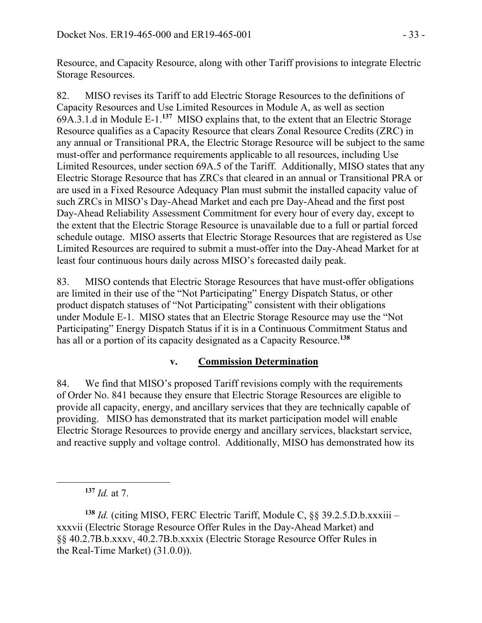Resource, and Capacity Resource, along with other Tariff provisions to integrate Electric Storage Resources.

82. MISO revises its Tariff to add Electric Storage Resources to the definitions of Capacity Resources and Use Limited Resources in Module A, as well as section 69A.3.1.d in Module E-1.**<sup>137</sup>** MISO explains that, to the extent that an Electric Storage Resource qualifies as a Capacity Resource that clears Zonal Resource Credits (ZRC) in any annual or Transitional PRA, the Electric Storage Resource will be subject to the same must-offer and performance requirements applicable to all resources, including Use Limited Resources, under section 69A.5 of the Tariff. Additionally, MISO states that any Electric Storage Resource that has ZRCs that cleared in an annual or Transitional PRA or are used in a Fixed Resource Adequacy Plan must submit the installed capacity value of such ZRCs in MISO's Day-Ahead Market and each pre Day-Ahead and the first post Day-Ahead Reliability Assessment Commitment for every hour of every day, except to the extent that the Electric Storage Resource is unavailable due to a full or partial forced schedule outage. MISO asserts that Electric Storage Resources that are registered as Use Limited Resources are required to submit a must-offer into the Day-Ahead Market for at least four continuous hours daily across MISO's forecasted daily peak.

83. MISO contends that Electric Storage Resources that have must-offer obligations are limited in their use of the "Not Participating" Energy Dispatch Status, or other product dispatch statuses of "Not Participating" consistent with their obligations under Module E-1. MISO states that an Electric Storage Resource may use the "Not Participating" Energy Dispatch Status if it is in a Continuous Commitment Status and has all or a portion of its capacity designated as a Capacity Resource.**<sup>138</sup>**

## **v. Commission Determination**

84. We find that MISO's proposed Tariff revisions comply with the requirements of Order No. 841 because they ensure that Electric Storage Resources are eligible to provide all capacity, energy, and ancillary services that they are technically capable of providing. MISO has demonstrated that its market participation model will enable Electric Storage Resources to provide energy and ancillary services, blackstart service, and reactive supply and voltage control. Additionally, MISO has demonstrated how its

**<sup>137</sup>** *Id.* at 7.

**<sup>138</sup>** *Id.* (citing MISO, FERC Electric Tariff, Module C, §§ 39.2.5.D.b.xxxiii – xxxvii (Electric Storage Resource Offer Rules in the Day-Ahead Market) and §§ 40.2.7B.b.xxxv, 40.2.7B.b.xxxix (Electric Storage Resource Offer Rules in the Real-Time Market) (31.0.0)).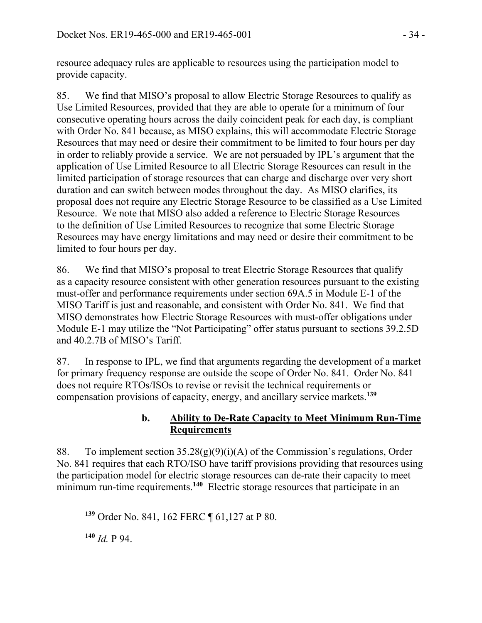resource adequacy rules are applicable to resources using the participation model to provide capacity.

85. We find that MISO's proposal to allow Electric Storage Resources to qualify as Use Limited Resources, provided that they are able to operate for a minimum of four consecutive operating hours across the daily coincident peak for each day, is compliant with Order No. 841 because, as MISO explains, this will accommodate Electric Storage Resources that may need or desire their commitment to be limited to four hours per day in order to reliably provide a service. We are not persuaded by IPL's argument that the application of Use Limited Resource to all Electric Storage Resources can result in the limited participation of storage resources that can charge and discharge over very short duration and can switch between modes throughout the day. As MISO clarifies, its proposal does not require any Electric Storage Resource to be classified as a Use Limited Resource. We note that MISO also added a reference to Electric Storage Resources to the definition of Use Limited Resources to recognize that some Electric Storage Resources may have energy limitations and may need or desire their commitment to be limited to four hours per day.

86. We find that MISO's proposal to treat Electric Storage Resources that qualify as a capacity resource consistent with other generation resources pursuant to the existing must-offer and performance requirements under section 69A.5 in Module E-1 of the MISO Tariff is just and reasonable, and consistent with Order No. 841. We find that MISO demonstrates how Electric Storage Resources with must-offer obligations under Module E-1 may utilize the "Not Participating" offer status pursuant to sections 39.2.5D and 40.2.7B of MISO's Tariff.

87. In response to IPL, we find that arguments regarding the development of a market for primary frequency response are outside the scope of Order No. 841. Order No. 841 does not require RTOs/ISOs to revise or revisit the technical requirements or compensation provisions of capacity, energy, and ancillary service markets.**<sup>139</sup>**

## **b. Ability to De-Rate Capacity to Meet Minimum Run-Time Requirements**

88. To implement section  $35.28(g)(9)(i)(A)$  of the Commission's regulations, Order No. 841 requires that each RTO/ISO have tariff provisions providing that resources using the participation model for electric storage resources can de-rate their capacity to meet minimum run-time requirements.<sup>140</sup> Electric storage resources that participate in an

**<sup>140</sup>** *Id.* P 94.

**<sup>139</sup>** Order No. 841, 162 FERC ¶ 61,127 at P 80.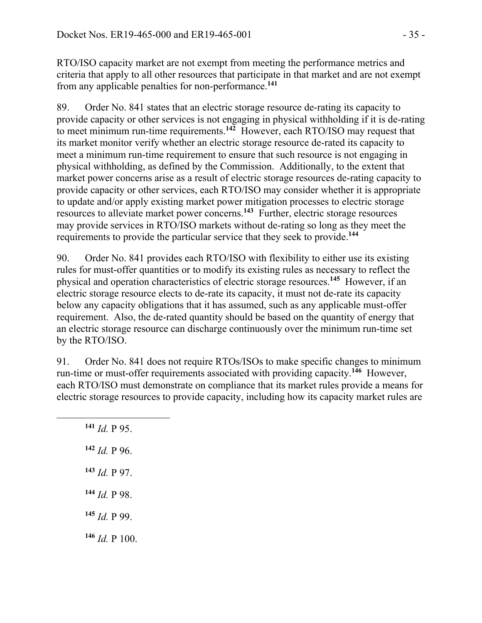RTO/ISO capacity market are not exempt from meeting the performance metrics and criteria that apply to all other resources that participate in that market and are not exempt from any applicable penalties for non-performance.**<sup>141</sup>**

89. Order No. 841 states that an electric storage resource de-rating its capacity to provide capacity or other services is not engaging in physical withholding if it is de-rating to meet minimum run-time requirements.**<sup>142</sup>** However, each RTO/ISO may request that its market monitor verify whether an electric storage resource de-rated its capacity to meet a minimum run-time requirement to ensure that such resource is not engaging in physical withholding, as defined by the Commission. Additionally, to the extent that market power concerns arise as a result of electric storage resources de-rating capacity to provide capacity or other services, each RTO/ISO may consider whether it is appropriate to update and/or apply existing market power mitigation processes to electric storage resources to alleviate market power concerns.**<sup>143</sup>** Further, electric storage resources may provide services in RTO/ISO markets without de-rating so long as they meet the requirements to provide the particular service that they seek to provide.**<sup>144</sup>**

90. Order No. 841 provides each RTO/ISO with flexibility to either use its existing rules for must-offer quantities or to modify its existing rules as necessary to reflect the physical and operation characteristics of electric storage resources.**<sup>145</sup>** However, if an electric storage resource elects to de-rate its capacity, it must not de-rate its capacity below any capacity obligations that it has assumed, such as any applicable must-offer requirement. Also, the de-rated quantity should be based on the quantity of energy that an electric storage resource can discharge continuously over the minimum run-time set by the RTO/ISO.

91. Order No. 841 does not require RTOs/ISOs to make specific changes to minimum run-time or must-offer requirements associated with providing capacity.**<sup>146</sup>** However, each RTO/ISO must demonstrate on compliance that its market rules provide a means for electric storage resources to provide capacity, including how its capacity market rules are

 *Id.* P 95. *Id.* P 96. *Id.* P 97. *Id.* P 98. *Id.* P 99. *Id.* P 100.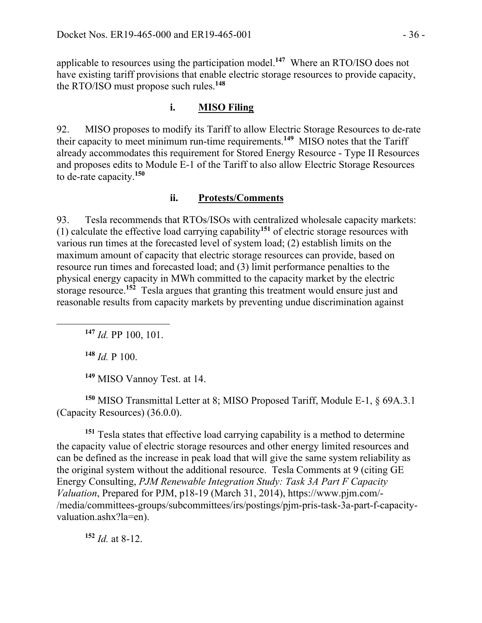applicable to resources using the participation model.**<sup>147</sup>** Where an RTO/ISO does not have existing tariff provisions that enable electric storage resources to provide capacity, the RTO/ISO must propose such rules.**<sup>148</sup>**

### **i. MISO Filing**

92. MISO proposes to modify its Tariff to allow Electric Storage Resources to de-rate their capacity to meet minimum run-time requirements.**<sup>149</sup>** MISO notes that the Tariff already accommodates this requirement for Stored Energy Resource - Type II Resources and proposes edits to Module E-1 of the Tariff to also allow Electric Storage Resources to de-rate capacity.**<sup>150</sup>**

### **ii. Protests/Comments**

93. Tesla recommends that RTOs/ISOs with centralized wholesale capacity markets: (1) calculate the effective load carrying capability**<sup>151</sup>** of electric storage resources with various run times at the forecasted level of system load; (2) establish limits on the maximum amount of capacity that electric storage resources can provide, based on resource run times and forecasted load; and (3) limit performance penalties to the physical energy capacity in MWh committed to the capacity market by the electric storage resource.**<sup>152</sup>** Tesla argues that granting this treatment would ensure just and reasonable results from capacity markets by preventing undue discrimination against

**<sup>147</sup>** *Id.* PP 100, 101.

 $148$  *Id.* P 100.

**<sup>149</sup>** MISO Vannoy Test. at 14.

**<sup>150</sup>** MISO Transmittal Letter at 8; MISO Proposed Tariff, Module E-1, § 69A.3.1 (Capacity Resources) (36.0.0).

**<sup>151</sup>** Tesla states that effective load carrying capability is a method to determine the capacity value of electric storage resources and other energy limited resources and can be defined as the increase in peak load that will give the same system reliability as the original system without the additional resource. Tesla Comments at 9 (citing GE Energy Consulting, *PJM Renewable Integration Study: Task 3A Part F Capacity Valuation*, Prepared for PJM, p18-19 (March 31, 2014), https://www.pjm.com/- /media/committees-groups/subcommittees/irs/postings/pjm-pris-task-3a-part-f-capacityvaluation.ashx?la=en).

**<sup>152</sup>** *Id.* at 8-12.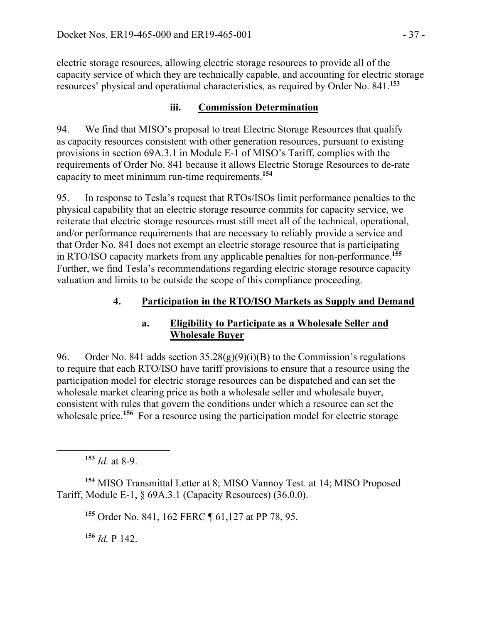electric storage resources, allowing electric storage resources to provide all of the capacity service of which they are technically capable, and accounting for electric storage resources' physical and operational characteristics, as required by Order No. 841.**<sup>153</sup>**

### **iii. Commission Determination**

94. We find that MISO's proposal to treat Electric Storage Resources that qualify as capacity resources consistent with other generation resources, pursuant to existing provisions in section 69A.3.1 in Module E-1 of MISO's Tariff, complies with the requirements of Order No. 841 because it allows Electric Storage Resources to de-rate capacity to meet minimum run-time requirements.**<sup>154</sup>**

95. In response to Tesla's request that RTOs/ISOs limit performance penalties to the physical capability that an electric storage resource commits for capacity service, we reiterate that electric storage resources must still meet all of the technical, operational, and/or performance requirements that are necessary to reliably provide a service and that Order No. 841 does not exempt an electric storage resource that is participating in RTO/ISO capacity markets from any applicable penalties for non-performance.**<sup>155</sup>** Further, we find Tesla's recommendations regarding electric storage resource capacity valuation and limits to be outside the scope of this compliance proceeding.

# **4. Participation in the RTO/ISO Markets as Supply and Demand**

### **a. Eligibility to Participate as a Wholesale Seller and Wholesale Buyer**

96. Order No. 841 adds section  $35.28(g)(9)(i)(B)$  to the Commission's regulations to require that each RTO/ISO have tariff provisions to ensure that a resource using the participation model for electric storage resources can be dispatched and can set the wholesale market clearing price as both a wholesale seller and wholesale buyer, consistent with rules that govern the conditions under which a resource can set the wholesale price.<sup>156</sup> For a resource using the participation model for electric storage

**<sup>153</sup>** *Id.* at 8-9.

**<sup>154</sup>** MISO Transmittal Letter at 8; MISO Vannoy Test. at 14; MISO Proposed Tariff, Module E-1, § 69A.3.1 (Capacity Resources) (36.0.0).

**<sup>155</sup>** Order No. 841, 162 FERC ¶ 61,127 at PP 78, 95.

**<sup>156</sup>** *Id.* P 142.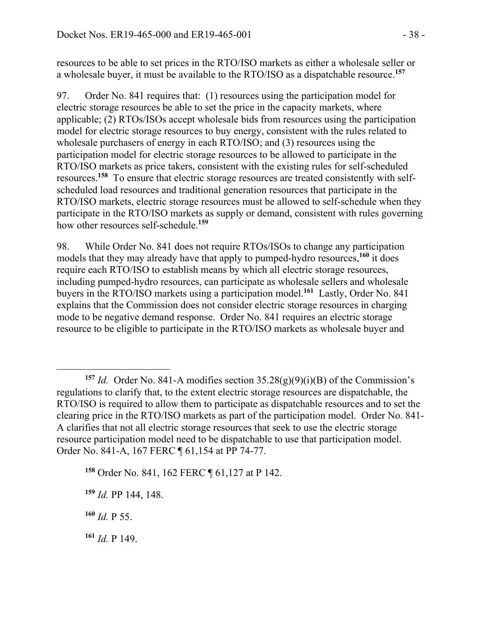resources to be able to set prices in the RTO/ISO markets as either a wholesale seller or a wholesale buyer, it must be available to the RTO/ISO as a dispatchable resource.**<sup>157</sup>**

97. Order No. 841 requires that: (1) resources using the participation model for electric storage resources be able to set the price in the capacity markets, where applicable; (2) RTOs/ISOs accept wholesale bids from resources using the participation model for electric storage resources to buy energy, consistent with the rules related to wholesale purchasers of energy in each RTO/ISO; and (3) resources using the participation model for electric storage resources to be allowed to participate in the RTO/ISO markets as price takers, consistent with the existing rules for self-scheduled resources.**<sup>158</sup>** To ensure that electric storage resources are treated consistently with selfscheduled load resources and traditional generation resources that participate in the RTO/ISO markets, electric storage resources must be allowed to self-schedule when they participate in the RTO/ISO markets as supply or demand, consistent with rules governing how other resources self-schedule.**<sup>159</sup>**

98. While Order No. 841 does not require RTOs/ISOs to change any participation models that they may already have that apply to pumped-hydro resources,**<sup>160</sup>** it does require each RTO/ISO to establish means by which all electric storage resources, including pumped-hydro resources, can participate as wholesale sellers and wholesale buyers in the RTO/ISO markets using a participation model.**<sup>161</sup>** Lastly, Order No. 841 explains that the Commission does not consider electric storage resources in charging mode to be negative demand response. Order No. 841 requires an electric storage resource to be eligible to participate in the RTO/ISO markets as wholesale buyer and

**<sup>158</sup>** Order No. 841, 162 FERC ¶ 61,127 at P 142.

**<sup>160</sup>** *Id.* P 55.

 $\overline{a}$ <sup>157</sup> *Id.* Order No. 841-A modifies section  $35.28(g)(9)(i)(B)$  of the Commission's regulations to clarify that, to the extent electric storage resources are dispatchable, the RTO/ISO is required to allow them to participate as dispatchable resources and to set the clearing price in the RTO/ISO markets as part of the participation model. Order No. 841- A clarifies that not all electric storage resources that seek to use the electric storage resource participation model need to be dispatchable to use that participation model. Order No. 841-A, 167 FERC ¶ 61,154 at PP 74-77.

**<sup>159</sup>** *Id.* PP 144, 148.

**<sup>161</sup>** *Id.* P 149.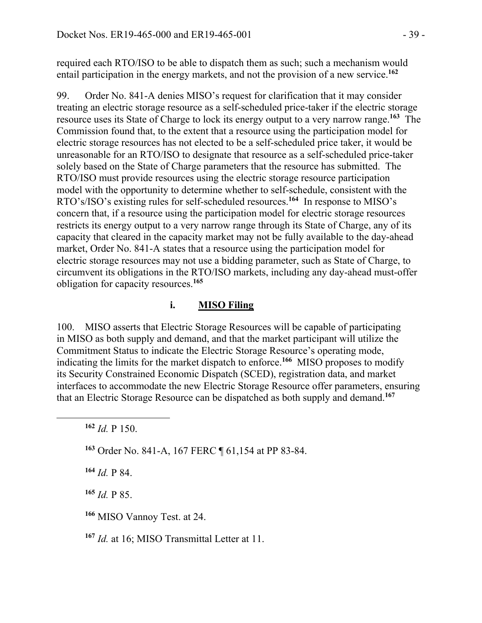required each RTO/ISO to be able to dispatch them as such; such a mechanism would entail participation in the energy markets, and not the provision of a new service.**<sup>162</sup>**

99. Order No. 841-A denies MISO's request for clarification that it may consider treating an electric storage resource as a self-scheduled price-taker if the electric storage resource uses its State of Charge to lock its energy output to a very narrow range.**<sup>163</sup>** The Commission found that, to the extent that a resource using the participation model for electric storage resources has not elected to be a self-scheduled price taker, it would be unreasonable for an RTO/ISO to designate that resource as a self-scheduled price-taker solely based on the State of Charge parameters that the resource has submitted. The RTO/ISO must provide resources using the electric storage resource participation model with the opportunity to determine whether to self-schedule, consistent with the RTO's/ISO's existing rules for self-scheduled resources.**<sup>164</sup>** In response to MISO's concern that, if a resource using the participation model for electric storage resources restricts its energy output to a very narrow range through its State of Charge, any of its capacity that cleared in the capacity market may not be fully available to the day-ahead market, Order No. 841-A states that a resource using the participation model for electric storage resources may not use a bidding parameter, such as State of Charge, to circumvent its obligations in the RTO/ISO markets, including any day-ahead must-offer obligation for capacity resources.**<sup>165</sup>**

### **i. MISO Filing**

100. MISO asserts that Electric Storage Resources will be capable of participating in MISO as both supply and demand, and that the market participant will utilize the Commitment Status to indicate the Electric Storage Resource's operating mode, indicating the limits for the market dispatch to enforce.**<sup>166</sup>** MISO proposes to modify its Security Constrained Economic Dispatch (SCED), registration data, and market interfaces to accommodate the new Electric Storage Resource offer parameters, ensuring that an Electric Storage Resource can be dispatched as both supply and demand.**<sup>167</sup>**

**<sup>164</sup>** *Id.* P 84.

**<sup>165</sup>** *Id.* P 85.

**<sup>166</sup>** MISO Vannoy Test. at 24.

**<sup>167</sup>** *Id.* at 16; MISO Transmittal Letter at 11.

**<sup>162</sup>** *Id.* P 150.

**<sup>163</sup>** Order No. 841-A, 167 FERC ¶ 61,154 at PP 83-84.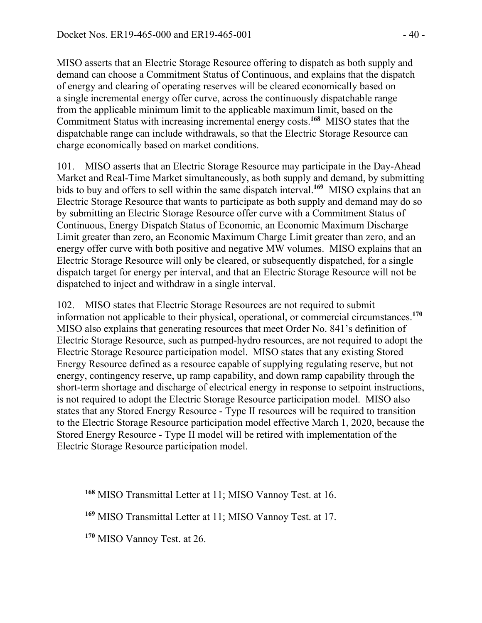MISO asserts that an Electric Storage Resource offering to dispatch as both supply and demand can choose a Commitment Status of Continuous, and explains that the dispatch of energy and clearing of operating reserves will be cleared economically based on a single incremental energy offer curve, across the continuously dispatchable range from the applicable minimum limit to the applicable maximum limit, based on the Commitment Status with increasing incremental energy costs.**<sup>168</sup>** MISO states that the dispatchable range can include withdrawals, so that the Electric Storage Resource can charge economically based on market conditions.

101. MISO asserts that an Electric Storage Resource may participate in the Day-Ahead Market and Real-Time Market simultaneously, as both supply and demand, by submitting bids to buy and offers to sell within the same dispatch interval.**<sup>169</sup>** MISO explains that an Electric Storage Resource that wants to participate as both supply and demand may do so by submitting an Electric Storage Resource offer curve with a Commitment Status of Continuous, Energy Dispatch Status of Economic, an Economic Maximum Discharge Limit greater than zero, an Economic Maximum Charge Limit greater than zero, and an energy offer curve with both positive and negative MW volumes. MISO explains that an Electric Storage Resource will only be cleared, or subsequently dispatched, for a single dispatch target for energy per interval, and that an Electric Storage Resource will not be dispatched to inject and withdraw in a single interval.

102. MISO states that Electric Storage Resources are not required to submit information not applicable to their physical, operational, or commercial circumstances.**<sup>170</sup>** MISO also explains that generating resources that meet Order No. 841's definition of Electric Storage Resource, such as pumped-hydro resources, are not required to adopt the Electric Storage Resource participation model. MISO states that any existing Stored Energy Resource defined as a resource capable of supplying regulating reserve, but not energy, contingency reserve, up ramp capability, and down ramp capability through the short-term shortage and discharge of electrical energy in response to setpoint instructions, is not required to adopt the Electric Storage Resource participation model. MISO also states that any Stored Energy Resource - Type II resources will be required to transition to the Electric Storage Resource participation model effective March 1, 2020, because the Stored Energy Resource - Type II model will be retired with implementation of the Electric Storage Resource participation model.

**<sup>168</sup>** MISO Transmittal Letter at 11; MISO Vannoy Test. at 16.

**<sup>169</sup>** MISO Transmittal Letter at 11; MISO Vannoy Test. at 17.

**<sup>170</sup>** MISO Vannoy Test. at 26.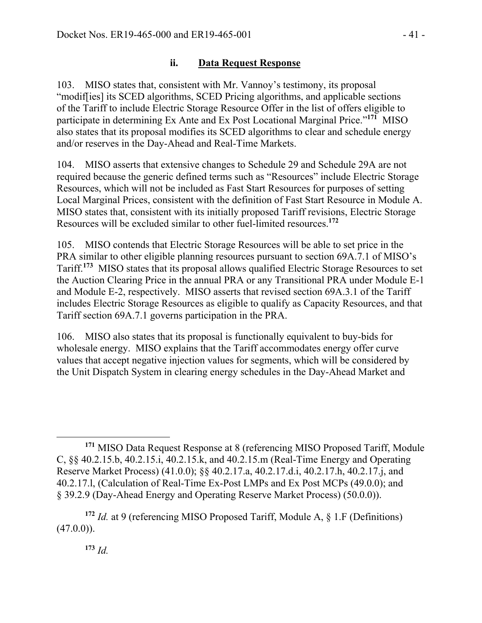### **ii. Data Request Response**

103. MISO states that, consistent with Mr. Vannoy's testimony, its proposal "modif[ies] its SCED algorithms, SCED Pricing algorithms, and applicable sections of the Tariff to include Electric Storage Resource Offer in the list of offers eligible to participate in determining Ex Ante and Ex Post Locational Marginal Price."**<sup>171</sup>** MISO also states that its proposal modifies its SCED algorithms to clear and schedule energy and/or reserves in the Day-Ahead and Real-Time Markets.

104. MISO asserts that extensive changes to Schedule 29 and Schedule 29A are not required because the generic defined terms such as "Resources" include Electric Storage Resources, which will not be included as Fast Start Resources for purposes of setting Local Marginal Prices, consistent with the definition of Fast Start Resource in Module A. MISO states that, consistent with its initially proposed Tariff revisions, Electric Storage Resources will be excluded similar to other fuel-limited resources.**<sup>172</sup>**

105. MISO contends that Electric Storage Resources will be able to set price in the PRA similar to other eligible planning resources pursuant to section 69A.7.1 of MISO's Tariff.**<sup>173</sup>** MISO states that its proposal allows qualified Electric Storage Resources to set the Auction Clearing Price in the annual PRA or any Transitional PRA under Module E-1 and Module E-2, respectively. MISO asserts that revised section 69A.3.1 of the Tariff includes Electric Storage Resources as eligible to qualify as Capacity Resources, and that Tariff section 69A.7.1 governs participation in the PRA.

106. MISO also states that its proposal is functionally equivalent to buy-bids for wholesale energy. MISO explains that the Tariff accommodates energy offer curve values that accept negative injection values for segments, which will be considered by the Unit Dispatch System in clearing energy schedules in the Day-Ahead Market and

 $\overline{a}$ **<sup>171</sup>** MISO Data Request Response at 8 (referencing MISO Proposed Tariff, Module C, §§ 40.2.15.b, 40.2.15.i, 40.2.15.k, and 40.2.15.m (Real-Time Energy and Operating Reserve Market Process) (41.0.0); §§ 40.2.17.a, 40.2.17.d.i, 40.2.17.h, 40.2.17.j, and 40.2.17.l, (Calculation of Real-Time Ex-Post LMPs and Ex Post MCPs (49.0.0); and § 39.2.9 (Day-Ahead Energy and Operating Reserve Market Process) (50.0.0)).

**<sup>172</sup>** *Id.* at 9 (referencing MISO Proposed Tariff, Module A, § 1.F (Definitions)  $(47.0.0)$ .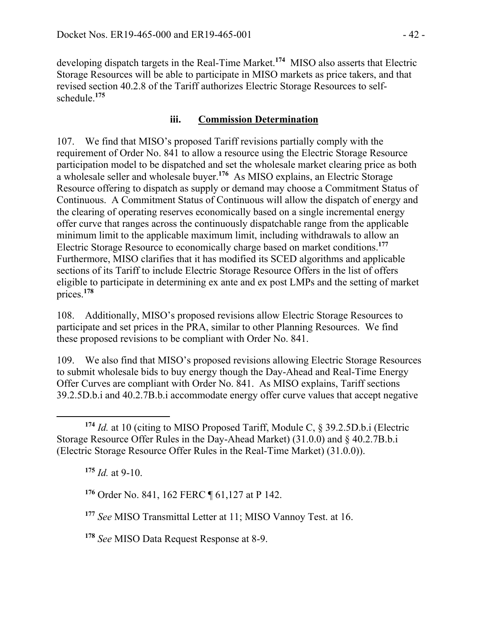developing dispatch targets in the Real-Time Market.**<sup>174</sup>** MISO also asserts that Electric Storage Resources will be able to participate in MISO markets as price takers, and that revised section 40.2.8 of the Tariff authorizes Electric Storage Resources to selfschedule.**<sup>175</sup>**

#### **iii. Commission Determination**

107. We find that MISO's proposed Tariff revisions partially comply with the requirement of Order No. 841 to allow a resource using the Electric Storage Resource participation model to be dispatched and set the wholesale market clearing price as both a wholesale seller and wholesale buyer.**<sup>176</sup>** As MISO explains, an Electric Storage Resource offering to dispatch as supply or demand may choose a Commitment Status of Continuous. A Commitment Status of Continuous will allow the dispatch of energy and the clearing of operating reserves economically based on a single incremental energy offer curve that ranges across the continuously dispatchable range from the applicable minimum limit to the applicable maximum limit, including withdrawals to allow an Electric Storage Resource to economically charge based on market conditions.**<sup>177</sup>** Furthermore, MISO clarifies that it has modified its SCED algorithms and applicable sections of its Tariff to include Electric Storage Resource Offers in the list of offers eligible to participate in determining ex ante and ex post LMPs and the setting of market prices.**<sup>178</sup>**

108. Additionally, MISO's proposed revisions allow Electric Storage Resources to participate and set prices in the PRA, similar to other Planning Resources. We find these proposed revisions to be compliant with Order No. 841.

109. We also find that MISO's proposed revisions allowing Electric Storage Resources to submit wholesale bids to buy energy though the Day-Ahead and Real-Time Energy Offer Curves are compliant with Order No. 841. As MISO explains, Tariff sections 39.2.5D.b.i and 40.2.7B.b.i accommodate energy offer curve values that accept negative

**<sup>175</sup>** *Id.* at 9-10.

 $\overline{a}$ 

**<sup>176</sup>** Order No. 841, 162 FERC ¶ 61,127 at P 142.

**<sup>177</sup>** *See* MISO Transmittal Letter at 11; MISO Vannoy Test. at 16.

**<sup>178</sup>** *See* MISO Data Request Response at 8-9.

**<sup>174</sup>** *Id.* at 10 (citing to MISO Proposed Tariff, Module C, § 39.2.5D.b.i (Electric Storage Resource Offer Rules in the Day-Ahead Market) (31.0.0) and § 40.2.7B.b.i (Electric Storage Resource Offer Rules in the Real-Time Market) (31.0.0)).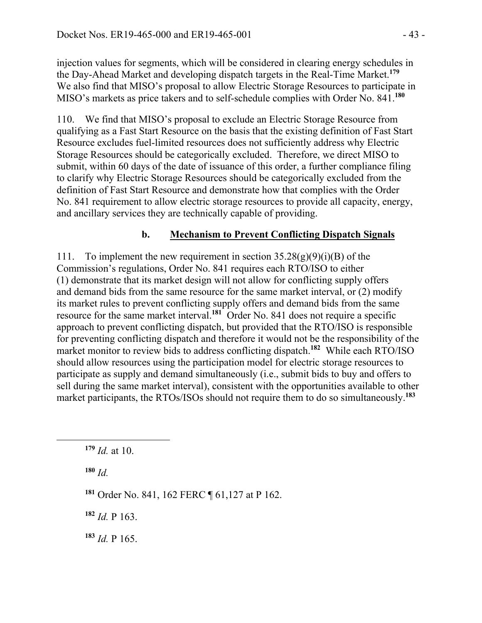injection values for segments, which will be considered in clearing energy schedules in the Day-Ahead Market and developing dispatch targets in the Real-Time Market.**<sup>179</sup>** We also find that MISO's proposal to allow Electric Storage Resources to participate in MISO's markets as price takers and to self-schedule complies with Order No. 841.**<sup>180</sup>**

110. We find that MISO's proposal to exclude an Electric Storage Resource from qualifying as a Fast Start Resource on the basis that the existing definition of Fast Start Resource excludes fuel-limited resources does not sufficiently address why Electric Storage Resources should be categorically excluded. Therefore, we direct MISO to submit, within 60 days of the date of issuance of this order, a further compliance filing to clarify why Electric Storage Resources should be categorically excluded from the definition of Fast Start Resource and demonstrate how that complies with the Order No. 841 requirement to allow electric storage resources to provide all capacity, energy, and ancillary services they are technically capable of providing.

### **b. Mechanism to Prevent Conflicting Dispatch Signals**

111. To implement the new requirement in section  $35.28(g)(9)(i)(B)$  of the Commission's regulations, Order No. 841 requires each RTO/ISO to either (1) demonstrate that its market design will not allow for conflicting supply offers and demand bids from the same resource for the same market interval, or (2) modify its market rules to prevent conflicting supply offers and demand bids from the same resource for the same market interval.**<sup>181</sup>** Order No. 841 does not require a specific approach to prevent conflicting dispatch, but provided that the RTO/ISO is responsible for preventing conflicting dispatch and therefore it would not be the responsibility of the market monitor to review bids to address conflicting dispatch.**<sup>182</sup>** While each RTO/ISO should allow resources using the participation model for electric storage resources to participate as supply and demand simultaneously (i.e., submit bids to buy and offers to sell during the same market interval), consistent with the opportunities available to other market participants, the RTOs/ISOs should not require them to do so simultaneously.**<sup>183</sup>**

**<sup>180</sup>** *Id.*

 $\overline{a}$ 

**<sup>181</sup>** Order No. 841, 162 FERC ¶ 61,127 at P 162.

**<sup>182</sup>** *Id.* P 163.

**<sup>183</sup>** *Id.* P 165.

**<sup>179</sup>** *Id.* at 10.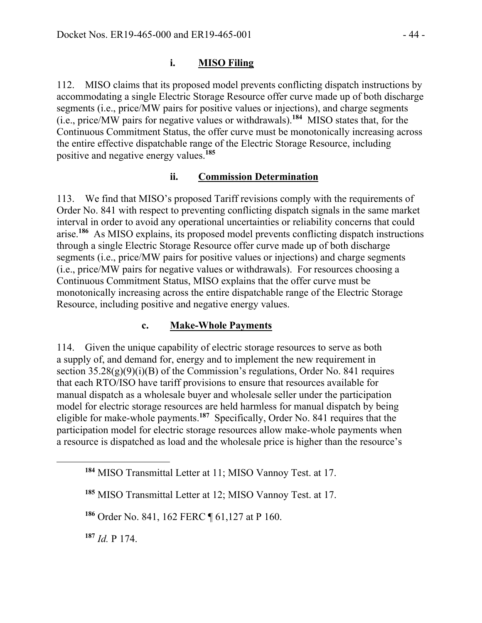### **i. MISO Filing**

112. MISO claims that its proposed model prevents conflicting dispatch instructions by accommodating a single Electric Storage Resource offer curve made up of both discharge segments (i.e., price/MW pairs for positive values or injections), and charge segments (i.e., price/MW pairs for negative values or withdrawals).**<sup>184</sup>** MISO states that, for the Continuous Commitment Status, the offer curve must be monotonically increasing across the entire effective dispatchable range of the Electric Storage Resource, including positive and negative energy values.**<sup>185</sup>**

### **ii. Commission Determination**

113. We find that MISO's proposed Tariff revisions comply with the requirements of Order No. 841 with respect to preventing conflicting dispatch signals in the same market interval in order to avoid any operational uncertainties or reliability concerns that could arise.**<sup>186</sup>** As MISO explains, its proposed model prevents conflicting dispatch instructions through a single Electric Storage Resource offer curve made up of both discharge segments (i.e., price/MW pairs for positive values or injections) and charge segments (i.e., price/MW pairs for negative values or withdrawals). For resources choosing a Continuous Commitment Status, MISO explains that the offer curve must be monotonically increasing across the entire dispatchable range of the Electric Storage Resource, including positive and negative energy values.

### **c. Make-Whole Payments**

114. Given the unique capability of electric storage resources to serve as both a supply of, and demand for, energy and to implement the new requirement in section  $35.28(g)(9)(i)(B)$  of the Commission's regulations, Order No. 841 requires that each RTO/ISO have tariff provisions to ensure that resources available for manual dispatch as a wholesale buyer and wholesale seller under the participation model for electric storage resources are held harmless for manual dispatch by being eligible for make-whole payments.**<sup>187</sup>** Specifically, Order No. 841 requires that the participation model for electric storage resources allow make-whole payments when a resource is dispatched as load and the wholesale price is higher than the resource's

**<sup>186</sup>** Order No. 841, 162 FERC ¶ 61,127 at P 160.

**<sup>187</sup>** *Id.* P 174.

**<sup>184</sup>** MISO Transmittal Letter at 11; MISO Vannoy Test. at 17.

**<sup>185</sup>** MISO Transmittal Letter at 12; MISO Vannoy Test. at 17.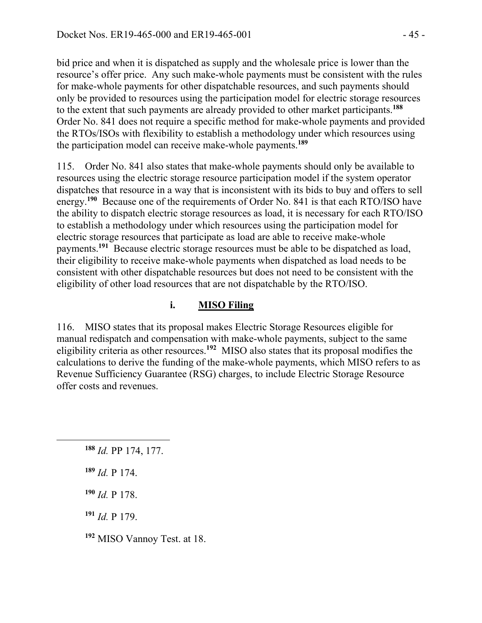bid price and when it is dispatched as supply and the wholesale price is lower than the resource's offer price. Any such make-whole payments must be consistent with the rules for make-whole payments for other dispatchable resources, and such payments should only be provided to resources using the participation model for electric storage resources to the extent that such payments are already provided to other market participants.**<sup>188</sup>** Order No. 841 does not require a specific method for make-whole payments and provided the RTOs/ISOs with flexibility to establish a methodology under which resources using the participation model can receive make-whole payments.**<sup>189</sup>**

115. Order No. 841 also states that make-whole payments should only be available to resources using the electric storage resource participation model if the system operator dispatches that resource in a way that is inconsistent with its bids to buy and offers to sell energy.**<sup>190</sup>** Because one of the requirements of Order No. 841 is that each RTO/ISO have the ability to dispatch electric storage resources as load, it is necessary for each RTO/ISO to establish a methodology under which resources using the participation model for electric storage resources that participate as load are able to receive make-whole payments.**<sup>191</sup>** Because electric storage resources must be able to be dispatched as load, their eligibility to receive make-whole payments when dispatched as load needs to be consistent with other dispatchable resources but does not need to be consistent with the eligibility of other load resources that are not dispatchable by the RTO/ISO.

## **i. MISO Filing**

116. MISO states that its proposal makes Electric Storage Resources eligible for manual redispatch and compensation with make-whole payments, subject to the same eligibility criteria as other resources.**<sup>192</sup>** MISO also states that its proposal modifies the calculations to derive the funding of the make-whole payments, which MISO refers to as Revenue Sufficiency Guarantee (RSG) charges, to include Electric Storage Resource offer costs and revenues.

 $\overline{a}$ 

- **<sup>190</sup>** *Id.* P 178.
- **<sup>191</sup>** *Id.* P 179.

**<sup>192</sup>** MISO Vannoy Test. at 18.

**<sup>188</sup>** *Id.* PP 174, 177.

**<sup>189</sup>** *Id.* P 174.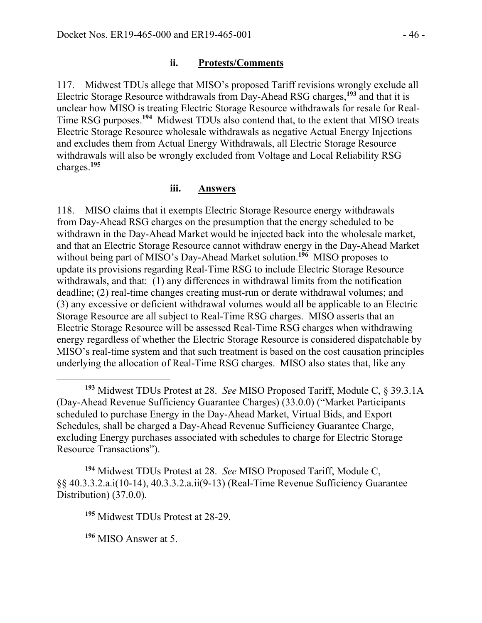117. Midwest TDUs allege that MISO's proposed Tariff revisions wrongly exclude all Electric Storage Resource withdrawals from Day-Ahead RSG charges,**<sup>193</sup>** and that it is unclear how MISO is treating Electric Storage Resource withdrawals for resale for Real-Time RSG purposes.**<sup>194</sup>** Midwest TDUs also contend that, to the extent that MISO treats Electric Storage Resource wholesale withdrawals as negative Actual Energy Injections and excludes them from Actual Energy Withdrawals, all Electric Storage Resource withdrawals will also be wrongly excluded from Voltage and Local Reliability RSG charges.**<sup>195</sup>**

#### iii. **Answers**

118. MISO claims that it exempts Electric Storage Resource energy withdrawals from Day-Ahead RSG charges on the presumption that the energy scheduled to be withdrawn in the Day-Ahead Market would be injected back into the wholesale market, and that an Electric Storage Resource cannot withdraw energy in the Day-Ahead Market without being part of MISO's Day-Ahead Market solution.**<sup>196</sup>** MISO proposes to update its provisions regarding Real-Time RSG to include Electric Storage Resource withdrawals, and that: (1) any differences in withdrawal limits from the notification deadline; (2) real-time changes creating must-run or derate withdrawal volumes; and (3) any excessive or deficient withdrawal volumes would all be applicable to an Electric Storage Resource are all subject to Real-Time RSG charges. MISO asserts that an Electric Storage Resource will be assessed Real-Time RSG charges when withdrawing energy regardless of whether the Electric Storage Resource is considered dispatchable by MISO's real-time system and that such treatment is based on the cost causation principles underlying the allocation of Real-Time RSG charges. MISO also states that, like any

**<sup>194</sup>** Midwest TDUs Protest at 28. *See* MISO Proposed Tariff, Module C, §§ 40.3.3.2.a.i(10-14), 40.3.3.2.a.ii(9-13) (Real-Time Revenue Sufficiency Guarantee Distribution) (37.0.0).

**<sup>195</sup>** Midwest TDUs Protest at 28-29.

**<sup>196</sup>** MISO Answer at 5.

**<sup>193</sup>** Midwest TDUs Protest at 28. *See* MISO Proposed Tariff, Module C, § 39.3.1A (Day-Ahead Revenue Sufficiency Guarantee Charges) (33.0.0) ("Market Participants scheduled to purchase Energy in the Day-Ahead Market, Virtual Bids, and Export Schedules, shall be charged a Day-Ahead Revenue Sufficiency Guarantee Charge, excluding Energy purchases associated with schedules to charge for Electric Storage Resource Transactions").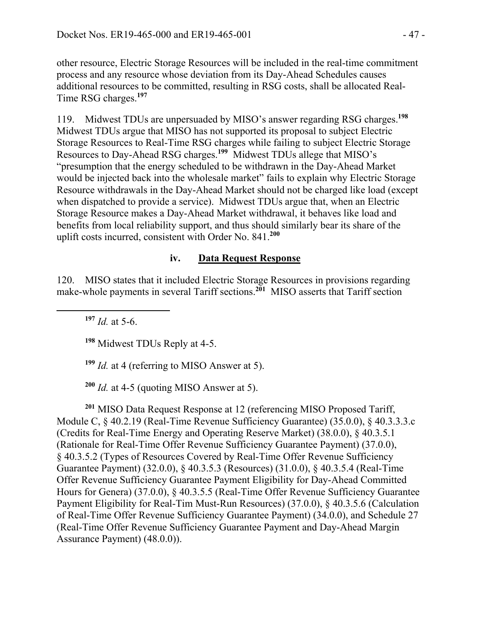other resource, Electric Storage Resources will be included in the real-time commitment process and any resource whose deviation from its Day-Ahead Schedules causes additional resources to be committed, resulting in RSG costs, shall be allocated Real-Time RSG charges.**<sup>197</sup>**

119. Midwest TDUs are unpersuaded by MISO's answer regarding RSG charges.**<sup>198</sup>** Midwest TDUs argue that MISO has not supported its proposal to subject Electric Storage Resources to Real-Time RSG charges while failing to subject Electric Storage Resources to Day-Ahead RSG charges.**<sup>199</sup>** Midwest TDUs allege that MISO's "presumption that the energy scheduled to be withdrawn in the Day-Ahead Market would be injected back into the wholesale market" fails to explain why Electric Storage Resource withdrawals in the Day-Ahead Market should not be charged like load (except when dispatched to provide a service). Midwest TDUs argue that, when an Electric Storage Resource makes a Day-Ahead Market withdrawal, it behaves like load and benefits from local reliability support, and thus should similarly bear its share of the uplift costs incurred, consistent with Order No. 841.**<sup>200</sup>**

### **iv. Data Request Response**

120. MISO states that it included Electric Storage Resources in provisions regarding make-whole payments in several Tariff sections.**<sup>201</sup>** MISO asserts that Tariff section

**<sup>197</sup>** *Id.* at 5-6.

 $\overline{a}$ 

**<sup>198</sup>** Midwest TDUs Reply at 4-5.

**<sup>199</sup>** *Id.* at 4 (referring to MISO Answer at 5).

**<sup>200</sup>** *Id.* at 4-5 (quoting MISO Answer at 5).

**<sup>201</sup>** MISO Data Request Response at 12 (referencing MISO Proposed Tariff, Module C, § 40.2.19 (Real-Time Revenue Sufficiency Guarantee) (35.0.0), § 40.3.3.3.c (Credits for Real-Time Energy and Operating Reserve Market) (38.0.0), § 40.3.5.1 (Rationale for Real-Time Offer Revenue Sufficiency Guarantee Payment) (37.0.0), § 40.3.5.2 (Types of Resources Covered by Real-Time Offer Revenue Sufficiency Guarantee Payment) (32.0.0), § 40.3.5.3 (Resources) (31.0.0), § 40.3.5.4 (Real-Time Offer Revenue Sufficiency Guarantee Payment Eligibility for Day-Ahead Committed Hours for Genera) (37.0.0), § 40.3.5.5 (Real-Time Offer Revenue Sufficiency Guarantee Payment Eligibility for Real-Tim Must-Run Resources) (37.0.0), § 40.3.5.6 (Calculation of Real-Time Offer Revenue Sufficiency Guarantee Payment) (34.0.0), and Schedule 27 (Real-Time Offer Revenue Sufficiency Guarantee Payment and Day-Ahead Margin Assurance Payment) (48.0.0)).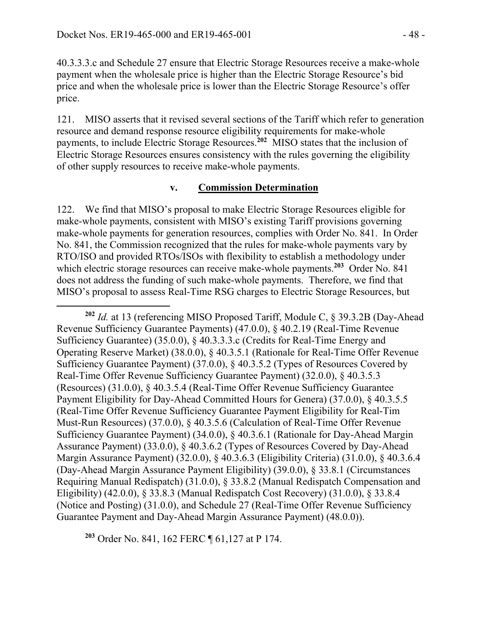$\overline{a}$ 

40.3.3.3.c and Schedule 27 ensure that Electric Storage Resources receive a make-whole payment when the wholesale price is higher than the Electric Storage Resource's bid price and when the wholesale price is lower than the Electric Storage Resource's offer price.

121. MISO asserts that it revised several sections of the Tariff which refer to generation resource and demand response resource eligibility requirements for make-whole payments, to include Electric Storage Resources.**<sup>202</sup>** MISO states that the inclusion of Electric Storage Resources ensures consistency with the rules governing the eligibility of other supply resources to receive make-whole payments.

#### **v. Commission Determination**

122. We find that MISO's proposal to make Electric Storage Resources eligible for make-whole payments, consistent with MISO's existing Tariff provisions governing make-whole payments for generation resources, complies with Order No. 841. In Order No. 841, the Commission recognized that the rules for make-whole payments vary by RTO/ISO and provided RTOs/ISOs with flexibility to establish a methodology under which electric storage resources can receive make-whole payments.**<sup>203</sup>** Order No. 841 does not address the funding of such make-whole payments. Therefore, we find that MISO's proposal to assess Real-Time RSG charges to Electric Storage Resources, but

**<sup>203</sup>** Order No. 841, 162 FERC ¶ 61,127 at P 174.

**<sup>202</sup>** *Id.* at 13 (referencing MISO Proposed Tariff, Module C, § 39.3.2B (Day-Ahead Revenue Sufficiency Guarantee Payments) (47.0.0), § 40.2.19 (Real-Time Revenue Sufficiency Guarantee) (35.0.0), § 40.3.3.3.c (Credits for Real-Time Energy and Operating Reserve Market) (38.0.0), § 40.3.5.1 (Rationale for Real-Time Offer Revenue Sufficiency Guarantee Payment) (37.0.0), § 40.3.5.2 (Types of Resources Covered by Real-Time Offer Revenue Sufficiency Guarantee Payment) (32.0.0), § 40.3.5.3 (Resources) (31.0.0), § 40.3.5.4 (Real-Time Offer Revenue Sufficiency Guarantee Payment Eligibility for Day-Ahead Committed Hours for Genera) (37.0.0), § 40.3.5.5 (Real-Time Offer Revenue Sufficiency Guarantee Payment Eligibility for Real-Tim Must-Run Resources) (37.0.0), § 40.3.5.6 (Calculation of Real-Time Offer Revenue Sufficiency Guarantee Payment) (34.0.0), § 40.3.6.1 (Rationale for Day-Ahead Margin Assurance Payment) (33.0.0), § 40.3.6.2 (Types of Resources Covered by Day-Ahead Margin Assurance Payment) (32.0.0), § 40.3.6.3 (Eligibility Criteria) (31.0.0), § 40.3.6.4 (Day-Ahead Margin Assurance Payment Eligibility) (39.0.0), § 33.8.1 (Circumstances Requiring Manual Redispatch) (31.0.0), § 33.8.2 (Manual Redispatch Compensation and Eligibility) (42.0.0), § 33.8.3 (Manual Redispatch Cost Recovery) (31.0.0), § 33.8.4 (Notice and Posting) (31.0.0), and Schedule 27 (Real-Time Offer Revenue Sufficiency Guarantee Payment and Day-Ahead Margin Assurance Payment) (48.0.0)).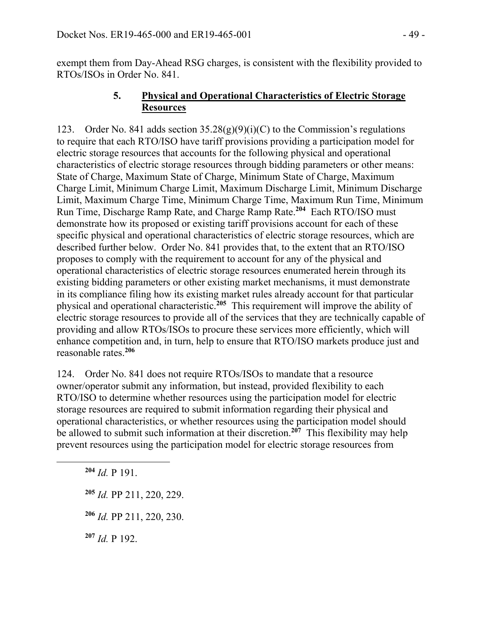exempt them from Day-Ahead RSG charges, is consistent with the flexibility provided to RTOs/ISOs in Order No. 841.

### **5. Physical and Operational Characteristics of Electric Storage Resources**

123. Order No. 841 adds section  $35.28(g)(9)(i)(C)$  to the Commission's regulations to require that each RTO/ISO have tariff provisions providing a participation model for electric storage resources that accounts for the following physical and operational characteristics of electric storage resources through bidding parameters or other means: State of Charge, Maximum State of Charge, Minimum State of Charge, Maximum Charge Limit, Minimum Charge Limit, Maximum Discharge Limit, Minimum Discharge Limit, Maximum Charge Time, Minimum Charge Time, Maximum Run Time, Minimum Run Time, Discharge Ramp Rate, and Charge Ramp Rate.**<sup>204</sup>** Each RTO/ISO must demonstrate how its proposed or existing tariff provisions account for each of these specific physical and operational characteristics of electric storage resources, which are described further below. Order No. 841 provides that, to the extent that an RTO/ISO proposes to comply with the requirement to account for any of the physical and operational characteristics of electric storage resources enumerated herein through its existing bidding parameters or other existing market mechanisms, it must demonstrate in its compliance filing how its existing market rules already account for that particular physical and operational characteristic.**<sup>205</sup>** This requirement will improve the ability of electric storage resources to provide all of the services that they are technically capable of providing and allow RTOs/ISOs to procure these services more efficiently, which will enhance competition and, in turn, help to ensure that RTO/ISO markets produce just and reasonable rates.**<sup>206</sup>**

124. Order No. 841 does not require RTOs/ISOs to mandate that a resource owner/operator submit any information, but instead, provided flexibility to each RTO/ISO to determine whether resources using the participation model for electric storage resources are required to submit information regarding their physical and operational characteristics, or whether resources using the participation model should be allowed to submit such information at their discretion.**<sup>207</sup>** This flexibility may help prevent resources using the participation model for electric storage resources from

**<sup>204</sup>** *Id.* P 191.

 $\overline{a}$ 

**<sup>205</sup>** *Id.* PP 211, 220, 229.

**<sup>206</sup>** *Id.* PP 211, 220, 230.

**<sup>207</sup>** *Id.* P 192.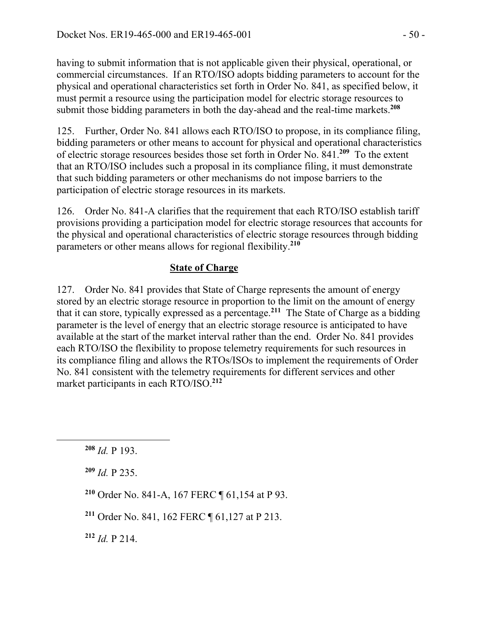having to submit information that is not applicable given their physical, operational, or commercial circumstances. If an RTO/ISO adopts bidding parameters to account for the physical and operational characteristics set forth in Order No. 841, as specified below, it must permit a resource using the participation model for electric storage resources to submit those bidding parameters in both the day-ahead and the real-time markets.**<sup>208</sup>**

125. Further, Order No. 841 allows each RTO/ISO to propose, in its compliance filing, bidding parameters or other means to account for physical and operational characteristics of electric storage resources besides those set forth in Order No. 841.**<sup>209</sup>** To the extent that an RTO/ISO includes such a proposal in its compliance filing, it must demonstrate that such bidding parameters or other mechanisms do not impose barriers to the participation of electric storage resources in its markets.

126. Order No. 841-A clarifies that the requirement that each RTO/ISO establish tariff provisions providing a participation model for electric storage resources that accounts for the physical and operational characteristics of electric storage resources through bidding parameters or other means allows for regional flexibility.**<sup>210</sup>**

## **State of Charge**

127. Order No. 841 provides that State of Charge represents the amount of energy stored by an electric storage resource in proportion to the limit on the amount of energy that it can store, typically expressed as a percentage.**<sup>211</sup>** The State of Charge as a bidding parameter is the level of energy that an electric storage resource is anticipated to have available at the start of the market interval rather than the end. Order No. 841 provides each RTO/ISO the flexibility to propose telemetry requirements for such resources in its compliance filing and allows the RTOs/ISOs to implement the requirements of Order No. 841 consistent with the telemetry requirements for different services and other market participants in each RTO/ISO.**<sup>212</sup>**

 $\overline{a}$ 

**<sup>209</sup>** *Id.* P 235.

- **<sup>210</sup>** Order No. 841-A, 167 FERC ¶ 61,154 at P 93.
- **<sup>211</sup>** Order No. 841, 162 FERC ¶ 61,127 at P 213.

**<sup>212</sup>** *Id.* P 214.

**<sup>208</sup>** *Id.* P 193.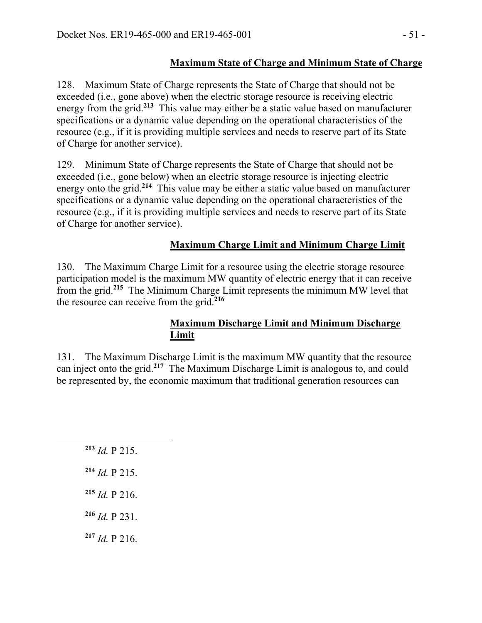## **Maximum State of Charge and Minimum State of Charge**

128. Maximum State of Charge represents the State of Charge that should not be exceeded (i.e., gone above) when the electric storage resource is receiving electric energy from the grid.**<sup>213</sup>** This value may either be a static value based on manufacturer specifications or a dynamic value depending on the operational characteristics of the resource (e.g., if it is providing multiple services and needs to reserve part of its State of Charge for another service).

129. Minimum State of Charge represents the State of Charge that should not be exceeded (i.e., gone below) when an electric storage resource is injecting electric energy onto the grid.**<sup>214</sup>** This value may be either a static value based on manufacturer specifications or a dynamic value depending on the operational characteristics of the resource (e.g., if it is providing multiple services and needs to reserve part of its State of Charge for another service).

## **Maximum Charge Limit and Minimum Charge Limit**

130. The Maximum Charge Limit for a resource using the electric storage resource participation model is the maximum MW quantity of electric energy that it can receive from the grid.**<sup>215</sup>** The Minimum Charge Limit represents the minimum MW level that the resource can receive from the grid.**<sup>216</sup>**

### **Maximum Discharge Limit and Minimum Discharge Limit**

131. The Maximum Discharge Limit is the maximum MW quantity that the resource can inject onto the grid.**<sup>217</sup>** The Maximum Discharge Limit is analogous to, and could be represented by, the economic maximum that traditional generation resources can

 *Id.* P 215. *Id.* P 215.  $^{215}$  *Id.* P 216. *Id.* P 231. *Id.* P 216.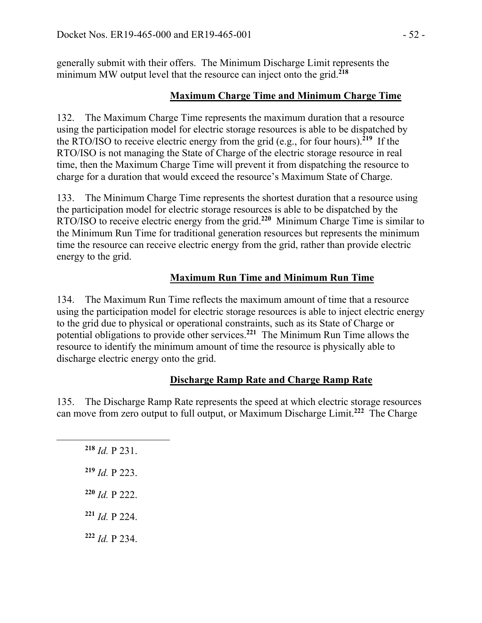generally submit with their offers. The Minimum Discharge Limit represents the minimum MW output level that the resource can inject onto the grid.**<sup>218</sup>**

### **Maximum Charge Time and Minimum Charge Time**

132. The Maximum Charge Time represents the maximum duration that a resource using the participation model for electric storage resources is able to be dispatched by the RTO/ISO to receive electric energy from the grid (e.g., for four hours).**<sup>219</sup>** If the RTO/ISO is not managing the State of Charge of the electric storage resource in real time, then the Maximum Charge Time will prevent it from dispatching the resource to charge for a duration that would exceed the resource's Maximum State of Charge.

133. The Minimum Charge Time represents the shortest duration that a resource using the participation model for electric storage resources is able to be dispatched by the RTO/ISO to receive electric energy from the grid.**<sup>220</sup>** Minimum Charge Time is similar to the Minimum Run Time for traditional generation resources but represents the minimum time the resource can receive electric energy from the grid, rather than provide electric energy to the grid.

## **Maximum Run Time and Minimum Run Time**

134. The Maximum Run Time reflects the maximum amount of time that a resource using the participation model for electric storage resources is able to inject electric energy to the grid due to physical or operational constraints, such as its State of Charge or potential obligations to provide other services.**<sup>221</sup>** The Minimum Run Time allows the resource to identify the minimum amount of time the resource is physically able to discharge electric energy onto the grid.

### **Discharge Ramp Rate and Charge Ramp Rate**

135. The Discharge Ramp Rate represents the speed at which electric storage resources can move from zero output to full output, or Maximum Discharge Limit.**<sup>222</sup>** The Charge

 *Id.* P 231. *Id.* P 223. *Id.* P 222. *Id.* P 224. *Id.* P 234.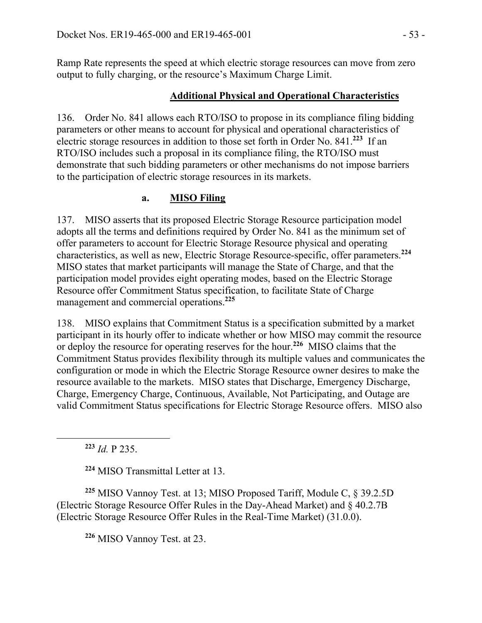Ramp Rate represents the speed at which electric storage resources can move from zero output to fully charging, or the resource's Maximum Charge Limit.

## **Additional Physical and Operational Characteristics**

136. Order No. 841 allows each RTO/ISO to propose in its compliance filing bidding parameters or other means to account for physical and operational characteristics of electric storage resources in addition to those set forth in Order No. 841.**<sup>223</sup>** If an RTO/ISO includes such a proposal in its compliance filing, the RTO/ISO must demonstrate that such bidding parameters or other mechanisms do not impose barriers to the participation of electric storage resources in its markets.

# **a. MISO Filing**

137. MISO asserts that its proposed Electric Storage Resource participation model adopts all the terms and definitions required by Order No. 841 as the minimum set of offer parameters to account for Electric Storage Resource physical and operating characteristics, as well as new, Electric Storage Resource-specific, offer parameters.**<sup>224</sup>** MISO states that market participants will manage the State of Charge, and that the participation model provides eight operating modes, based on the Electric Storage Resource offer Commitment Status specification, to facilitate State of Charge management and commercial operations.**<sup>225</sup>**

138. MISO explains that Commitment Status is a specification submitted by a market participant in its hourly offer to indicate whether or how MISO may commit the resource or deploy the resource for operating reserves for the hour.**<sup>226</sup>** MISO claims that the Commitment Status provides flexibility through its multiple values and communicates the configuration or mode in which the Electric Storage Resource owner desires to make the resource available to the markets. MISO states that Discharge, Emergency Discharge, Charge, Emergency Charge, Continuous, Available, Not Participating, and Outage are valid Commitment Status specifications for Electric Storage Resource offers. MISO also

**<sup>223</sup>** *Id.* P 235.

 $\overline{a}$ 

**<sup>224</sup>** MISO Transmittal Letter at 13.

**<sup>225</sup>** MISO Vannoy Test. at 13; MISO Proposed Tariff, Module C, § 39.2.5D (Electric Storage Resource Offer Rules in the Day-Ahead Market) and § 40.2.7B (Electric Storage Resource Offer Rules in the Real-Time Market) (31.0.0).

**<sup>226</sup>** MISO Vannoy Test. at 23.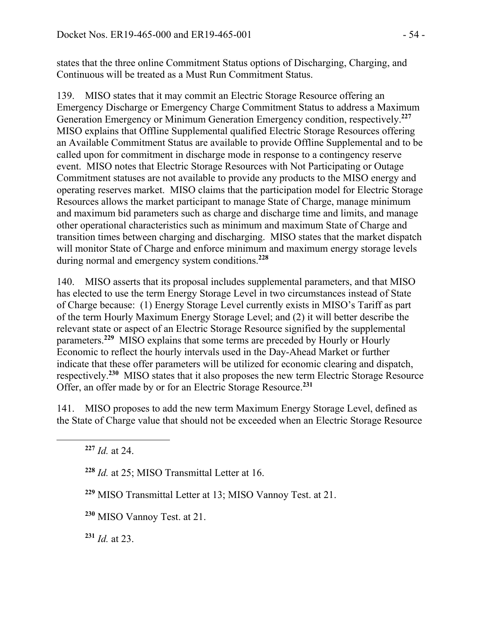states that the three online Commitment Status options of Discharging, Charging, and Continuous will be treated as a Must Run Commitment Status.

139. MISO states that it may commit an Electric Storage Resource offering an Emergency Discharge or Emergency Charge Commitment Status to address a Maximum Generation Emergency or Minimum Generation Emergency condition, respectively.**<sup>227</sup>** MISO explains that Offline Supplemental qualified Electric Storage Resources offering an Available Commitment Status are available to provide Offline Supplemental and to be called upon for commitment in discharge mode in response to a contingency reserve event. MISO notes that Electric Storage Resources with Not Participating or Outage Commitment statuses are not available to provide any products to the MISO energy and operating reserves market. MISO claims that the participation model for Electric Storage Resources allows the market participant to manage State of Charge, manage minimum and maximum bid parameters such as charge and discharge time and limits, and manage other operational characteristics such as minimum and maximum State of Charge and transition times between charging and discharging. MISO states that the market dispatch will monitor State of Charge and enforce minimum and maximum energy storage levels during normal and emergency system conditions.**<sup>228</sup>**

140. MISO asserts that its proposal includes supplemental parameters, and that MISO has elected to use the term Energy Storage Level in two circumstances instead of State of Charge because: (1) Energy Storage Level currently exists in MISO's Tariff as part of the term Hourly Maximum Energy Storage Level; and (2) it will better describe the relevant state or aspect of an Electric Storage Resource signified by the supplemental parameters.**<sup>229</sup>** MISO explains that some terms are preceded by Hourly or Hourly Economic to reflect the hourly intervals used in the Day-Ahead Market or further indicate that these offer parameters will be utilized for economic clearing and dispatch, respectively.**<sup>230</sup>** MISO states that it also proposes the new term Electric Storage Resource Offer, an offer made by or for an Electric Storage Resource.**<sup>231</sup>**

141. MISO proposes to add the new term Maximum Energy Storage Level, defined as the State of Charge value that should not be exceeded when an Electric Storage Resource

 $\overline{a}$ 

**<sup>228</sup>** *Id.* at 25; MISO Transmittal Letter at 16.

**<sup>229</sup>** MISO Transmittal Letter at 13; MISO Vannoy Test. at 21.

**<sup>230</sup>** MISO Vannoy Test. at 21.

**<sup>231</sup>** *Id.* at 23.

**<sup>227</sup>** *Id.* at 24.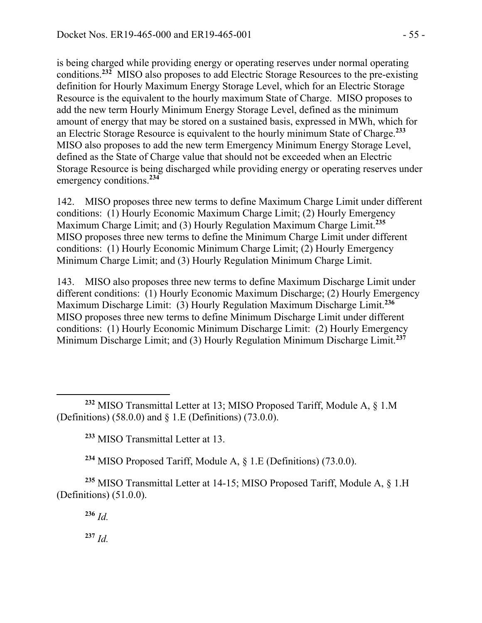is being charged while providing energy or operating reserves under normal operating conditions.**<sup>232</sup>** MISO also proposes to add Electric Storage Resources to the pre-existing definition for Hourly Maximum Energy Storage Level, which for an Electric Storage Resource is the equivalent to the hourly maximum State of Charge. MISO proposes to add the new term Hourly Minimum Energy Storage Level, defined as the minimum amount of energy that may be stored on a sustained basis, expressed in MWh, which for an Electric Storage Resource is equivalent to the hourly minimum State of Charge.**<sup>233</sup>** MISO also proposes to add the new term Emergency Minimum Energy Storage Level, defined as the State of Charge value that should not be exceeded when an Electric Storage Resource is being discharged while providing energy or operating reserves under emergency conditions.**<sup>234</sup>**

142. MISO proposes three new terms to define Maximum Charge Limit under different conditions: (1) Hourly Economic Maximum Charge Limit; (2) Hourly Emergency Maximum Charge Limit; and (3) Hourly Regulation Maximum Charge Limit.**<sup>235</sup>** MISO proposes three new terms to define the Minimum Charge Limit under different conditions: (1) Hourly Economic Minimum Charge Limit; (2) Hourly Emergency Minimum Charge Limit; and (3) Hourly Regulation Minimum Charge Limit.

143. MISO also proposes three new terms to define Maximum Discharge Limit under different conditions: (1) Hourly Economic Maximum Discharge; (2) Hourly Emergency Maximum Discharge Limit: (3) Hourly Regulation Maximum Discharge Limit.**<sup>236</sup>** MISO proposes three new terms to define Minimum Discharge Limit under different conditions: (1) Hourly Economic Minimum Discharge Limit: (2) Hourly Emergency Minimum Discharge Limit; and (3) Hourly Regulation Minimum Discharge Limit.**<sup>237</sup>**

**<sup>234</sup>** MISO Proposed Tariff, Module A, § 1.E (Definitions) (73.0.0).

**<sup>235</sup>** MISO Transmittal Letter at 14-15; MISO Proposed Tariff, Module A, § 1.H (Definitions) (51.0.0).

**<sup>236</sup>** *Id.*

 $\overline{a}$ 

**<sup>237</sup>** *Id.*

**<sup>232</sup>** MISO Transmittal Letter at 13; MISO Proposed Tariff, Module A, § 1.M (Definitions) (58.0.0) and  $\S$  1.E (Definitions) (73.0.0).

**<sup>233</sup>** MISO Transmittal Letter at 13.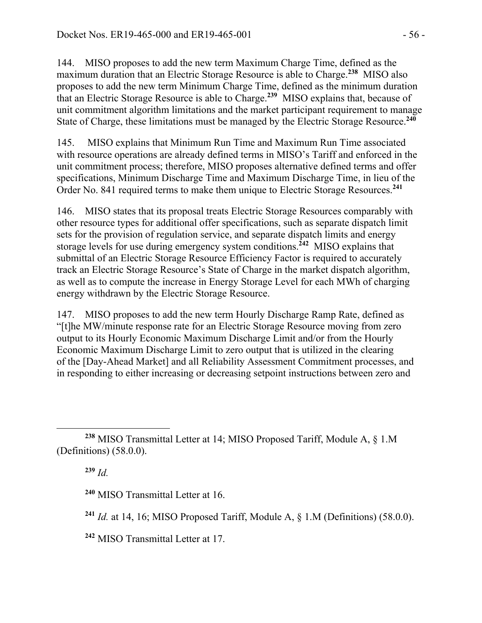144. MISO proposes to add the new term Maximum Charge Time, defined as the maximum duration that an Electric Storage Resource is able to Charge.**<sup>238</sup>** MISO also proposes to add the new term Minimum Charge Time, defined as the minimum duration that an Electric Storage Resource is able to Charge.**<sup>239</sup>** MISO explains that, because of unit commitment algorithm limitations and the market participant requirement to manage State of Charge, these limitations must be managed by the Electric Storage Resource.**<sup>240</sup>**

145. MISO explains that Minimum Run Time and Maximum Run Time associated with resource operations are already defined terms in MISO's Tariff and enforced in the unit commitment process; therefore, MISO proposes alternative defined terms and offer specifications, Minimum Discharge Time and Maximum Discharge Time, in lieu of the Order No. 841 required terms to make them unique to Electric Storage Resources.**<sup>241</sup>**

146. MISO states that its proposal treats Electric Storage Resources comparably with other resource types for additional offer specifications, such as separate dispatch limit sets for the provision of regulation service, and separate dispatch limits and energy storage levels for use during emergency system conditions.**<sup>242</sup>** MISO explains that submittal of an Electric Storage Resource Efficiency Factor is required to accurately track an Electric Storage Resource's State of Charge in the market dispatch algorithm, as well as to compute the increase in Energy Storage Level for each MWh of charging energy withdrawn by the Electric Storage Resource.

147. MISO proposes to add the new term Hourly Discharge Ramp Rate, defined as "[t]he MW/minute response rate for an Electric Storage Resource moving from zero output to its Hourly Economic Maximum Discharge Limit and/or from the Hourly Economic Maximum Discharge Limit to zero output that is utilized in the clearing of the [Day-Ahead Market] and all Reliability Assessment Commitment processes, and in responding to either increasing or decreasing setpoint instructions between zero and

**<sup>239</sup>** *Id.*

 $\overline{a}$ 

**<sup>240</sup>** MISO Transmittal Letter at 16.

**<sup>241</sup>** *Id.* at 14, 16; MISO Proposed Tariff, Module A, § 1.M (Definitions) (58.0.0).

**<sup>242</sup>** MISO Transmittal Letter at 17.

**<sup>238</sup>** MISO Transmittal Letter at 14; MISO Proposed Tariff, Module A, § 1.M (Definitions) (58.0.0).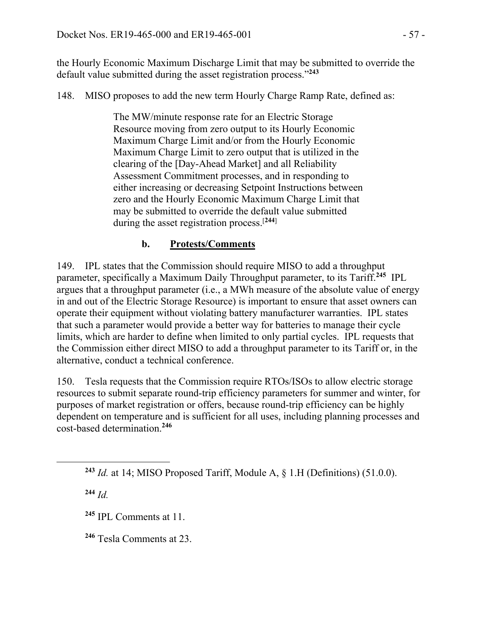the Hourly Economic Maximum Discharge Limit that may be submitted to override the default value submitted during the asset registration process."**<sup>243</sup>**

148. MISO proposes to add the new term Hourly Charge Ramp Rate, defined as:

The MW/minute response rate for an Electric Storage Resource moving from zero output to its Hourly Economic Maximum Charge Limit and/or from the Hourly Economic Maximum Charge Limit to zero output that is utilized in the clearing of the [Day-Ahead Market] and all Reliability Assessment Commitment processes, and in responding to either increasing or decreasing Setpoint Instructions between zero and the Hourly Economic Maximum Charge Limit that may be submitted to override the default value submitted during the asset registration process.[**<sup>244</sup>**]

## **b. Protests/Comments**

149. IPL states that the Commission should require MISO to add a throughput parameter, specifically a Maximum Daily Throughput parameter, to its Tariff.**<sup>245</sup>** IPL argues that a throughput parameter (i.e., a MWh measure of the absolute value of energy in and out of the Electric Storage Resource) is important to ensure that asset owners can operate their equipment without violating battery manufacturer warranties. IPL states that such a parameter would provide a better way for batteries to manage their cycle limits, which are harder to define when limited to only partial cycles. IPL requests that the Commission either direct MISO to add a throughput parameter to its Tariff or, in the alternative, conduct a technical conference.

150. Tesla requests that the Commission require RTOs/ISOs to allow electric storage resources to submit separate round-trip efficiency parameters for summer and winter, for purposes of market registration or offers, because round-trip efficiency can be highly dependent on temperature and is sufficient for all uses, including planning processes and cost-based determination.**<sup>246</sup>**

**<sup>244</sup>** *Id.*

**<sup>245</sup>** IPL Comments at 11.

**<sup>246</sup>** Tesla Comments at 23.

**<sup>243</sup>** *Id.* at 14; MISO Proposed Tariff, Module A, § 1.H (Definitions) (51.0.0).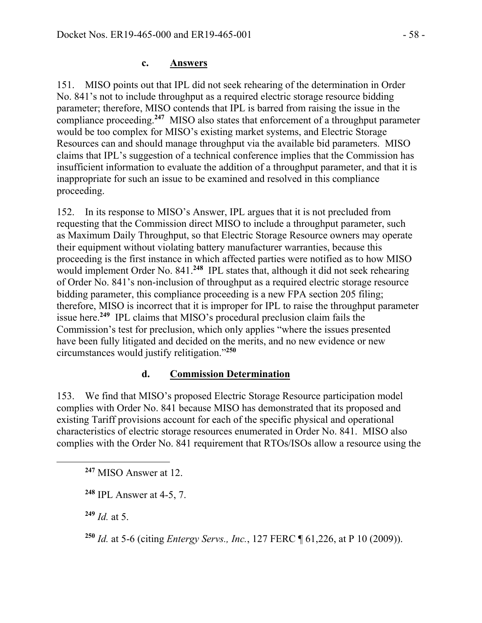#### **c. Answers**

151. MISO points out that IPL did not seek rehearing of the determination in Order No. 841's not to include throughput as a required electric storage resource bidding parameter; therefore, MISO contends that IPL is barred from raising the issue in the compliance proceeding.**<sup>247</sup>** MISO also states that enforcement of a throughput parameter would be too complex for MISO's existing market systems, and Electric Storage Resources can and should manage throughput via the available bid parameters. MISO claims that IPL's suggestion of a technical conference implies that the Commission has insufficient information to evaluate the addition of a throughput parameter, and that it is inappropriate for such an issue to be examined and resolved in this compliance proceeding.

152. In its response to MISO's Answer, IPL argues that it is not precluded from requesting that the Commission direct MISO to include a throughput parameter, such as Maximum Daily Throughput, so that Electric Storage Resource owners may operate their equipment without violating battery manufacturer warranties, because this proceeding is the first instance in which affected parties were notified as to how MISO would implement Order No. 841.**<sup>248</sup>** IPL states that, although it did not seek rehearing of Order No. 841's non-inclusion of throughput as a required electric storage resource bidding parameter, this compliance proceeding is a new FPA section 205 filing; therefore, MISO is incorrect that it is improper for IPL to raise the throughput parameter issue here.**<sup>249</sup>** IPL claims that MISO's procedural preclusion claim fails the Commission's test for preclusion, which only applies "where the issues presented have been fully litigated and decided on the merits, and no new evidence or new circumstances would justify relitigation."**<sup>250</sup>**

### **d. Commission Determination**

153. We find that MISO's proposed Electric Storage Resource participation model complies with Order No. 841 because MISO has demonstrated that its proposed and existing Tariff provisions account for each of the specific physical and operational characteristics of electric storage resources enumerated in Order No. 841. MISO also complies with the Order No. 841 requirement that RTOs/ISOs allow a resource using the

**<sup>249</sup>** *Id.* at 5.

 $\overline{a}$ 

**<sup>250</sup>** *Id.* at 5-6 (citing *Entergy Servs., Inc.*, 127 FERC ¶ 61,226, at P 10 (2009)).

**<sup>247</sup>** MISO Answer at 12.

**<sup>248</sup>** IPL Answer at 4-5, 7.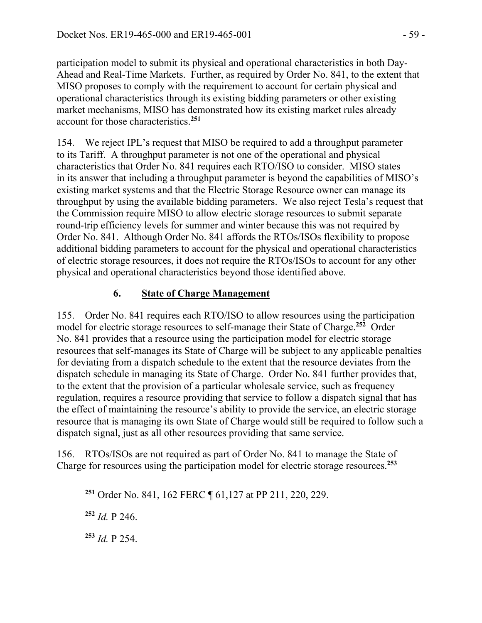participation model to submit its physical and operational characteristics in both Day-Ahead and Real-Time Markets. Further, as required by Order No. 841, to the extent that MISO proposes to comply with the requirement to account for certain physical and operational characteristics through its existing bidding parameters or other existing market mechanisms, MISO has demonstrated how its existing market rules already account for those characteristics.**<sup>251</sup>**

154. We reject IPL's request that MISO be required to add a throughput parameter to its Tariff. A throughput parameter is not one of the operational and physical characteristics that Order No. 841 requires each RTO/ISO to consider. MISO states in its answer that including a throughput parameter is beyond the capabilities of MISO's existing market systems and that the Electric Storage Resource owner can manage its throughput by using the available bidding parameters. We also reject Tesla's request that the Commission require MISO to allow electric storage resources to submit separate round-trip efficiency levels for summer and winter because this was not required by Order No. 841. Although Order No. 841 affords the RTOs/ISOs flexibility to propose additional bidding parameters to account for the physical and operational characteristics of electric storage resources, it does not require the RTOs/ISOs to account for any other physical and operational characteristics beyond those identified above.

# **6. State of Charge Management**

155. Order No. 841 requires each RTO/ISO to allow resources using the participation model for electric storage resources to self-manage their State of Charge.**<sup>252</sup>** Order No. 841 provides that a resource using the participation model for electric storage resources that self-manages its State of Charge will be subject to any applicable penalties for deviating from a dispatch schedule to the extent that the resource deviates from the dispatch schedule in managing its State of Charge. Order No. 841 further provides that, to the extent that the provision of a particular wholesale service, such as frequency regulation, requires a resource providing that service to follow a dispatch signal that has the effect of maintaining the resource's ability to provide the service, an electric storage resource that is managing its own State of Charge would still be required to follow such a dispatch signal, just as all other resources providing that same service.

156. RTOs/ISOs are not required as part of Order No. 841 to manage the State of Charge for resources using the participation model for electric storage resources.**<sup>253</sup>**

**<sup>252</sup>** *Id.* P 246.

 $\overline{a}$ 

**<sup>253</sup>** *Id.* P 254.

**<sup>251</sup>** Order No. 841, 162 FERC ¶ 61,127 at PP 211, 220, 229.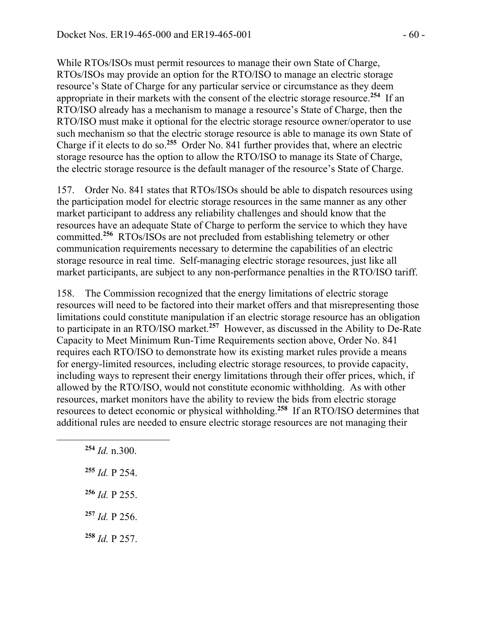While RTOs/ISOs must permit resources to manage their own State of Charge, RTOs/ISOs may provide an option for the RTO/ISO to manage an electric storage resource's State of Charge for any particular service or circumstance as they deem appropriate in their markets with the consent of the electric storage resource.**<sup>254</sup>** If an RTO/ISO already has a mechanism to manage a resource's State of Charge, then the RTO/ISO must make it optional for the electric storage resource owner/operator to use such mechanism so that the electric storage resource is able to manage its own State of Charge if it elects to do so.**<sup>255</sup>** Order No. 841 further provides that, where an electric storage resource has the option to allow the RTO/ISO to manage its State of Charge, the electric storage resource is the default manager of the resource's State of Charge.

157. Order No. 841 states that RTOs/ISOs should be able to dispatch resources using the participation model for electric storage resources in the same manner as any other market participant to address any reliability challenges and should know that the resources have an adequate State of Charge to perform the service to which they have committed.**<sup>256</sup>** RTOs/ISOs are not precluded from establishing telemetry or other communication requirements necessary to determine the capabilities of an electric storage resource in real time. Self-managing electric storage resources, just like all market participants, are subject to any non-performance penalties in the RTO/ISO tariff.

158. The Commission recognized that the energy limitations of electric storage resources will need to be factored into their market offers and that misrepresenting those limitations could constitute manipulation if an electric storage resource has an obligation to participate in an RTO/ISO market.**<sup>257</sup>** However, as discussed in the Ability to De-Rate Capacity to Meet Minimum Run-Time Requirements section above, Order No. 841 requires each RTO/ISO to demonstrate how its existing market rules provide a means for energy-limited resources, including electric storage resources, to provide capacity, including ways to represent their energy limitations through their offer prices, which, if allowed by the RTO/ISO, would not constitute economic withholding. As with other resources, market monitors have the ability to review the bids from electric storage resources to detect economic or physical withholding.**<sup>258</sup>** If an RTO/ISO determines that additional rules are needed to ensure electric storage resources are not managing their

 *Id.* n.300. *Id.* P 254. *Id.* P 255. *Id.* P 256. *Id.* P 257.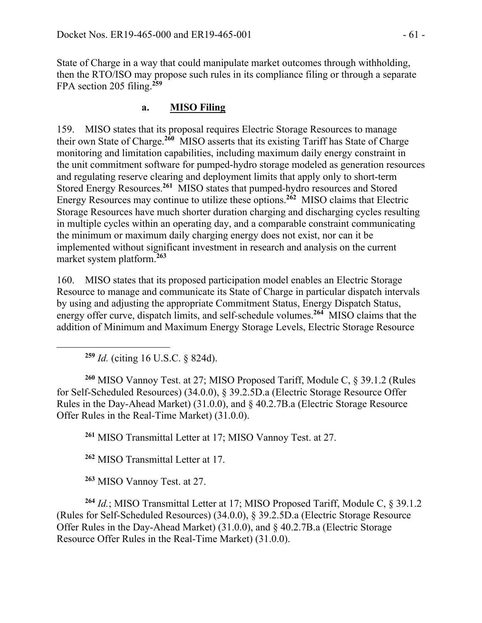State of Charge in a way that could manipulate market outcomes through withholding, then the RTO/ISO may propose such rules in its compliance filing or through a separate FPA section 205 filing.**<sup>259</sup>**

# **a. MISO Filing**

159. MISO states that its proposal requires Electric Storage Resources to manage their own State of Charge.**<sup>260</sup>** MISO asserts that its existing Tariff has State of Charge monitoring and limitation capabilities, including maximum daily energy constraint in the unit commitment software for pumped-hydro storage modeled as generation resources and regulating reserve clearing and deployment limits that apply only to short-term Stored Energy Resources.**<sup>261</sup>** MISO states that pumped-hydro resources and Stored Energy Resources may continue to utilize these options.**<sup>262</sup>** MISO claims that Electric Storage Resources have much shorter duration charging and discharging cycles resulting in multiple cycles within an operating day, and a comparable constraint communicating the minimum or maximum daily charging energy does not exist, nor can it be implemented without significant investment in research and analysis on the current market system platform.**<sup>263</sup>**

160. MISO states that its proposed participation model enables an Electric Storage Resource to manage and communicate its State of Charge in particular dispatch intervals by using and adjusting the appropriate Commitment Status, Energy Dispatch Status, energy offer curve, dispatch limits, and self-schedule volumes.**<sup>264</sup>** MISO claims that the addition of Minimum and Maximum Energy Storage Levels, Electric Storage Resource

**<sup>259</sup>** *Id.* (citing 16 U.S.C. § 824d).

 $\overline{a}$ 

**<sup>260</sup>** MISO Vannoy Test. at 27; MISO Proposed Tariff, Module C, § 39.1.2 (Rules for Self-Scheduled Resources) (34.0.0), § 39.2.5D.a (Electric Storage Resource Offer Rules in the Day-Ahead Market) (31.0.0), and § 40.2.7B.a (Electric Storage Resource Offer Rules in the Real-Time Market) (31.0.0).

**<sup>261</sup>** MISO Transmittal Letter at 17; MISO Vannoy Test. at 27.

**<sup>262</sup>** MISO Transmittal Letter at 17.

**<sup>263</sup>** MISO Vannoy Test. at 27.

**<sup>264</sup>** *Id.*; MISO Transmittal Letter at 17; MISO Proposed Tariff, Module C, § 39.1.2 (Rules for Self-Scheduled Resources) (34.0.0), § 39.2.5D.a (Electric Storage Resource Offer Rules in the Day-Ahead Market) (31.0.0), and § 40.2.7B.a (Electric Storage Resource Offer Rules in the Real-Time Market) (31.0.0).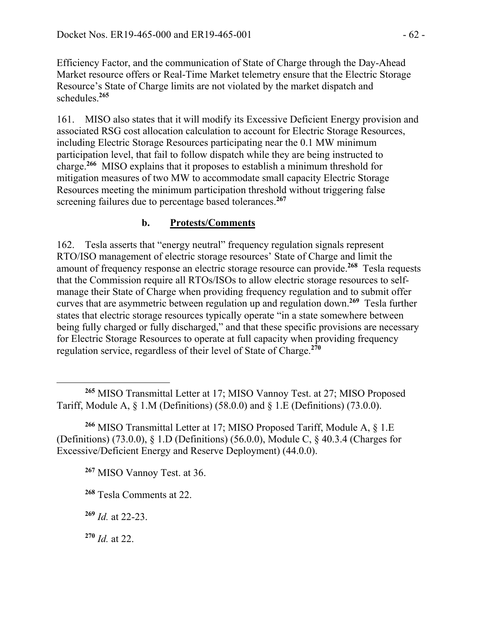Efficiency Factor, and the communication of State of Charge through the Day-Ahead Market resource offers or Real-Time Market telemetry ensure that the Electric Storage Resource's State of Charge limits are not violated by the market dispatch and schedules.**<sup>265</sup>**

161. MISO also states that it will modify its Excessive Deficient Energy provision and associated RSG cost allocation calculation to account for Electric Storage Resources, including Electric Storage Resources participating near the 0.1 MW minimum participation level, that fail to follow dispatch while they are being instructed to charge.**<sup>266</sup>** MISO explains that it proposes to establish a minimum threshold for mitigation measures of two MW to accommodate small capacity Electric Storage Resources meeting the minimum participation threshold without triggering false screening failures due to percentage based tolerances.**<sup>267</sup>**

### **b. Protests/Comments**

162. Tesla asserts that "energy neutral" frequency regulation signals represent RTO/ISO management of electric storage resources' State of Charge and limit the amount of frequency response an electric storage resource can provide.**<sup>268</sup>** Tesla requests that the Commission require all RTOs/ISOs to allow electric storage resources to selfmanage their State of Charge when providing frequency regulation and to submit offer curves that are asymmetric between regulation up and regulation down.**<sup>269</sup>** Tesla further states that electric storage resources typically operate "in a state somewhere between being fully charged or fully discharged," and that these specific provisions are necessary for Electric Storage Resources to operate at full capacity when providing frequency regulation service, regardless of their level of State of Charge.**<sup>270</sup>**

**<sup>266</sup>** MISO Transmittal Letter at 17; MISO Proposed Tariff, Module A, § 1.E (Definitions) (73.0.0), § 1.D (Definitions) (56.0.0), Module C, § 40.3.4 (Charges for Excessive/Deficient Energy and Reserve Deployment) (44.0.0).

**<sup>267</sup>** MISO Vannoy Test. at 36.

**<sup>268</sup>** Tesla Comments at 22.

**<sup>269</sup>** *Id.* at 22-23.

**<sup>270</sup>** *Id.* at 22.

**<sup>265</sup>** MISO Transmittal Letter at 17; MISO Vannoy Test. at 27; MISO Proposed Tariff, Module A,  $\S$  1.M (Definitions) (58.0.0) and  $\S$  1.E (Definitions) (73.0.0).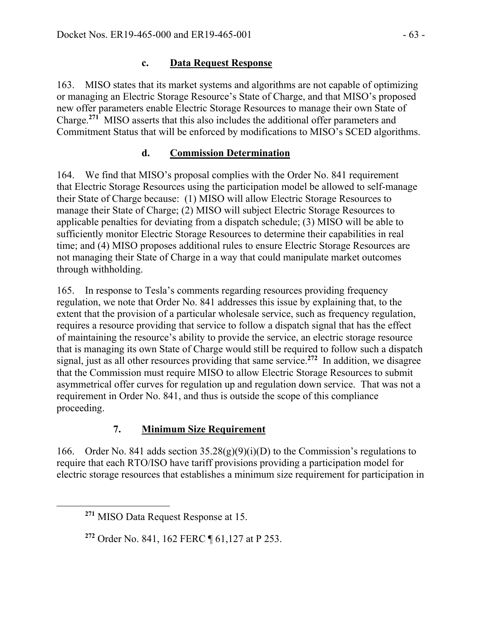### **c. Data Request Response**

163. MISO states that its market systems and algorithms are not capable of optimizing or managing an Electric Storage Resource's State of Charge, and that MISO's proposed new offer parameters enable Electric Storage Resources to manage their own State of Charge.**<sup>271</sup>** MISO asserts that this also includes the additional offer parameters and Commitment Status that will be enforced by modifications to MISO's SCED algorithms.

# **d. Commission Determination**

164. We find that MISO's proposal complies with the Order No. 841 requirement that Electric Storage Resources using the participation model be allowed to self-manage their State of Charge because: (1) MISO will allow Electric Storage Resources to manage their State of Charge; (2) MISO will subject Electric Storage Resources to applicable penalties for deviating from a dispatch schedule; (3) MISO will be able to sufficiently monitor Electric Storage Resources to determine their capabilities in real time; and (4) MISO proposes additional rules to ensure Electric Storage Resources are not managing their State of Charge in a way that could manipulate market outcomes through withholding.

165. In response to Tesla's comments regarding resources providing frequency regulation, we note that Order No. 841 addresses this issue by explaining that, to the extent that the provision of a particular wholesale service, such as frequency regulation, requires a resource providing that service to follow a dispatch signal that has the effect of maintaining the resource's ability to provide the service, an electric storage resource that is managing its own State of Charge would still be required to follow such a dispatch signal, just as all other resources providing that same service.**<sup>272</sup>** In addition, we disagree that the Commission must require MISO to allow Electric Storage Resources to submit asymmetrical offer curves for regulation up and regulation down service. That was not a requirement in Order No. 841, and thus is outside the scope of this compliance proceeding.

# **7. Minimum Size Requirement**

166. Order No. 841 adds section  $35.28(g)(9)(i)(D)$  to the Commission's regulations to require that each RTO/ISO have tariff provisions providing a participation model for electric storage resources that establishes a minimum size requirement for participation in

**<sup>271</sup>** MISO Data Request Response at 15.

**<sup>272</sup>** Order No. 841, 162 FERC ¶ 61,127 at P 253.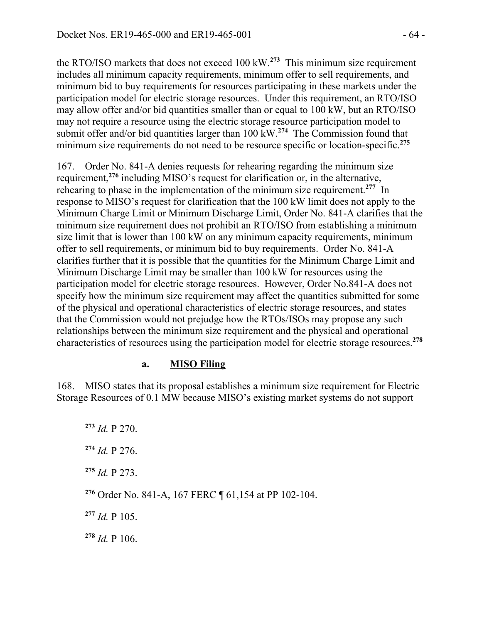the RTO/ISO markets that does not exceed 100 kW.**<sup>273</sup>** This minimum size requirement includes all minimum capacity requirements, minimum offer to sell requirements, and minimum bid to buy requirements for resources participating in these markets under the participation model for electric storage resources. Under this requirement, an RTO/ISO may allow offer and/or bid quantities smaller than or equal to 100 kW, but an RTO/ISO may not require a resource using the electric storage resource participation model to submit offer and/or bid quantities larger than 100 kW.**<sup>274</sup>** The Commission found that minimum size requirements do not need to be resource specific or location-specific.**<sup>275</sup>**

167. Order No. 841-A denies requests for rehearing regarding the minimum size requirement,**<sup>276</sup>** including MISO's request for clarification or, in the alternative, rehearing to phase in the implementation of the minimum size requirement.**<sup>277</sup>** In response to MISO's request for clarification that the 100 kW limit does not apply to the Minimum Charge Limit or Minimum Discharge Limit, Order No. 841-A clarifies that the minimum size requirement does not prohibit an RTO/ISO from establishing a minimum size limit that is lower than 100 kW on any minimum capacity requirements, minimum offer to sell requirements, or minimum bid to buy requirements. Order No. 841-A clarifies further that it is possible that the quantities for the Minimum Charge Limit and Minimum Discharge Limit may be smaller than 100 kW for resources using the participation model for electric storage resources. However, Order No.841-A does not specify how the minimum size requirement may affect the quantities submitted for some of the physical and operational characteristics of electric storage resources, and states that the Commission would not prejudge how the RTOs/ISOs may propose any such relationships between the minimum size requirement and the physical and operational characteristics of resources using the participation model for electric storage resources.**<sup>278</sup>**

#### **a. MISO Filing**

 $\overline{a}$ 

168. MISO states that its proposal establishes a minimum size requirement for Electric Storage Resources of 0.1 MW because MISO's existing market systems do not support

| $^{273}$ <i>Id.</i> P 270.                                       |
|------------------------------------------------------------------|
| $^{274}$ <i>Id.</i> P 276.                                       |
| $^{275}$ <i>Id.</i> P 273.                                       |
| <sup>276</sup> Order No. 841-A, 167 FERC ¶ 61,154 at PP 102-104. |
| $^{277}$ <i>Id.</i> P 105.                                       |
| $278$ <i>Id.</i> P 106.                                          |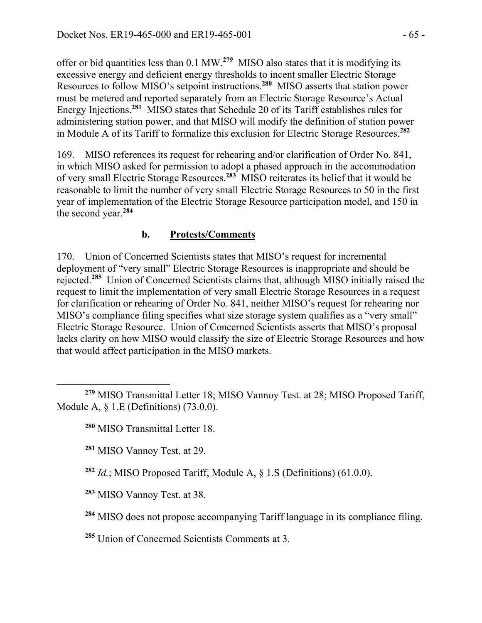offer or bid quantities less than 0.1 MW.**<sup>279</sup>** MISO also states that it is modifying its excessive energy and deficient energy thresholds to incent smaller Electric Storage Resources to follow MISO's setpoint instructions.**<sup>280</sup>** MISO asserts that station power must be metered and reported separately from an Electric Storage Resource's Actual Energy Injections.**<sup>281</sup>** MISO states that Schedule 20 of its Tariff establishes rules for administering station power, and that MISO will modify the definition of station power in Module A of its Tariff to formalize this exclusion for Electric Storage Resources.**<sup>282</sup>**

169. MISO references its request for rehearing and/or clarification of Order No. 841, in which MISO asked for permission to adopt a phased approach in the accommodation of very small Electric Storage Resources.**<sup>283</sup>** MISO reiterates its belief that it would be reasonable to limit the number of very small Electric Storage Resources to 50 in the first year of implementation of the Electric Storage Resource participation model, and 150 in the second year.**<sup>284</sup>**

## **b. Protests/Comments**

170. Union of Concerned Scientists states that MISO's request for incremental deployment of "very small" Electric Storage Resources is inappropriate and should be rejected.**<sup>285</sup>** Union of Concerned Scientists claims that, although MISO initially raised the request to limit the implementation of very small Electric Storage Resources in a request for clarification or rehearing of Order No. 841, neither MISO's request for rehearing nor MISO's compliance filing specifies what size storage system qualifies as a "very small" Electric Storage Resource. Union of Concerned Scientists asserts that MISO's proposal lacks clarity on how MISO would classify the size of Electric Storage Resources and how that would affect participation in the MISO markets.

**<sup>285</sup>** Union of Concerned Scientists Comments at 3.

 $\overline{a}$ **<sup>279</sup>** MISO Transmittal Letter 18; MISO Vannoy Test. at 28; MISO Proposed Tariff, Module A, § 1.E (Definitions) (73.0.0).

**<sup>280</sup>** MISO Transmittal Letter 18.

**<sup>281</sup>** MISO Vannoy Test. at 29.

**<sup>282</sup>** *Id.*; MISO Proposed Tariff, Module A, § 1.S (Definitions) (61.0.0).

**<sup>283</sup>** MISO Vannoy Test. at 38.

**<sup>284</sup>** MISO does not propose accompanying Tariff language in its compliance filing.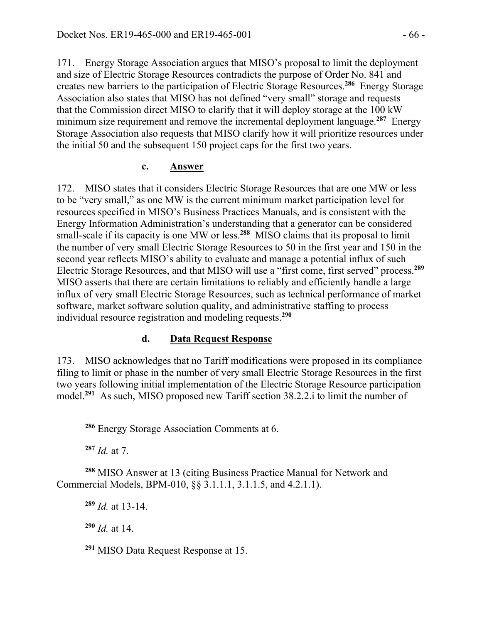171. Energy Storage Association argues that MISO's proposal to limit the deployment and size of Electric Storage Resources contradicts the purpose of Order No. 841 and creates new barriers to the participation of Electric Storage Resources.**<sup>286</sup>** Energy Storage Association also states that MISO has not defined "very small" storage and requests that the Commission direct MISO to clarify that it will deploy storage at the 100 kW minimum size requirement and remove the incremental deployment language.**<sup>287</sup>** Energy Storage Association also requests that MISO clarify how it will prioritize resources under the initial 50 and the subsequent 150 project caps for the first two years.

### **c. Answer**

172. MISO states that it considers Electric Storage Resources that are one MW or less to be "very small," as one MW is the current minimum market participation level for resources specified in MISO's Business Practices Manuals, and is consistent with the Energy Information Administration's understanding that a generator can be considered small-scale if its capacity is one MW or less.**<sup>288</sup>** MISO claims that its proposal to limit the number of very small Electric Storage Resources to 50 in the first year and 150 in the second year reflects MISO's ability to evaluate and manage a potential influx of such Electric Storage Resources, and that MISO will use a "first come, first served" process.**<sup>289</sup>** MISO asserts that there are certain limitations to reliably and efficiently handle a large influx of very small Electric Storage Resources, such as technical performance of market software, market software solution quality, and administrative staffing to process individual resource registration and modeling requests.**<sup>290</sup>**

### **d. Data Request Response**

173. MISO acknowledges that no Tariff modifications were proposed in its compliance filing to limit or phase in the number of very small Electric Storage Resources in the first two years following initial implementation of the Electric Storage Resource participation model.**<sup>291</sup>** As such, MISO proposed new Tariff section 38.2.2.i to limit the number of

**<sup>287</sup>** *Id.* at 7.

 $\overline{a}$ 

**<sup>288</sup>** MISO Answer at 13 (citing Business Practice Manual for Network and Commercial Models, BPM-010, §§ 3.1.1.1, 3.1.1.5, and 4.2.1.1).

**<sup>289</sup>** *Id.* at 13-14.

**<sup>290</sup>** *Id.* at 14.

**<sup>291</sup>** MISO Data Request Response at 15.

**<sup>286</sup>** Energy Storage Association Comments at 6.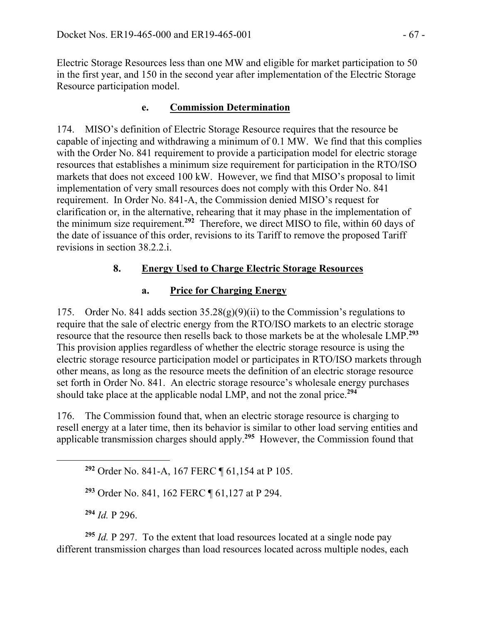Electric Storage Resources less than one MW and eligible for market participation to 50 in the first year, and 150 in the second year after implementation of the Electric Storage Resource participation model.

### **e. Commission Determination**

174. MISO's definition of Electric Storage Resource requires that the resource be capable of injecting and withdrawing a minimum of 0.1 MW. We find that this complies with the Order No. 841 requirement to provide a participation model for electric storage resources that establishes a minimum size requirement for participation in the RTO/ISO markets that does not exceed 100 kW. However, we find that MISO's proposal to limit implementation of very small resources does not comply with this Order No. 841 requirement. In Order No. 841-A, the Commission denied MISO's request for clarification or, in the alternative, rehearing that it may phase in the implementation of the minimum size requirement.**<sup>292</sup>** Therefore, we direct MISO to file, within 60 days of the date of issuance of this order, revisions to its Tariff to remove the proposed Tariff revisions in section 38.2.2.i.

# **8. Energy Used to Charge Electric Storage Resources**

# **a. Price for Charging Energy**

175. Order No. 841 adds section  $35.28(g)(9)(ii)$  to the Commission's regulations to require that the sale of electric energy from the RTO/ISO markets to an electric storage resource that the resource then resells back to those markets be at the wholesale LMP.**<sup>293</sup>** This provision applies regardless of whether the electric storage resource is using the electric storage resource participation model or participates in RTO/ISO markets through other means, as long as the resource meets the definition of an electric storage resource set forth in Order No. 841. An electric storage resource's wholesale energy purchases should take place at the applicable nodal LMP, and not the zonal price.**<sup>294</sup>**

176. The Commission found that, when an electric storage resource is charging to resell energy at a later time, then its behavior is similar to other load serving entities and applicable transmission charges should apply.**<sup>295</sup>** However, the Commission found that

**<sup>292</sup>** Order No. 841-A, 167 FERC ¶ 61,154 at P 105.

**<sup>293</sup>** Order No. 841, 162 FERC ¶ 61,127 at P 294.

**<sup>294</sup>** *Id.* P 296.

 $\overline{a}$ 

**<sup>295</sup>** *Id.* P 297. To the extent that load resources located at a single node pay different transmission charges than load resources located across multiple nodes, each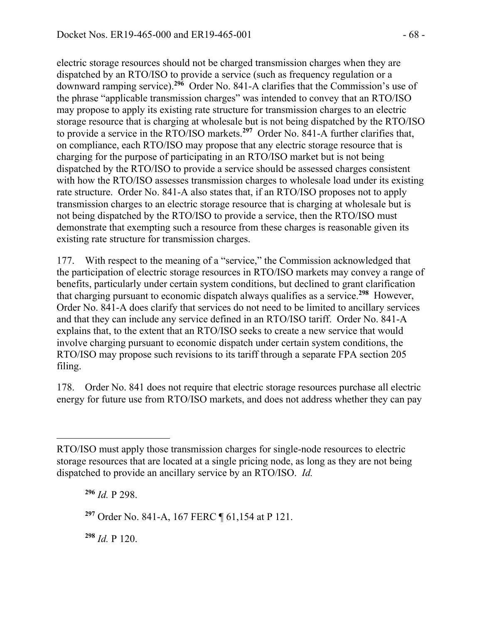electric storage resources should not be charged transmission charges when they are dispatched by an RTO/ISO to provide a service (such as frequency regulation or a downward ramping service).**<sup>296</sup>** Order No. 841-A clarifies that the Commission's use of the phrase "applicable transmission charges" was intended to convey that an RTO/ISO may propose to apply its existing rate structure for transmission charges to an electric storage resource that is charging at wholesale but is not being dispatched by the RTO/ISO to provide a service in the RTO/ISO markets.**<sup>297</sup>** Order No. 841-A further clarifies that, on compliance, each RTO/ISO may propose that any electric storage resource that is charging for the purpose of participating in an RTO/ISO market but is not being dispatched by the RTO/ISO to provide a service should be assessed charges consistent with how the RTO/ISO assesses transmission charges to wholesale load under its existing rate structure. Order No. 841-A also states that, if an RTO/ISO proposes not to apply transmission charges to an electric storage resource that is charging at wholesale but is not being dispatched by the RTO/ISO to provide a service, then the RTO/ISO must demonstrate that exempting such a resource from these charges is reasonable given its existing rate structure for transmission charges.

177. With respect to the meaning of a "service," the Commission acknowledged that the participation of electric storage resources in RTO/ISO markets may convey a range of benefits, particularly under certain system conditions, but declined to grant clarification that charging pursuant to economic dispatch always qualifies as a service.**<sup>298</sup>** However, Order No. 841-A does clarify that services do not need to be limited to ancillary services and that they can include any service defined in an RTO/ISO tariff. Order No. 841-A explains that, to the extent that an RTO/ISO seeks to create a new service that would involve charging pursuant to economic dispatch under certain system conditions, the RTO/ISO may propose such revisions to its tariff through a separate FPA section 205 filing.

178. Order No. 841 does not require that electric storage resources purchase all electric energy for future use from RTO/ISO markets, and does not address whether they can pay

**<sup>296</sup>** *Id.* P 298. **<sup>297</sup>** Order No. 841-A, 167 FERC ¶ 61,154 at P 121.

**<sup>298</sup>** *Id.* P 120.

RTO/ISO must apply those transmission charges for single-node resources to electric storage resources that are located at a single pricing node, as long as they are not being dispatched to provide an ancillary service by an RTO/ISO. *Id.*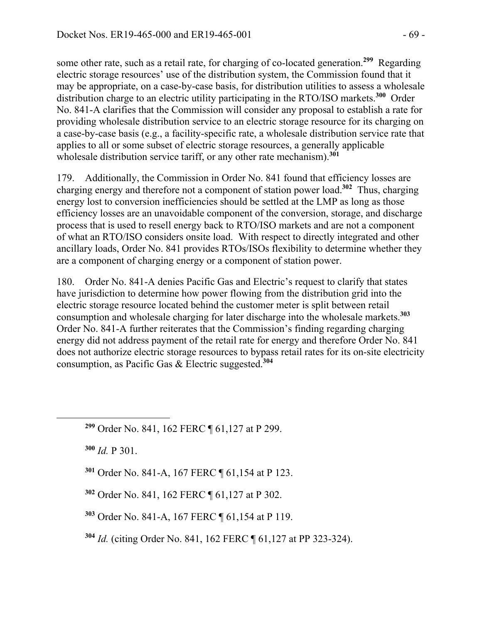some other rate, such as a retail rate, for charging of co-located generation.**<sup>299</sup>** Regarding electric storage resources' use of the distribution system, the Commission found that it may be appropriate, on a case-by-case basis, for distribution utilities to assess a wholesale distribution charge to an electric utility participating in the RTO/ISO markets.**<sup>300</sup>** Order No. 841-A clarifies that the Commission will consider any proposal to establish a rate for providing wholesale distribution service to an electric storage resource for its charging on a case-by-case basis (e.g., a facility-specific rate, a wholesale distribution service rate that applies to all or some subset of electric storage resources, a generally applicable wholesale distribution service tariff, or any other rate mechanism).**<sup>301</sup>**

179. Additionally, the Commission in Order No. 841 found that efficiency losses are charging energy and therefore not a component of station power load.**<sup>302</sup>** Thus, charging energy lost to conversion inefficiencies should be settled at the LMP as long as those efficiency losses are an unavoidable component of the conversion, storage, and discharge process that is used to resell energy back to RTO/ISO markets and are not a component of what an RTO/ISO considers onsite load. With respect to directly integrated and other ancillary loads, Order No. 841 provides RTOs/ISOs flexibility to determine whether they are a component of charging energy or a component of station power.

180. Order No. 841-A denies Pacific Gas and Electric's request to clarify that states have jurisdiction to determine how power flowing from the distribution grid into the electric storage resource located behind the customer meter is split between retail consumption and wholesale charging for later discharge into the wholesale markets.**<sup>303</sup>** Order No. 841-A further reiterates that the Commission's finding regarding charging energy did not address payment of the retail rate for energy and therefore Order No. 841 does not authorize electric storage resources to bypass retail rates for its on-site electricity consumption, as Pacific Gas & Electric suggested.**<sup>304</sup>**

**<sup>299</sup>** Order No. 841, 162 FERC ¶ 61,127 at P 299.

**<sup>300</sup>** *Id.* P 301.

 $\overline{a}$ 

**<sup>301</sup>** Order No. 841-A, 167 FERC ¶ 61,154 at P 123.

**<sup>302</sup>** Order No. 841, 162 FERC ¶ 61,127 at P 302.

**<sup>303</sup>** Order No. 841-A, 167 FERC ¶ 61,154 at P 119.

**<sup>304</sup>** *Id.* (citing Order No. 841, 162 FERC ¶ 61,127 at PP 323-324).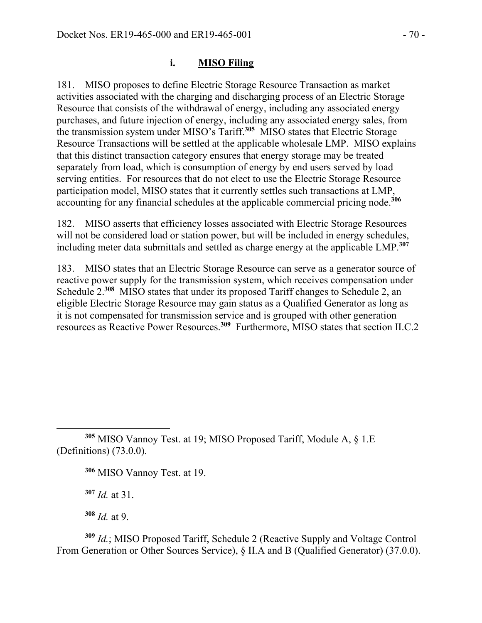### **i. MISO Filing**

181. MISO proposes to define Electric Storage Resource Transaction as market activities associated with the charging and discharging process of an Electric Storage Resource that consists of the withdrawal of energy, including any associated energy purchases, and future injection of energy, including any associated energy sales, from the transmission system under MISO's Tariff.**<sup>305</sup>** MISO states that Electric Storage Resource Transactions will be settled at the applicable wholesale LMP. MISO explains that this distinct transaction category ensures that energy storage may be treated separately from load, which is consumption of energy by end users served by load serving entities. For resources that do not elect to use the Electric Storage Resource participation model, MISO states that it currently settles such transactions at LMP, accounting for any financial schedules at the applicable commercial pricing node.**<sup>306</sup>**

182. MISO asserts that efficiency losses associated with Electric Storage Resources will not be considered load or station power, but will be included in energy schedules, including meter data submittals and settled as charge energy at the applicable LMP.**<sup>307</sup>**

183. MISO states that an Electric Storage Resource can serve as a generator source of reactive power supply for the transmission system, which receives compensation under Schedule 2.**<sup>308</sup>** MISO states that under its proposed Tariff changes to Schedule 2, an eligible Electric Storage Resource may gain status as a Qualified Generator as long as it is not compensated for transmission service and is grouped with other generation resources as Reactive Power Resources.**<sup>309</sup>** Furthermore, MISO states that section II.C.2

**<sup>306</sup>** MISO Vannoy Test. at 19.

**<sup>307</sup>** *Id.* at 31.

 $\overline{a}$ 

**<sup>308</sup>** *Id.* at 9.

**<sup>309</sup>** *Id.*; MISO Proposed Tariff, Schedule 2 (Reactive Supply and Voltage Control From Generation or Other Sources Service),  $\S$  II.A and B (Qualified Generator) (37.0.0).

**<sup>305</sup>** MISO Vannoy Test. at 19; MISO Proposed Tariff, Module A, § 1.E (Definitions) (73.0.0).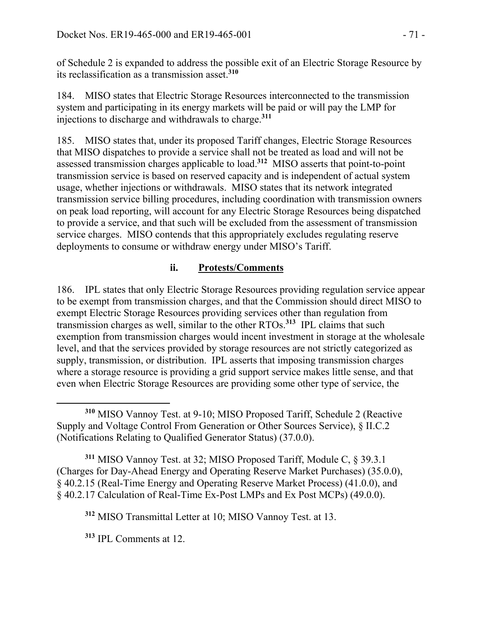of Schedule 2 is expanded to address the possible exit of an Electric Storage Resource by its reclassification as a transmission asset.**<sup>310</sup>**

184. MISO states that Electric Storage Resources interconnected to the transmission system and participating in its energy markets will be paid or will pay the LMP for injections to discharge and withdrawals to charge.**<sup>311</sup>**

185. MISO states that, under its proposed Tariff changes, Electric Storage Resources that MISO dispatches to provide a service shall not be treated as load and will not be assessed transmission charges applicable to load.**<sup>312</sup>** MISO asserts that point-to-point transmission service is based on reserved capacity and is independent of actual system usage, whether injections or withdrawals. MISO states that its network integrated transmission service billing procedures, including coordination with transmission owners on peak load reporting, will account for any Electric Storage Resources being dispatched to provide a service, and that such will be excluded from the assessment of transmission service charges. MISO contends that this appropriately excludes regulating reserve deployments to consume or withdraw energy under MISO's Tariff.

# **ii. Protests/Comments**

186. IPL states that only Electric Storage Resources providing regulation service appear to be exempt from transmission charges, and that the Commission should direct MISO to exempt Electric Storage Resources providing services other than regulation from transmission charges as well, similar to the other RTOs.**<sup>313</sup>** IPL claims that such exemption from transmission charges would incent investment in storage at the wholesale level, and that the services provided by storage resources are not strictly categorized as supply, transmission, or distribution. IPL asserts that imposing transmission charges where a storage resource is providing a grid support service makes little sense, and that even when Electric Storage Resources are providing some other type of service, the

**<sup>311</sup>** MISO Vannoy Test. at 32; MISO Proposed Tariff, Module C, § 39.3.1 (Charges for Day-Ahead Energy and Operating Reserve Market Purchases) (35.0.0), § 40.2.15 (Real-Time Energy and Operating Reserve Market Process) (41.0.0), and § 40.2.17 Calculation of Real-Time Ex-Post LMPs and Ex Post MCPs) (49.0.0).

**<sup>312</sup>** MISO Transmittal Letter at 10; MISO Vannoy Test. at 13.

**<sup>313</sup>** IPL Comments at 12.

**<sup>310</sup>** MISO Vannoy Test. at 9-10; MISO Proposed Tariff, Schedule 2 (Reactive Supply and Voltage Control From Generation or Other Sources Service), § II.C.2 (Notifications Relating to Qualified Generator Status) (37.0.0).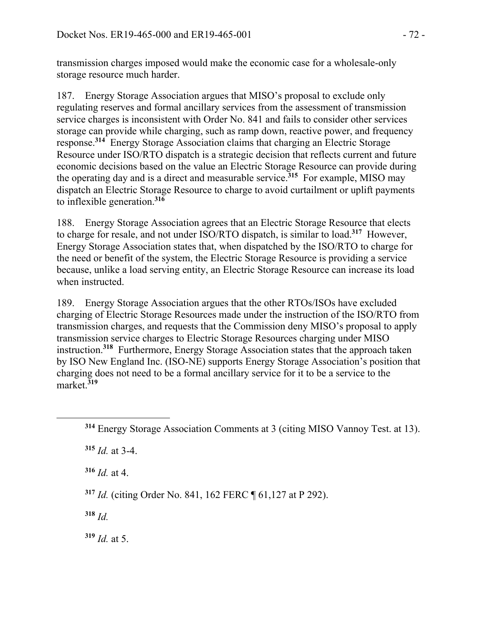transmission charges imposed would make the economic case for a wholesale-only storage resource much harder.

187. Energy Storage Association argues that MISO's proposal to exclude only regulating reserves and formal ancillary services from the assessment of transmission service charges is inconsistent with Order No. 841 and fails to consider other services storage can provide while charging, such as ramp down, reactive power, and frequency response.**<sup>314</sup>** Energy Storage Association claims that charging an Electric Storage Resource under ISO/RTO dispatch is a strategic decision that reflects current and future economic decisions based on the value an Electric Storage Resource can provide during the operating day and is a direct and measurable service.**<sup>315</sup>** For example, MISO may dispatch an Electric Storage Resource to charge to avoid curtailment or uplift payments to inflexible generation.**<sup>316</sup>**

188. Energy Storage Association agrees that an Electric Storage Resource that elects to charge for resale, and not under ISO/RTO dispatch, is similar to load.**<sup>317</sup>** However, Energy Storage Association states that, when dispatched by the ISO/RTO to charge for the need or benefit of the system, the Electric Storage Resource is providing a service because, unlike a load serving entity, an Electric Storage Resource can increase its load when instructed.

189. Energy Storage Association argues that the other RTOs/ISOs have excluded charging of Electric Storage Resources made under the instruction of the ISO/RTO from transmission charges, and requests that the Commission deny MISO's proposal to apply transmission service charges to Electric Storage Resources charging under MISO instruction.**<sup>318</sup>** Furthermore, Energy Storage Association states that the approach taken by ISO New England Inc. (ISO-NE) supports Energy Storage Association's position that charging does not need to be a formal ancillary service for it to be a service to the market.**<sup>319</sup>**

**<sup>315</sup>** *Id.* at 3-4.

**<sup>316</sup>** *Id.* at 4.

**<sup>317</sup>** *Id.* (citing Order No. 841, 162 FERC ¶ 61,127 at P 292).

**<sup>318</sup>** *Id.*

**<sup>319</sup>** *Id.* at 5.

**<sup>314</sup>** Energy Storage Association Comments at 3 (citing MISO Vannoy Test. at 13).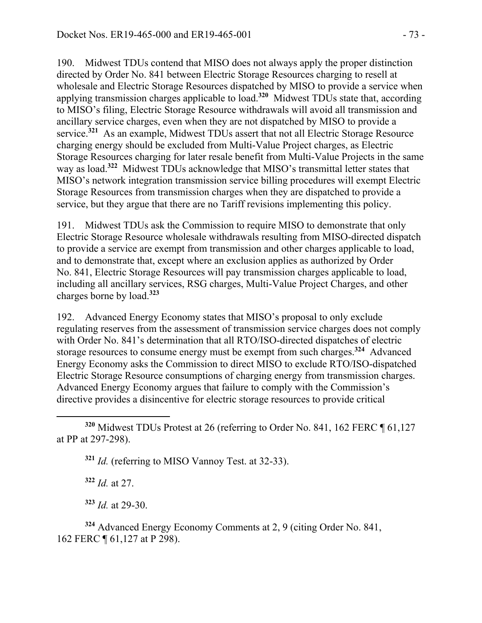190. Midwest TDUs contend that MISO does not always apply the proper distinction directed by Order No. 841 between Electric Storage Resources charging to resell at wholesale and Electric Storage Resources dispatched by MISO to provide a service when applying transmission charges applicable to load.**<sup>320</sup>** Midwest TDUs state that, according to MISO's filing, Electric Storage Resource withdrawals will avoid all transmission and ancillary service charges, even when they are not dispatched by MISO to provide a service.**<sup>321</sup>** As an example, Midwest TDUs assert that not all Electric Storage Resource charging energy should be excluded from Multi-Value Project charges, as Electric Storage Resources charging for later resale benefit from Multi-Value Projects in the same way as load.**<sup>322</sup>** Midwest TDUs acknowledge that MISO's transmittal letter states that MISO's network integration transmission service billing procedures will exempt Electric Storage Resources from transmission charges when they are dispatched to provide a service, but they argue that there are no Tariff revisions implementing this policy.

191. Midwest TDUs ask the Commission to require MISO to demonstrate that only Electric Storage Resource wholesale withdrawals resulting from MISO-directed dispatch to provide a service are exempt from transmission and other charges applicable to load, and to demonstrate that, except where an exclusion applies as authorized by Order No. 841, Electric Storage Resources will pay transmission charges applicable to load, including all ancillary services, RSG charges, Multi-Value Project Charges, and other charges borne by load.**<sup>323</sup>**

192. Advanced Energy Economy states that MISO's proposal to only exclude regulating reserves from the assessment of transmission service charges does not comply with Order No. 841's determination that all RTO/ISO-directed dispatches of electric storage resources to consume energy must be exempt from such charges.**<sup>324</sup>** Advanced Energy Economy asks the Commission to direct MISO to exclude RTO/ISO-dispatched Electric Storage Resource consumptions of charging energy from transmission charges. Advanced Energy Economy argues that failure to comply with the Commission's directive provides a disincentive for electric storage resources to provide critical

**<sup>321</sup>** *Id.* (referring to MISO Vannoy Test. at 32-33).

**<sup>322</sup>** *Id.* at 27.

 $\overline{a}$ 

**<sup>323</sup>** *Id.* at 29-30.

**<sup>324</sup>** Advanced Energy Economy Comments at 2, 9 (citing Order No. 841, 162 FERC ¶ 61,127 at P 298).

**<sup>320</sup>** Midwest TDUs Protest at 26 (referring to Order No. 841, 162 FERC ¶ 61,127 at PP at 297-298).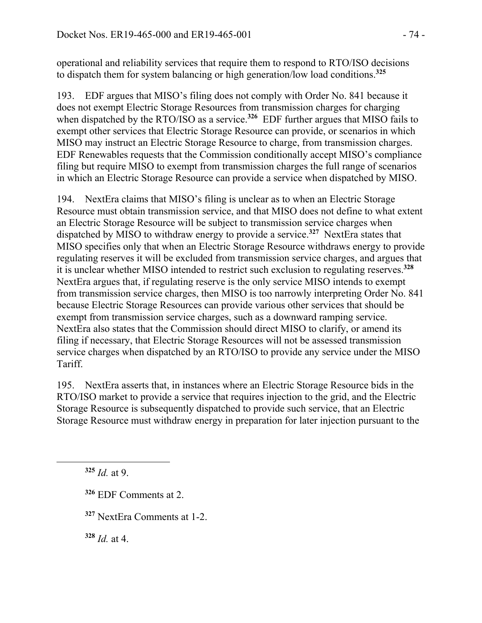operational and reliability services that require them to respond to RTO/ISO decisions to dispatch them for system balancing or high generation/low load conditions.**<sup>325</sup>**

193. EDF argues that MISO's filing does not comply with Order No. 841 because it does not exempt Electric Storage Resources from transmission charges for charging when dispatched by the RTO/ISO as a service.<sup>326</sup> EDF further argues that MISO fails to exempt other services that Electric Storage Resource can provide, or scenarios in which MISO may instruct an Electric Storage Resource to charge, from transmission charges. EDF Renewables requests that the Commission conditionally accept MISO's compliance filing but require MISO to exempt from transmission charges the full range of scenarios in which an Electric Storage Resource can provide a service when dispatched by MISO.

194. NextEra claims that MISO's filing is unclear as to when an Electric Storage Resource must obtain transmission service, and that MISO does not define to what extent an Electric Storage Resource will be subject to transmission service charges when dispatched by MISO to withdraw energy to provide a service.**<sup>327</sup>** NextEra states that MISO specifies only that when an Electric Storage Resource withdraws energy to provide regulating reserves it will be excluded from transmission service charges, and argues that it is unclear whether MISO intended to restrict such exclusion to regulating reserves.**<sup>328</sup>** NextEra argues that, if regulating reserve is the only service MISO intends to exempt from transmission service charges, then MISO is too narrowly interpreting Order No. 841 because Electric Storage Resources can provide various other services that should be exempt from transmission service charges, such as a downward ramping service. NextEra also states that the Commission should direct MISO to clarify, or amend its filing if necessary, that Electric Storage Resources will not be assessed transmission service charges when dispatched by an RTO/ISO to provide any service under the MISO Tariff.

195. NextEra asserts that, in instances where an Electric Storage Resource bids in the RTO/ISO market to provide a service that requires injection to the grid, and the Electric Storage Resource is subsequently dispatched to provide such service, that an Electric Storage Resource must withdraw energy in preparation for later injection pursuant to the

**<sup>325</sup>** *Id.* at 9.

- **<sup>326</sup>** EDF Comments at 2.
- **<sup>327</sup>** NextEra Comments at 1-2.

**<sup>328</sup>** *Id.* at 4.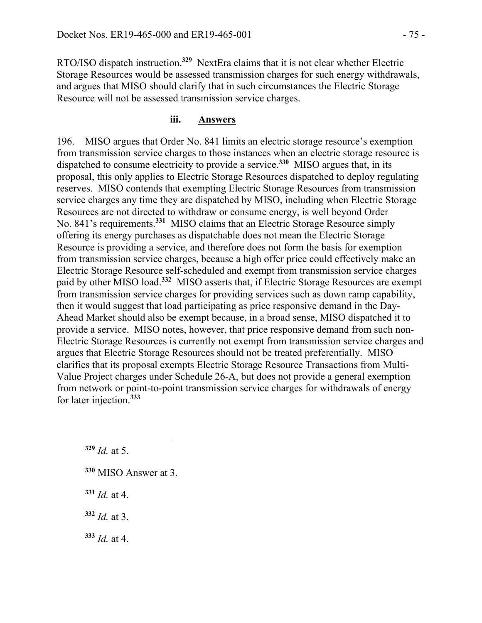RTO/ISO dispatch instruction.**<sup>329</sup>** NextEra claims that it is not clear whether Electric Storage Resources would be assessed transmission charges for such energy withdrawals, and argues that MISO should clarify that in such circumstances the Electric Storage Resource will not be assessed transmission service charges.

#### **iii. Answers**

196. MISO argues that Order No. 841 limits an electric storage resource's exemption from transmission service charges to those instances when an electric storage resource is dispatched to consume electricity to provide a service.**<sup>330</sup>** MISO argues that, in its proposal, this only applies to Electric Storage Resources dispatched to deploy regulating reserves. MISO contends that exempting Electric Storage Resources from transmission service charges any time they are dispatched by MISO, including when Electric Storage Resources are not directed to withdraw or consume energy, is well beyond Order No. 841's requirements.**<sup>331</sup>** MISO claims that an Electric Storage Resource simply offering its energy purchases as dispatchable does not mean the Electric Storage Resource is providing a service, and therefore does not form the basis for exemption from transmission service charges, because a high offer price could effectively make an Electric Storage Resource self-scheduled and exempt from transmission service charges paid by other MISO load.**<sup>332</sup>** MISO asserts that, if Electric Storage Resources are exempt from transmission service charges for providing services such as down ramp capability, then it would suggest that load participating as price responsive demand in the Day-Ahead Market should also be exempt because, in a broad sense, MISO dispatched it to provide a service. MISO notes, however, that price responsive demand from such non-Electric Storage Resources is currently not exempt from transmission service charges and argues that Electric Storage Resources should not be treated preferentially. MISO clarifies that its proposal exempts Electric Storage Resource Transactions from Multi-Value Project charges under Schedule 26-A, but does not provide a general exemption from network or point-to-point transmission service charges for withdrawals of energy for later injection.**<sup>333</sup>**

**<sup>329</sup>** *Id.* at 5.

- **<sup>330</sup>** MISO Answer at 3.
- **<sup>331</sup>** *Id.* at 4.
- **<sup>332</sup>** *Id.* at 3.
- **<sup>333</sup>** *Id.* at 4.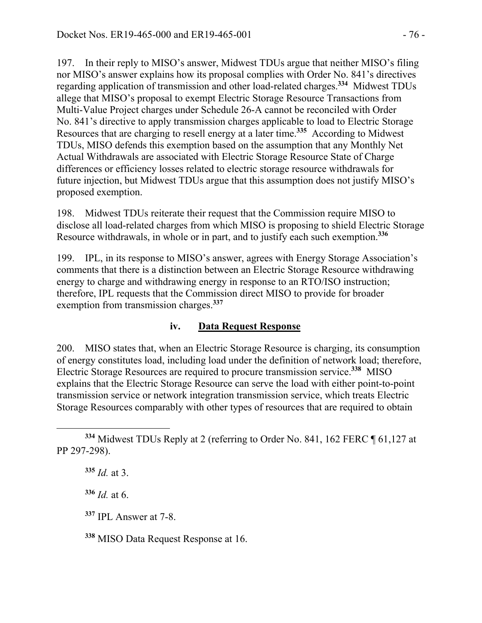197. In their reply to MISO's answer, Midwest TDUs argue that neither MISO's filing nor MISO's answer explains how its proposal complies with Order No. 841's directives regarding application of transmission and other load-related charges.**<sup>334</sup>** Midwest TDUs allege that MISO's proposal to exempt Electric Storage Resource Transactions from Multi-Value Project charges under Schedule 26-A cannot be reconciled with Order No. 841's directive to apply transmission charges applicable to load to Electric Storage Resources that are charging to resell energy at a later time.**<sup>335</sup>** According to Midwest TDUs, MISO defends this exemption based on the assumption that any Monthly Net Actual Withdrawals are associated with Electric Storage Resource State of Charge differences or efficiency losses related to electric storage resource withdrawals for future injection, but Midwest TDUs argue that this assumption does not justify MISO's proposed exemption.

198. Midwest TDUs reiterate their request that the Commission require MISO to disclose all load-related charges from which MISO is proposing to shield Electric Storage Resource withdrawals, in whole or in part, and to justify each such exemption.**<sup>336</sup>**

199. IPL, in its response to MISO's answer, agrees with Energy Storage Association's comments that there is a distinction between an Electric Storage Resource withdrawing energy to charge and withdrawing energy in response to an RTO/ISO instruction; therefore, IPL requests that the Commission direct MISO to provide for broader exemption from transmission charges.**<sup>337</sup>**

# **iv. Data Request Response**

200. MISO states that, when an Electric Storage Resource is charging, its consumption of energy constitutes load, including load under the definition of network load; therefore, Electric Storage Resources are required to procure transmission service.**<sup>338</sup>** MISO explains that the Electric Storage Resource can serve the load with either point-to-point transmission service or network integration transmission service, which treats Electric Storage Resources comparably with other types of resources that are required to obtain

 $\overline{a}$ 

**<sup>336</sup>** *Id.* at 6.

**<sup>337</sup>** IPL Answer at 7-8.

**<sup>338</sup>** MISO Data Request Response at 16.

**<sup>334</sup>** Midwest TDUs Reply at 2 (referring to Order No. 841, 162 FERC ¶ 61,127 at PP 297-298).

**<sup>335</sup>** *Id.* at 3.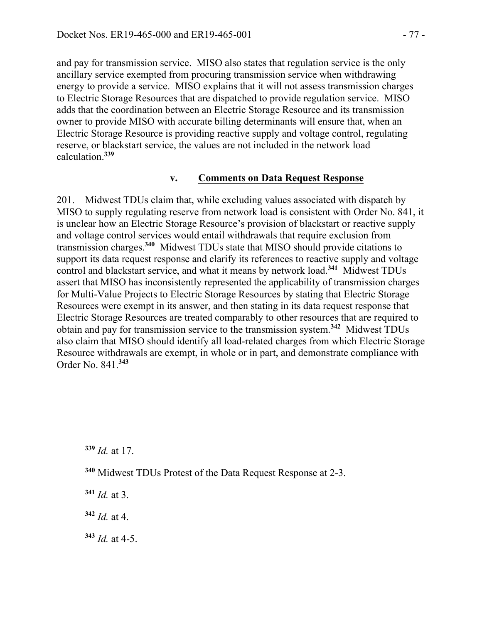and pay for transmission service. MISO also states that regulation service is the only ancillary service exempted from procuring transmission service when withdrawing energy to provide a service. MISO explains that it will not assess transmission charges to Electric Storage Resources that are dispatched to provide regulation service. MISO adds that the coordination between an Electric Storage Resource and its transmission owner to provide MISO with accurate billing determinants will ensure that, when an Electric Storage Resource is providing reactive supply and voltage control, regulating reserve, or blackstart service, the values are not included in the network load calculation.**<sup>339</sup>**

#### **v. Comments on Data Request Response**

201. Midwest TDUs claim that, while excluding values associated with dispatch by MISO to supply regulating reserve from network load is consistent with Order No. 841, it is unclear how an Electric Storage Resource's provision of blackstart or reactive supply and voltage control services would entail withdrawals that require exclusion from transmission charges.**<sup>340</sup>** Midwest TDUs state that MISO should provide citations to support its data request response and clarify its references to reactive supply and voltage control and blackstart service, and what it means by network load.**<sup>341</sup>** Midwest TDUs assert that MISO has inconsistently represented the applicability of transmission charges for Multi-Value Projects to Electric Storage Resources by stating that Electric Storage Resources were exempt in its answer, and then stating in its data request response that Electric Storage Resources are treated comparably to other resources that are required to obtain and pay for transmission service to the transmission system.**<sup>342</sup>** Midwest TDUs also claim that MISO should identify all load-related charges from which Electric Storage Resource withdrawals are exempt, in whole or in part, and demonstrate compliance with Order No. 841.**<sup>343</sup>**

 $\overline{a}$ 

**<sup>341</sup>** *Id.* at 3.

**<sup>342</sup>** *Id.* at 4.

**<sup>343</sup>** *Id.* at 4-5.

**<sup>339</sup>** *Id.* at 17.

**<sup>340</sup>** Midwest TDUs Protest of the Data Request Response at 2-3.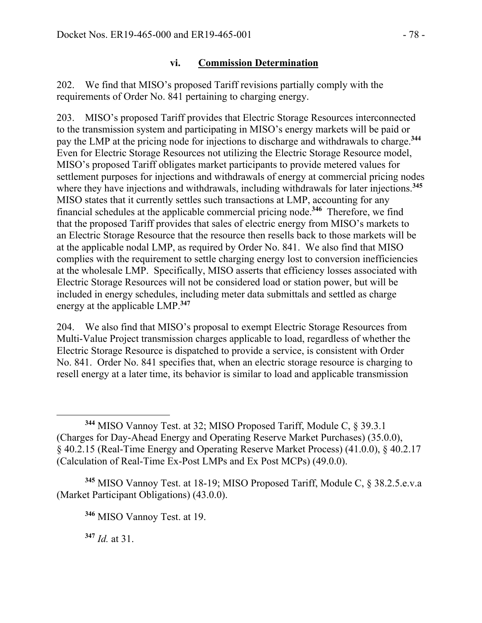### **vi. Commission Determination**

202. We find that MISO's proposed Tariff revisions partially comply with the requirements of Order No. 841 pertaining to charging energy.

203. MISO's proposed Tariff provides that Electric Storage Resources interconnected to the transmission system and participating in MISO's energy markets will be paid or pay the LMP at the pricing node for injections to discharge and withdrawals to charge.**<sup>344</sup>** Even for Electric Storage Resources not utilizing the Electric Storage Resource model, MISO's proposed Tariff obligates market participants to provide metered values for settlement purposes for injections and withdrawals of energy at commercial pricing nodes where they have injections and withdrawals, including withdrawals for later injections.**<sup>345</sup>** MISO states that it currently settles such transactions at LMP, accounting for any financial schedules at the applicable commercial pricing node.**<sup>346</sup>** Therefore, we find that the proposed Tariff provides that sales of electric energy from MISO's markets to an Electric Storage Resource that the resource then resells back to those markets will be at the applicable nodal LMP, as required by Order No. 841. We also find that MISO complies with the requirement to settle charging energy lost to conversion inefficiencies at the wholesale LMP. Specifically, MISO asserts that efficiency losses associated with Electric Storage Resources will not be considered load or station power, but will be included in energy schedules, including meter data submittals and settled as charge energy at the applicable LMP.**<sup>347</sup>**

204. We also find that MISO's proposal to exempt Electric Storage Resources from Multi-Value Project transmission charges applicable to load, regardless of whether the Electric Storage Resource is dispatched to provide a service, is consistent with Order No. 841. Order No. 841 specifies that, when an electric storage resource is charging to resell energy at a later time, its behavior is similar to load and applicable transmission

**<sup>345</sup>** MISO Vannoy Test. at 18-19; MISO Proposed Tariff, Module C, § 38.2.5.e.v.a (Market Participant Obligations) (43.0.0).

**<sup>347</sup>** *Id.* at 31.

**<sup>344</sup>** MISO Vannoy Test. at 32; MISO Proposed Tariff, Module C, § 39.3.1 (Charges for Day-Ahead Energy and Operating Reserve Market Purchases) (35.0.0), § 40.2.15 (Real-Time Energy and Operating Reserve Market Process) (41.0.0), § 40.2.17 (Calculation of Real-Time Ex-Post LMPs and Ex Post MCPs) (49.0.0).

**<sup>346</sup>** MISO Vannoy Test. at 19.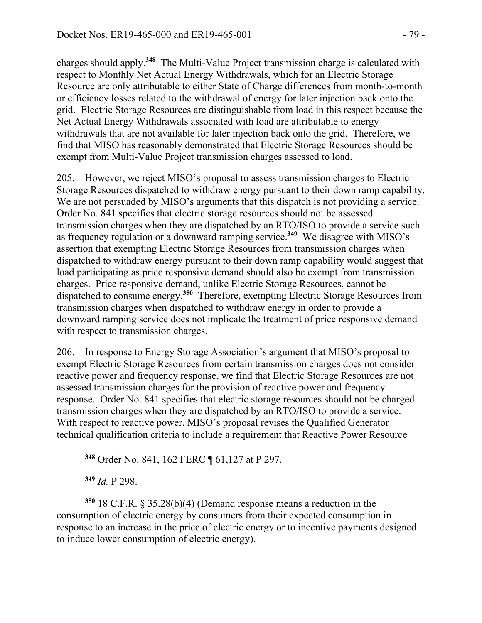charges should apply.**<sup>348</sup>** The Multi-Value Project transmission charge is calculated with respect to Monthly Net Actual Energy Withdrawals, which for an Electric Storage Resource are only attributable to either State of Charge differences from month-to-month or efficiency losses related to the withdrawal of energy for later injection back onto the grid. Electric Storage Resources are distinguishable from load in this respect because the Net Actual Energy Withdrawals associated with load are attributable to energy withdrawals that are not available for later injection back onto the grid. Therefore, we find that MISO has reasonably demonstrated that Electric Storage Resources should be exempt from Multi-Value Project transmission charges assessed to load.

205. However, we reject MISO's proposal to assess transmission charges to Electric Storage Resources dispatched to withdraw energy pursuant to their down ramp capability. We are not persuaded by MISO's arguments that this dispatch is not providing a service. Order No. 841 specifies that electric storage resources should not be assessed transmission charges when they are dispatched by an RTO/ISO to provide a service such as frequency regulation or a downward ramping service.**<sup>349</sup>** We disagree with MISO's assertion that exempting Electric Storage Resources from transmission charges when dispatched to withdraw energy pursuant to their down ramp capability would suggest that load participating as price responsive demand should also be exempt from transmission charges. Price responsive demand, unlike Electric Storage Resources, cannot be dispatched to consume energy.**<sup>350</sup>** Therefore, exempting Electric Storage Resources from transmission charges when dispatched to withdraw energy in order to provide a downward ramping service does not implicate the treatment of price responsive demand with respect to transmission charges.

206. In response to Energy Storage Association's argument that MISO's proposal to exempt Electric Storage Resources from certain transmission charges does not consider reactive power and frequency response, we find that Electric Storage Resources are not assessed transmission charges for the provision of reactive power and frequency response. Order No. 841 specifies that electric storage resources should not be charged transmission charges when they are dispatched by an RTO/ISO to provide a service. With respect to reactive power, MISO's proposal revises the Qualified Generator technical qualification criteria to include a requirement that Reactive Power Resource

**<sup>348</sup>** Order No. 841, 162 FERC ¶ 61,127 at P 297.

**<sup>349</sup>** *Id.* P 298.

 $\overline{a}$ 

**<sup>350</sup>** 18 C.F.R. § 35.28(b)(4) (Demand response means a reduction in the consumption of electric energy by consumers from their expected consumption in response to an increase in the price of electric energy or to incentive payments designed to induce lower consumption of electric energy).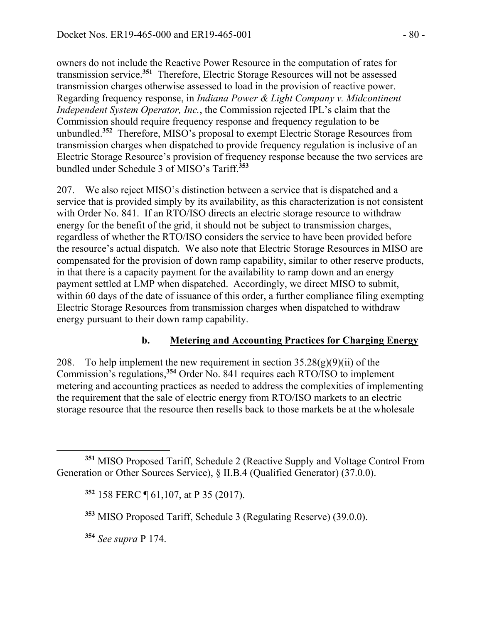owners do not include the Reactive Power Resource in the computation of rates for transmission service.**<sup>351</sup>** Therefore, Electric Storage Resources will not be assessed transmission charges otherwise assessed to load in the provision of reactive power. Regarding frequency response, in *Indiana Power & Light Company v. Midcontinent Independent System Operator, Inc.*, the Commission rejected IPL's claim that the Commission should require frequency response and frequency regulation to be unbundled.**<sup>352</sup>** Therefore, MISO's proposal to exempt Electric Storage Resources from transmission charges when dispatched to provide frequency regulation is inclusive of an Electric Storage Resource's provision of frequency response because the two services are bundled under Schedule 3 of MISO's Tariff.**<sup>353</sup>**

207. We also reject MISO's distinction between a service that is dispatched and a service that is provided simply by its availability, as this characterization is not consistent with Order No. 841. If an RTO/ISO directs an electric storage resource to withdraw energy for the benefit of the grid, it should not be subject to transmission charges, regardless of whether the RTO/ISO considers the service to have been provided before the resource's actual dispatch. We also note that Electric Storage Resources in MISO are compensated for the provision of down ramp capability, similar to other reserve products, in that there is a capacity payment for the availability to ramp down and an energy payment settled at LMP when dispatched. Accordingly, we direct MISO to submit, within 60 days of the date of issuance of this order, a further compliance filing exempting Electric Storage Resources from transmission charges when dispatched to withdraw energy pursuant to their down ramp capability.

# **b. Metering and Accounting Practices for Charging Energy**

208. To help implement the new requirement in section  $35.28(g)(9)(ii)$  of the Commission's regulations,**<sup>354</sup>** Order No. 841 requires each RTO/ISO to implement metering and accounting practices as needed to address the complexities of implementing the requirement that the sale of electric energy from RTO/ISO markets to an electric storage resource that the resource then resells back to those markets be at the wholesale

**<sup>354</sup>** *See supra* P 174.

**<sup>351</sup>** MISO Proposed Tariff, Schedule 2 (Reactive Supply and Voltage Control From Generation or Other Sources Service), § II.B.4 (Qualified Generator) (37.0.0).

**<sup>352</sup>** 158 FERC ¶ 61,107, at P 35 (2017).

**<sup>353</sup>** MISO Proposed Tariff, Schedule 3 (Regulating Reserve) (39.0.0).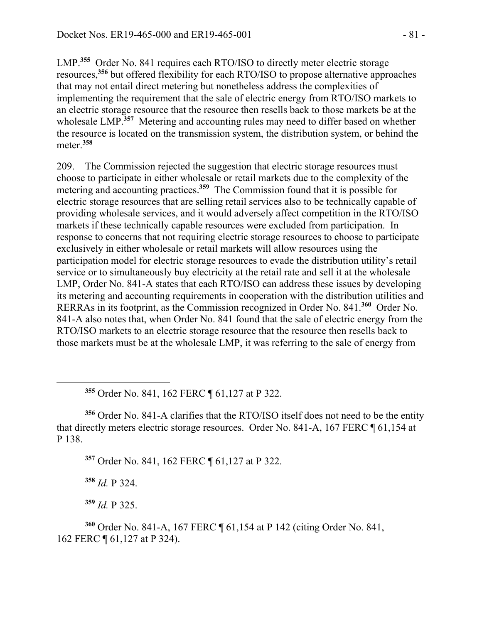LMP.**<sup>355</sup>** Order No. 841 requires each RTO/ISO to directly meter electric storage resources,**<sup>356</sup>** but offered flexibility for each RTO/ISO to propose alternative approaches that may not entail direct metering but nonetheless address the complexities of implementing the requirement that the sale of electric energy from RTO/ISO markets to an electric storage resource that the resource then resells back to those markets be at the wholesale LMP.**<sup>357</sup>** Metering and accounting rules may need to differ based on whether the resource is located on the transmission system, the distribution system, or behind the meter.**<sup>358</sup>**

209. The Commission rejected the suggestion that electric storage resources must choose to participate in either wholesale or retail markets due to the complexity of the metering and accounting practices.**<sup>359</sup>** The Commission found that it is possible for electric storage resources that are selling retail services also to be technically capable of providing wholesale services, and it would adversely affect competition in the RTO/ISO markets if these technically capable resources were excluded from participation. In response to concerns that not requiring electric storage resources to choose to participate exclusively in either wholesale or retail markets will allow resources using the participation model for electric storage resources to evade the distribution utility's retail service or to simultaneously buy electricity at the retail rate and sell it at the wholesale LMP, Order No. 841-A states that each RTO/ISO can address these issues by developing its metering and accounting requirements in cooperation with the distribution utilities and RERRAs in its footprint, as the Commission recognized in Order No. 841.**<sup>360</sup>** Order No. 841-A also notes that, when Order No. 841 found that the sale of electric energy from the RTO/ISO markets to an electric storage resource that the resource then resells back to those markets must be at the wholesale LMP, it was referring to the sale of energy from

**<sup>355</sup>** Order No. 841, 162 FERC ¶ 61,127 at P 322.

**<sup>356</sup>** Order No. 841-A clarifies that the RTO/ISO itself does not need to be the entity that directly meters electric storage resources. Order No. 841-A, 167 FERC ¶ 61,154 at P 138.

**<sup>357</sup>** Order No. 841, 162 FERC ¶ 61,127 at P 322.

**<sup>358</sup>** *Id.* P 324.

 $\overline{a}$ 

**<sup>359</sup>** *Id.* P 325.

**<sup>360</sup>** Order No. 841-A, 167 FERC ¶ 61,154 at P 142 (citing Order No. 841, 162 FERC ¶ 61,127 at P 324).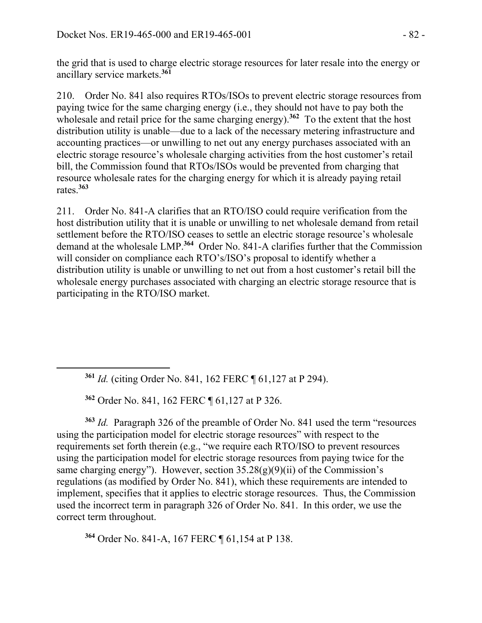the grid that is used to charge electric storage resources for later resale into the energy or ancillary service markets.**<sup>361</sup>**

210. Order No. 841 also requires RTOs/ISOs to prevent electric storage resources from paying twice for the same charging energy (i.e., they should not have to pay both the wholesale and retail price for the same charging energy).<sup>362</sup> To the extent that the host distribution utility is unable—due to a lack of the necessary metering infrastructure and accounting practices—or unwilling to net out any energy purchases associated with an electric storage resource's wholesale charging activities from the host customer's retail bill, the Commission found that RTOs/ISOs would be prevented from charging that resource wholesale rates for the charging energy for which it is already paying retail rates.**<sup>363</sup>**

211. Order No. 841-A clarifies that an RTO/ISO could require verification from the host distribution utility that it is unable or unwilling to net wholesale demand from retail settlement before the RTO/ISO ceases to settle an electric storage resource's wholesale demand at the wholesale LMP.**<sup>364</sup>** Order No. 841-A clarifies further that the Commission will consider on compliance each RTO's/ISO's proposal to identify whether a distribution utility is unable or unwilling to net out from a host customer's retail bill the wholesale energy purchases associated with charging an electric storage resource that is participating in the RTO/ISO market.

**<sup>362</sup>** Order No. 841, 162 FERC ¶ 61,127 at P 326.

 $\overline{a}$ 

**<sup>363</sup>** *Id.* Paragraph 326 of the preamble of Order No. 841 used the term "resources using the participation model for electric storage resources" with respect to the requirements set forth therein (e.g., "we require each RTO/ISO to prevent resources using the participation model for electric storage resources from paying twice for the same charging energy"). However, section  $35.28(g)(9)(ii)$  of the Commission's regulations (as modified by Order No. 841), which these requirements are intended to implement, specifies that it applies to electric storage resources. Thus, the Commission used the incorrect term in paragraph 326 of Order No. 841. In this order, we use the correct term throughout.

**<sup>364</sup>** Order No. 841-A, 167 FERC ¶ 61,154 at P 138.

**<sup>361</sup>** *Id.* (citing Order No. 841, 162 FERC ¶ 61,127 at P 294).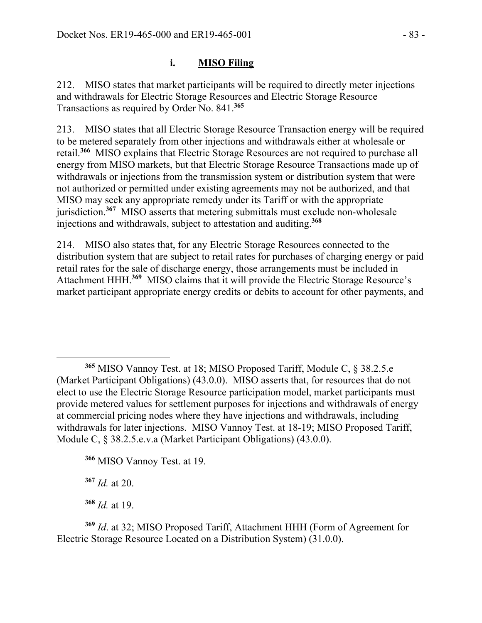## **i. MISO Filing**

212. MISO states that market participants will be required to directly meter injections and withdrawals for Electric Storage Resources and Electric Storage Resource Transactions as required by Order No. 841.**<sup>365</sup>**

213. MISO states that all Electric Storage Resource Transaction energy will be required to be metered separately from other injections and withdrawals either at wholesale or retail.**<sup>366</sup>** MISO explains that Electric Storage Resources are not required to purchase all energy from MISO markets, but that Electric Storage Resource Transactions made up of withdrawals or injections from the transmission system or distribution system that were not authorized or permitted under existing agreements may not be authorized, and that MISO may seek any appropriate remedy under its Tariff or with the appropriate jurisdiction.**<sup>367</sup>** MISO asserts that metering submittals must exclude non-wholesale injections and withdrawals, subject to attestation and auditing.**<sup>368</sup>**

214. MISO also states that, for any Electric Storage Resources connected to the distribution system that are subject to retail rates for purchases of charging energy or paid retail rates for the sale of discharge energy, those arrangements must be included in Attachment HHH.**<sup>369</sup>** MISO claims that it will provide the Electric Storage Resource's market participant appropriate energy credits or debits to account for other payments, and

**<sup>366</sup>** MISO Vannoy Test. at 19.

**<sup>367</sup>** *Id.* at 20.

**<sup>368</sup>** *Id.* at 19.

**<sup>369</sup>** *Id*. at 32; MISO Proposed Tariff, Attachment HHH (Form of Agreement for Electric Storage Resource Located on a Distribution System) (31.0.0).

 $\overline{a}$ **<sup>365</sup>** MISO Vannoy Test. at 18; MISO Proposed Tariff, Module C, § 38.2.5.e (Market Participant Obligations) (43.0.0). MISO asserts that, for resources that do not elect to use the Electric Storage Resource participation model, market participants must provide metered values for settlement purposes for injections and withdrawals of energy at commercial pricing nodes where they have injections and withdrawals, including withdrawals for later injections. MISO Vannoy Test. at 18-19; MISO Proposed Tariff, Module C,  $\S$  38.2.5.e.v.a (Market Participant Obligations) (43.0.0).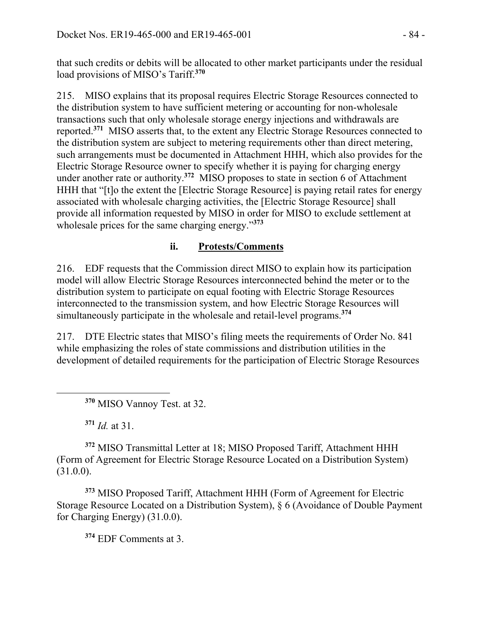that such credits or debits will be allocated to other market participants under the residual load provisions of MISO's Tariff.**<sup>370</sup>**

215. MISO explains that its proposal requires Electric Storage Resources connected to the distribution system to have sufficient metering or accounting for non-wholesale transactions such that only wholesale storage energy injections and withdrawals are reported.**<sup>371</sup>** MISO asserts that, to the extent any Electric Storage Resources connected to the distribution system are subject to metering requirements other than direct metering, such arrangements must be documented in Attachment HHH, which also provides for the Electric Storage Resource owner to specify whether it is paying for charging energy under another rate or authority.**<sup>372</sup>** MISO proposes to state in section 6 of Attachment HHH that "[t]o the extent the [Electric Storage Resource] is paying retail rates for energy associated with wholesale charging activities, the [Electric Storage Resource] shall provide all information requested by MISO in order for MISO to exclude settlement at wholesale prices for the same charging energy."**<sup>373</sup>**

## **ii. Protests/Comments**

216. EDF requests that the Commission direct MISO to explain how its participation model will allow Electric Storage Resources interconnected behind the meter or to the distribution system to participate on equal footing with Electric Storage Resources interconnected to the transmission system, and how Electric Storage Resources will simultaneously participate in the wholesale and retail-level programs.**<sup>374</sup>**

217. DTE Electric states that MISO's filing meets the requirements of Order No. 841 while emphasizing the roles of state commissions and distribution utilities in the development of detailed requirements for the participation of Electric Storage Resources

**<sup>371</sup>** *Id.* at 31.

**<sup>372</sup>** MISO Transmittal Letter at 18; MISO Proposed Tariff, Attachment HHH (Form of Agreement for Electric Storage Resource Located on a Distribution System) (31.0.0).

**<sup>373</sup>** MISO Proposed Tariff, Attachment HHH (Form of Agreement for Electric Storage Resource Located on a Distribution System), § 6 (Avoidance of Double Payment for Charging Energy) (31.0.0).

**<sup>374</sup>** EDF Comments at 3.

**<sup>370</sup>** MISO Vannoy Test. at 32.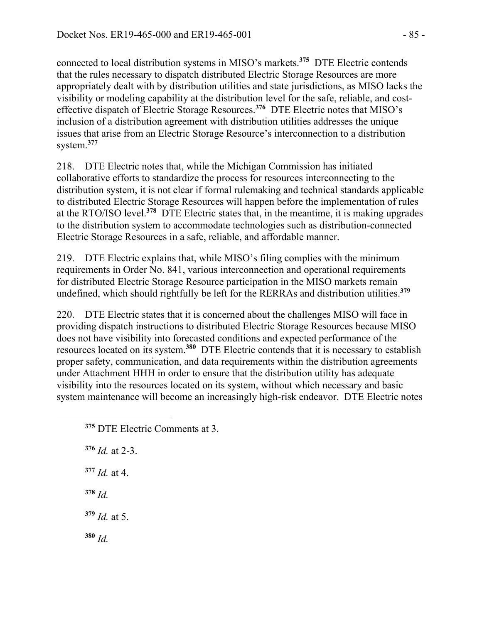connected to local distribution systems in MISO's markets.**<sup>375</sup>** DTE Electric contends that the rules necessary to dispatch distributed Electric Storage Resources are more appropriately dealt with by distribution utilities and state jurisdictions, as MISO lacks the visibility or modeling capability at the distribution level for the safe, reliable, and costeffective dispatch of Electric Storage Resources.**<sup>376</sup>** DTE Electric notes that MISO's inclusion of a distribution agreement with distribution utilities addresses the unique issues that arise from an Electric Storage Resource's interconnection to a distribution system.**<sup>377</sup>**

218. DTE Electric notes that, while the Michigan Commission has initiated collaborative efforts to standardize the process for resources interconnecting to the distribution system, it is not clear if formal rulemaking and technical standards applicable to distributed Electric Storage Resources will happen before the implementation of rules at the RTO/ISO level.**<sup>378</sup>** DTE Electric states that, in the meantime, it is making upgrades to the distribution system to accommodate technologies such as distribution-connected Electric Storage Resources in a safe, reliable, and affordable manner.

219. DTE Electric explains that, while MISO's filing complies with the minimum requirements in Order No. 841, various interconnection and operational requirements for distributed Electric Storage Resource participation in the MISO markets remain undefined, which should rightfully be left for the RERRAs and distribution utilities.**<sup>379</sup>**

220. DTE Electric states that it is concerned about the challenges MISO will face in providing dispatch instructions to distributed Electric Storage Resources because MISO does not have visibility into forecasted conditions and expected performance of the resources located on its system.**<sup>380</sup>** DTE Electric contends that it is necessary to establish proper safety, communication, and data requirements within the distribution agreements under Attachment HHH in order to ensure that the distribution utility has adequate visibility into the resources located on its system, without which necessary and basic system maintenance will become an increasingly high-risk endeavor. DTE Electric notes

**<sup>375</sup>** DTE Electric Comments at 3.

**<sup>376</sup>** *Id.* at 2-3. **<sup>377</sup>** *Id.* at 4. **<sup>378</sup>** *Id.* **<sup>379</sup>** *Id.* at 5. **<sup>380</sup>** *Id.*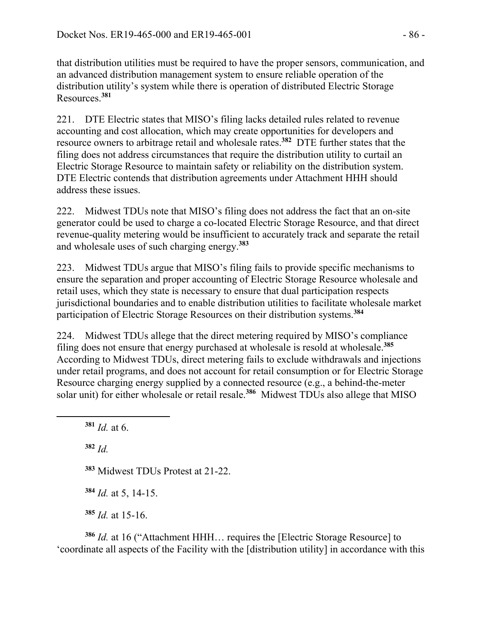that distribution utilities must be required to have the proper sensors, communication, and an advanced distribution management system to ensure reliable operation of the distribution utility's system while there is operation of distributed Electric Storage Resources.**<sup>381</sup>**

221. DTE Electric states that MISO's filing lacks detailed rules related to revenue accounting and cost allocation, which may create opportunities for developers and resource owners to arbitrage retail and wholesale rates.**<sup>382</sup>** DTE further states that the filing does not address circumstances that require the distribution utility to curtail an Electric Storage Resource to maintain safety or reliability on the distribution system. DTE Electric contends that distribution agreements under Attachment HHH should address these issues.

222. Midwest TDUs note that MISO's filing does not address the fact that an on-site generator could be used to charge a co-located Electric Storage Resource, and that direct revenue-quality metering would be insufficient to accurately track and separate the retail and wholesale uses of such charging energy.**<sup>383</sup>**

223. Midwest TDUs argue that MISO's filing fails to provide specific mechanisms to ensure the separation and proper accounting of Electric Storage Resource wholesale and retail uses, which they state is necessary to ensure that dual participation respects jurisdictional boundaries and to enable distribution utilities to facilitate wholesale market participation of Electric Storage Resources on their distribution systems.**<sup>384</sup>**

224. Midwest TDUs allege that the direct metering required by MISO's compliance filing does not ensure that energy purchased at wholesale is resold at wholesale.**<sup>385</sup>** According to Midwest TDUs, direct metering fails to exclude withdrawals and injections under retail programs, and does not account for retail consumption or for Electric Storage Resource charging energy supplied by a connected resource (e.g., a behind-the-meter solar unit) for either wholesale or retail resale.**<sup>386</sup>** Midwest TDUs also allege that MISO

**<sup>381</sup>** *Id.* at 6.

**<sup>382</sup>** *Id.*

 $\overline{a}$ 

**<sup>383</sup>** Midwest TDUs Protest at 21-22.

**<sup>384</sup>** *Id.* at 5, 14-15.

**<sup>385</sup>** *Id.* at 15-16.

**<sup>386</sup>** *Id.* at 16 ("Attachment HHH… requires the [Electric Storage Resource] to 'coordinate all aspects of the Facility with the [distribution utility] in accordance with this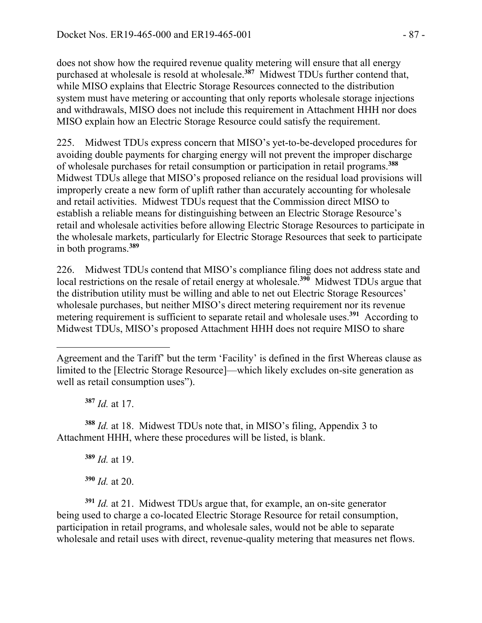does not show how the required revenue quality metering will ensure that all energy purchased at wholesale is resold at wholesale.**<sup>387</sup>** Midwest TDUs further contend that, while MISO explains that Electric Storage Resources connected to the distribution system must have metering or accounting that only reports wholesale storage injections and withdrawals, MISO does not include this requirement in Attachment HHH nor does MISO explain how an Electric Storage Resource could satisfy the requirement.

225. Midwest TDUs express concern that MISO's yet-to-be-developed procedures for avoiding double payments for charging energy will not prevent the improper discharge of wholesale purchases for retail consumption or participation in retail programs.**<sup>388</sup>** Midwest TDUs allege that MISO's proposed reliance on the residual load provisions will improperly create a new form of uplift rather than accurately accounting for wholesale and retail activities. Midwest TDUs request that the Commission direct MISO to establish a reliable means for distinguishing between an Electric Storage Resource's retail and wholesale activities before allowing Electric Storage Resources to participate in the wholesale markets, particularly for Electric Storage Resources that seek to participate in both programs.**<sup>389</sup>**

226. Midwest TDUs contend that MISO's compliance filing does not address state and local restrictions on the resale of retail energy at wholesale.**<sup>390</sup>** Midwest TDUs argue that the distribution utility must be willing and able to net out Electric Storage Resources' wholesale purchases, but neither MISO's direct metering requirement nor its revenue metering requirement is sufficient to separate retail and wholesale uses.**<sup>391</sup>** According to Midwest TDUs, MISO's proposed Attachment HHH does not require MISO to share

**<sup>387</sup>** *Id.* at 17.

 $\overline{a}$ 

**<sup>388</sup>** *Id.* at 18. Midwest TDUs note that, in MISO's filing, Appendix 3 to Attachment HHH, where these procedures will be listed, is blank.

**<sup>389</sup>** *Id.* at 19.

**<sup>390</sup>** *Id.* at 20.

**<sup>391</sup>** *Id.* at 21. Midwest TDUs argue that, for example, an on-site generator being used to charge a co-located Electric Storage Resource for retail consumption, participation in retail programs, and wholesale sales, would not be able to separate wholesale and retail uses with direct, revenue-quality metering that measures net flows.

Agreement and the Tariff' but the term 'Facility' is defined in the first Whereas clause as limited to the [Electric Storage Resource]—which likely excludes on-site generation as well as retail consumption uses").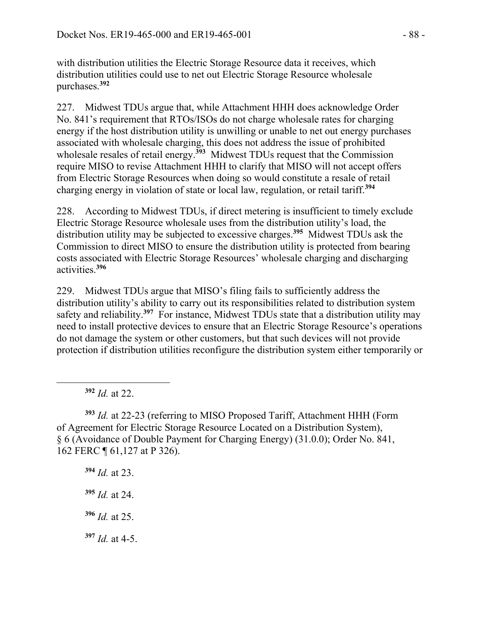with distribution utilities the Electric Storage Resource data it receives, which distribution utilities could use to net out Electric Storage Resource wholesale purchases.**<sup>392</sup>**

227. Midwest TDUs argue that, while Attachment HHH does acknowledge Order No. 841's requirement that RTOs/ISOs do not charge wholesale rates for charging energy if the host distribution utility is unwilling or unable to net out energy purchases associated with wholesale charging, this does not address the issue of prohibited wholesale resales of retail energy.<sup>393</sup> Midwest TDUs request that the Commission require MISO to revise Attachment HHH to clarify that MISO will not accept offers from Electric Storage Resources when doing so would constitute a resale of retail charging energy in violation of state or local law, regulation, or retail tariff.**<sup>394</sup>**

228. According to Midwest TDUs, if direct metering is insufficient to timely exclude Electric Storage Resource wholesale uses from the distribution utility's load, the distribution utility may be subjected to excessive charges.**<sup>395</sup>** Midwest TDUs ask the Commission to direct MISO to ensure the distribution utility is protected from bearing costs associated with Electric Storage Resources' wholesale charging and discharging activities.**<sup>396</sup>**

229. Midwest TDUs argue that MISO's filing fails to sufficiently address the distribution utility's ability to carry out its responsibilities related to distribution system safety and reliability.**<sup>397</sup>** For instance, Midwest TDUs state that a distribution utility may need to install protective devices to ensure that an Electric Storage Resource's operations do not damage the system or other customers, but that such devices will not provide protection if distribution utilities reconfigure the distribution system either temporarily or

**<sup>392</sup>** *Id.* at 22.

 $\overline{a}$ 

**<sup>393</sup>** *Id.* at 22-23 (referring to MISO Proposed Tariff, Attachment HHH (Form of Agreement for Electric Storage Resource Located on a Distribution System), § 6 (Avoidance of Double Payment for Charging Energy) (31.0.0); Order No. 841, 162 FERC ¶ 61,127 at P 326).

 *Id.* at 23. *Id.* at 24. *Id.* at 25. *Id.* at 4-5.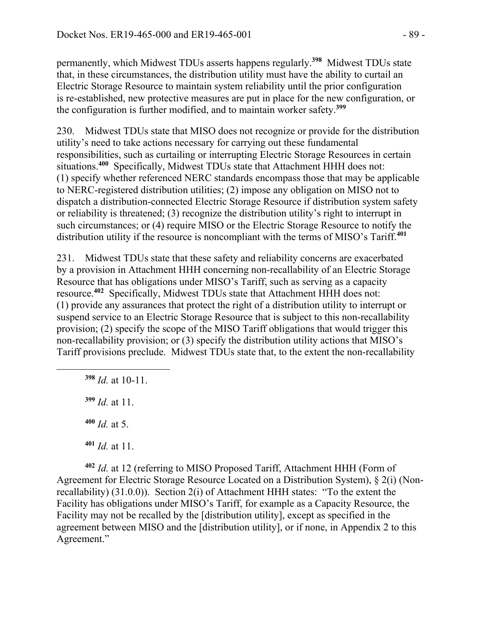permanently, which Midwest TDUs asserts happens regularly.**<sup>398</sup>** Midwest TDUs state that, in these circumstances, the distribution utility must have the ability to curtail an Electric Storage Resource to maintain system reliability until the prior configuration is re-established, new protective measures are put in place for the new configuration, or the configuration is further modified, and to maintain worker safety.**<sup>399</sup>**

230. Midwest TDUs state that MISO does not recognize or provide for the distribution utility's need to take actions necessary for carrying out these fundamental responsibilities, such as curtailing or interrupting Electric Storage Resources in certain situations.**<sup>400</sup>** Specifically, Midwest TDUs state that Attachment HHH does not: (1) specify whether referenced NERC standards encompass those that may be applicable to NERC-registered distribution utilities; (2) impose any obligation on MISO not to dispatch a distribution-connected Electric Storage Resource if distribution system safety or reliability is threatened; (3) recognize the distribution utility's right to interrupt in such circumstances; or (4) require MISO or the Electric Storage Resource to notify the distribution utility if the resource is noncompliant with the terms of MISO's Tariff.**<sup>401</sup>**

231. Midwest TDUs state that these safety and reliability concerns are exacerbated by a provision in Attachment HHH concerning non-recallability of an Electric Storage Resource that has obligations under MISO's Tariff, such as serving as a capacity resource.**<sup>402</sup>** Specifically, Midwest TDUs state that Attachment HHH does not: (1) provide any assurances that protect the right of a distribution utility to interrupt or suspend service to an Electric Storage Resource that is subject to this non-recallability provision; (2) specify the scope of the MISO Tariff obligations that would trigger this non-recallability provision; or (3) specify the distribution utility actions that MISO's Tariff provisions preclude. Midwest TDUs state that, to the extent the non-recallability

 *Id.* at 10-11. *Id.* at 11. *Id.* at 5. *Id.* at 11.

 $\overline{a}$ 

**<sup>402</sup>** *Id.* at 12 (referring to MISO Proposed Tariff, Attachment HHH (Form of Agreement for Electric Storage Resource Located on a Distribution System), § 2(i) (Nonrecallability) (31.0.0)). Section 2(i) of Attachment HHH states: "To the extent the Facility has obligations under MISO's Tariff, for example as a Capacity Resource, the Facility may not be recalled by the [distribution utility], except as specified in the agreement between MISO and the [distribution utility], or if none, in Appendix 2 to this Agreement."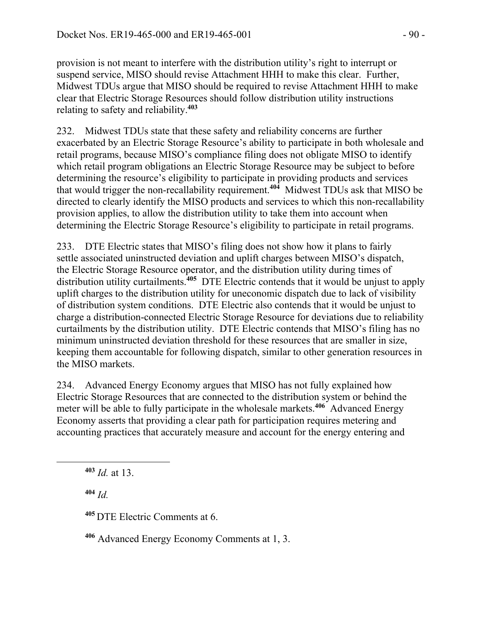provision is not meant to interfere with the distribution utility's right to interrupt or suspend service, MISO should revise Attachment HHH to make this clear. Further, Midwest TDUs argue that MISO should be required to revise Attachment HHH to make clear that Electric Storage Resources should follow distribution utility instructions relating to safety and reliability.**<sup>403</sup>**

232. Midwest TDUs state that these safety and reliability concerns are further exacerbated by an Electric Storage Resource's ability to participate in both wholesale and retail programs, because MISO's compliance filing does not obligate MISO to identify which retail program obligations an Electric Storage Resource may be subject to before determining the resource's eligibility to participate in providing products and services that would trigger the non-recallability requirement.**<sup>404</sup>** Midwest TDUs ask that MISO be directed to clearly identify the MISO products and services to which this non-recallability provision applies, to allow the distribution utility to take them into account when determining the Electric Storage Resource's eligibility to participate in retail programs.

233. DTE Electric states that MISO's filing does not show how it plans to fairly settle associated uninstructed deviation and uplift charges between MISO's dispatch, the Electric Storage Resource operator, and the distribution utility during times of distribution utility curtailments.**<sup>405</sup>** DTE Electric contends that it would be unjust to apply uplift charges to the distribution utility for uneconomic dispatch due to lack of visibility of distribution system conditions. DTE Electric also contends that it would be unjust to charge a distribution-connected Electric Storage Resource for deviations due to reliability curtailments by the distribution utility. DTE Electric contends that MISO's filing has no minimum uninstructed deviation threshold for these resources that are smaller in size, keeping them accountable for following dispatch, similar to other generation resources in the MISO markets.

234. Advanced Energy Economy argues that MISO has not fully explained how Electric Storage Resources that are connected to the distribution system or behind the meter will be able to fully participate in the wholesale markets.**<sup>406</sup>** Advanced Energy Economy asserts that providing a clear path for participation requires metering and accounting practices that accurately measure and account for the energy entering and

**<sup>404</sup>** *Id.*

**<sup>405</sup>** DTE Electric Comments at 6.

**<sup>406</sup>** Advanced Energy Economy Comments at 1, 3.

**<sup>403</sup>** *Id.* at 13.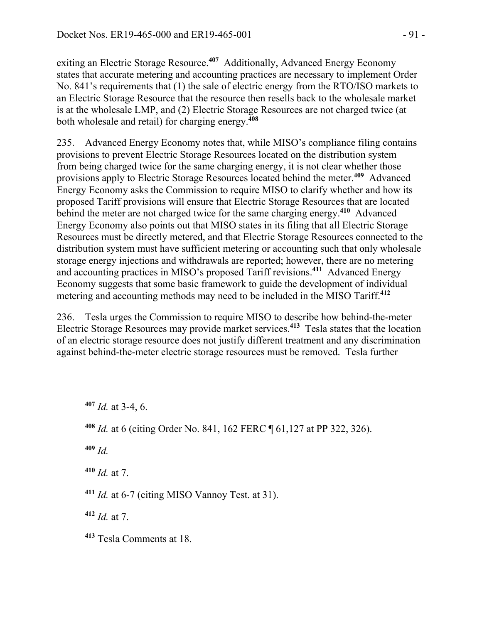exiting an Electric Storage Resource.**<sup>407</sup>** Additionally, Advanced Energy Economy states that accurate metering and accounting practices are necessary to implement Order No. 841's requirements that (1) the sale of electric energy from the RTO/ISO markets to an Electric Storage Resource that the resource then resells back to the wholesale market is at the wholesale LMP, and (2) Electric Storage Resources are not charged twice (at both wholesale and retail) for charging energy.**<sup>408</sup>**

235. Advanced Energy Economy notes that, while MISO's compliance filing contains provisions to prevent Electric Storage Resources located on the distribution system from being charged twice for the same charging energy, it is not clear whether those provisions apply to Electric Storage Resources located behind the meter.**<sup>409</sup>** Advanced Energy Economy asks the Commission to require MISO to clarify whether and how its proposed Tariff provisions will ensure that Electric Storage Resources that are located behind the meter are not charged twice for the same charging energy.**<sup>410</sup>** Advanced Energy Economy also points out that MISO states in its filing that all Electric Storage Resources must be directly metered, and that Electric Storage Resources connected to the distribution system must have sufficient metering or accounting such that only wholesale storage energy injections and withdrawals are reported; however, there are no metering and accounting practices in MISO's proposed Tariff revisions.**<sup>411</sup>** Advanced Energy Economy suggests that some basic framework to guide the development of individual metering and accounting methods may need to be included in the MISO Tariff.**<sup>412</sup>**

236. Tesla urges the Commission to require MISO to describe how behind-the-meter Electric Storage Resources may provide market services.**<sup>413</sup>** Tesla states that the location of an electric storage resource does not justify different treatment and any discrimination against behind-the-meter electric storage resources must be removed. Tesla further

**<sup>409</sup>** *Id.*

 $\overline{a}$ 

**<sup>410</sup>** *Id.* at 7.

**<sup>411</sup>** *Id.* at 6-7 (citing MISO Vannoy Test. at 31).

**<sup>412</sup>** *Id.* at 7.

**<sup>413</sup>** Tesla Comments at 18.

**<sup>407</sup>** *Id.* at 3-4, 6.

**<sup>408</sup>** *Id.* at 6 (citing Order No. 841, 162 FERC ¶ 61,127 at PP 322, 326).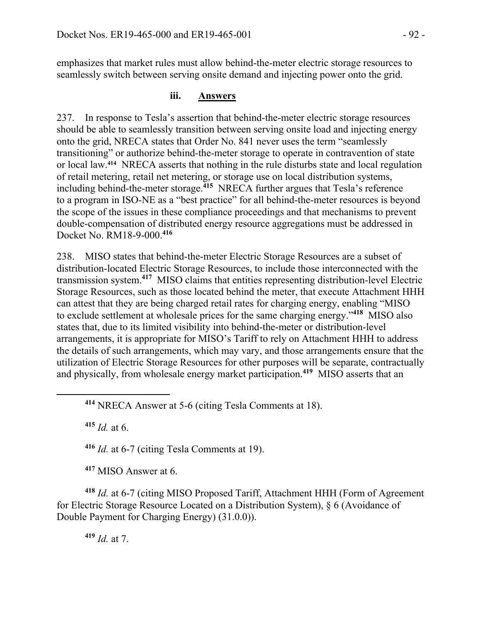emphasizes that market rules must allow behind-the-meter electric storage resources to seamlessly switch between serving onsite demand and injecting power onto the grid.

#### **iii. Answers**

237. In response to Tesla's assertion that behind-the-meter electric storage resources should be able to seamlessly transition between serving onsite load and injecting energy onto the grid, NRECA states that Order No. 841 never uses the term "seamlessly transitioning" or authorize behind-the-meter storage to operate in contravention of state or local law.**414** NRECA asserts that nothing in the rule disturbs state and local regulation of retail metering, retail net metering, or storage use on local distribution systems, including behind-the-meter storage.**<sup>415</sup>** NRECA further argues that Tesla's reference to a program in ISO-NE as a "best practice" for all behind-the-meter resources is beyond the scope of the issues in these compliance proceedings and that mechanisms to prevent double-compensation of distributed energy resource aggregations must be addressed in Docket No. RM18-9-000.**<sup>416</sup>**

238. MISO states that behind-the-meter Electric Storage Resources are a subset of distribution-located Electric Storage Resources, to include those interconnected with the transmission system.**<sup>417</sup>** MISO claims that entities representing distribution-level Electric Storage Resources, such as those located behind the meter, that execute Attachment HHH can attest that they are being charged retail rates for charging energy, enabling "MISO to exclude settlement at wholesale prices for the same charging energy."**<sup>418</sup>** MISO also states that, due to its limited visibility into behind-the-meter or distribution-level arrangements, it is appropriate for MISO's Tariff to rely on Attachment HHH to address the details of such arrangements, which may vary, and those arrangements ensure that the utilization of Electric Storage Resources for other purposes will be separate, contractually and physically, from wholesale energy market participation.**<sup>419</sup>** MISO asserts that an

**<sup>415</sup>** *Id.* at 6.

 $\overline{a}$ 

**<sup>416</sup>** *Id.* at 6-7 (citing Tesla Comments at 19).

**<sup>417</sup>** MISO Answer at 6.

**<sup>418</sup>** *Id.* at 6-7 (citing MISO Proposed Tariff, Attachment HHH (Form of Agreement for Electric Storage Resource Located on a Distribution System), § 6 (Avoidance of Double Payment for Charging Energy) (31.0.0)).

**<sup>419</sup>** *Id.* at 7.

**<sup>414</sup>** NRECA Answer at 5-6 (citing Tesla Comments at 18).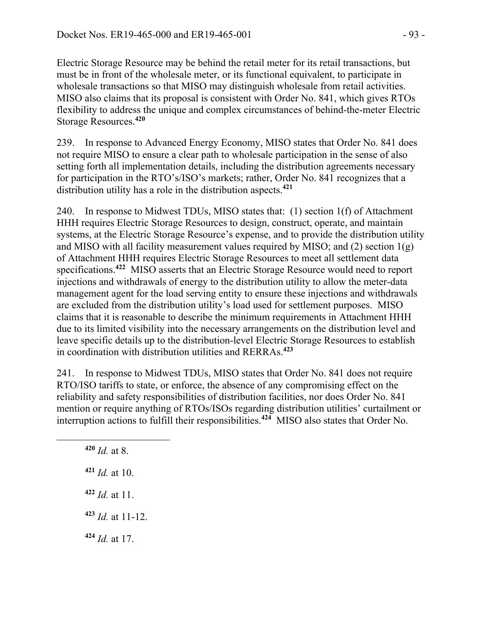Electric Storage Resource may be behind the retail meter for its retail transactions, but must be in front of the wholesale meter, or its functional equivalent, to participate in wholesale transactions so that MISO may distinguish wholesale from retail activities. MISO also claims that its proposal is consistent with Order No. 841, which gives RTOs flexibility to address the unique and complex circumstances of behind-the-meter Electric Storage Resources.**<sup>420</sup>**

239. In response to Advanced Energy Economy, MISO states that Order No. 841 does not require MISO to ensure a clear path to wholesale participation in the sense of also setting forth all implementation details, including the distribution agreements necessary for participation in the RTO's/ISO's markets; rather, Order No. 841 recognizes that a distribution utility has a role in the distribution aspects.**<sup>421</sup>**

240. In response to Midwest TDUs, MISO states that: (1) section 1(f) of Attachment HHH requires Electric Storage Resources to design, construct, operate, and maintain systems, at the Electric Storage Resource's expense, and to provide the distribution utility and MISO with all facility measurement values required by MISO; and  $(2)$  section  $1(g)$ of Attachment HHH requires Electric Storage Resources to meet all settlement data specifications.**<sup>422</sup>** MISO asserts that an Electric Storage Resource would need to report injections and withdrawals of energy to the distribution utility to allow the meter-data management agent for the load serving entity to ensure these injections and withdrawals are excluded from the distribution utility's load used for settlement purposes. MISO claims that it is reasonable to describe the minimum requirements in Attachment HHH due to its limited visibility into the necessary arrangements on the distribution level and leave specific details up to the distribution-level Electric Storage Resources to establish in coordination with distribution utilities and RERRAs.**<sup>423</sup>**

241. In response to Midwest TDUs, MISO states that Order No. 841 does not require RTO/ISO tariffs to state, or enforce, the absence of any compromising effect on the reliability and safety responsibilities of distribution facilities, nor does Order No. 841 mention or require anything of RTOs/ISOs regarding distribution utilities' curtailment or interruption actions to fulfill their responsibilities.**<sup>424</sup>** MISO also states that Order No.

 *Id.* at 8. *Id.* at 10. *Id.* at 11. *Id.* at 11-12. *Id.* at 17.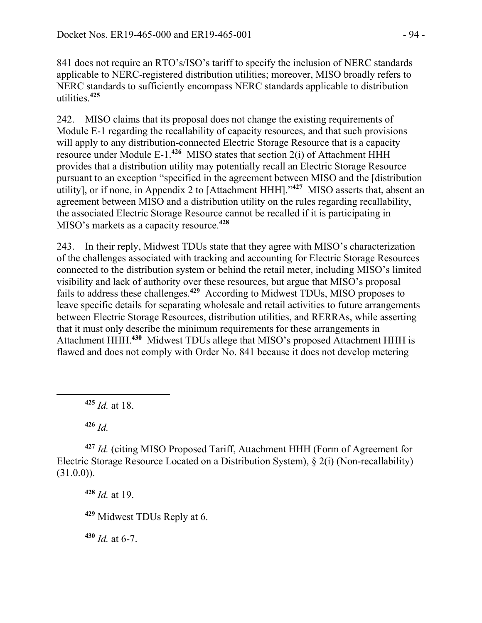841 does not require an RTO's/ISO's tariff to specify the inclusion of NERC standards applicable to NERC-registered distribution utilities; moreover, MISO broadly refers to NERC standards to sufficiently encompass NERC standards applicable to distribution utilities.**<sup>425</sup>**

242. MISO claims that its proposal does not change the existing requirements of Module E-1 regarding the recallability of capacity resources, and that such provisions will apply to any distribution-connected Electric Storage Resource that is a capacity resource under Module E-1.**<sup>426</sup>** MISO states that section 2(i) of Attachment HHH provides that a distribution utility may potentially recall an Electric Storage Resource pursuant to an exception "specified in the agreement between MISO and the [distribution utility], or if none, in Appendix 2 to [Attachment HHH]."**<sup>427</sup>** MISO asserts that, absent an agreement between MISO and a distribution utility on the rules regarding recallability, the associated Electric Storage Resource cannot be recalled if it is participating in MISO's markets as a capacity resource.**<sup>428</sup>**

243. In their reply, Midwest TDUs state that they agree with MISO's characterization of the challenges associated with tracking and accounting for Electric Storage Resources connected to the distribution system or behind the retail meter, including MISO's limited visibility and lack of authority over these resources, but argue that MISO's proposal fails to address these challenges.**<sup>429</sup>** According to Midwest TDUs, MISO proposes to leave specific details for separating wholesale and retail activities to future arrangements between Electric Storage Resources, distribution utilities, and RERRAs, while asserting that it must only describe the minimum requirements for these arrangements in Attachment HHH.**<sup>430</sup>** Midwest TDUs allege that MISO's proposed Attachment HHH is flawed and does not comply with Order No. 841 because it does not develop metering

**<sup>425</sup>** *Id.* at 18.

**<sup>426</sup>** *Id.*

 $\overline{a}$ 

**<sup>427</sup>** *Id.* (citing MISO Proposed Tariff, Attachment HHH (Form of Agreement for Electric Storage Resource Located on a Distribution System), § 2(i) (Non-recallability)  $(31.0.0)$ ).

**<sup>428</sup>** *Id.* at 19. **<sup>429</sup>** Midwest TDUs Reply at 6. **<sup>430</sup>** *Id.* at 6-7.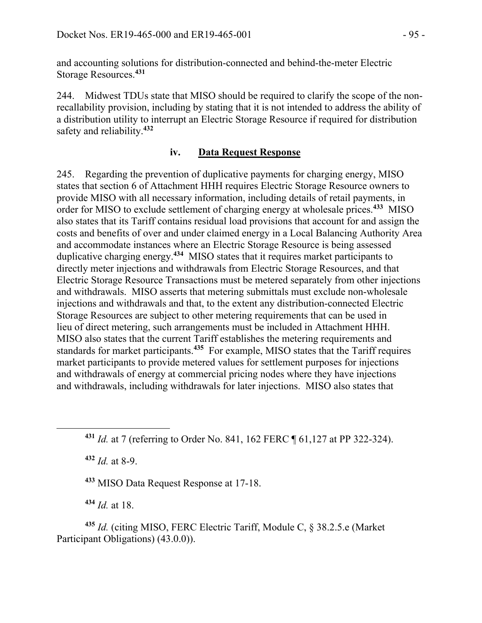and accounting solutions for distribution-connected and behind-the-meter Electric Storage Resources.**<sup>431</sup>**

244. Midwest TDUs state that MISO should be required to clarify the scope of the nonrecallability provision, including by stating that it is not intended to address the ability of a distribution utility to interrupt an Electric Storage Resource if required for distribution safety and reliability.**<sup>432</sup>**

#### **iv. Data Request Response**

245. Regarding the prevention of duplicative payments for charging energy, MISO states that section 6 of Attachment HHH requires Electric Storage Resource owners to provide MISO with all necessary information, including details of retail payments, in order for MISO to exclude settlement of charging energy at wholesale prices.**<sup>433</sup>** MISO also states that its Tariff contains residual load provisions that account for and assign the costs and benefits of over and under claimed energy in a Local Balancing Authority Area and accommodate instances where an Electric Storage Resource is being assessed duplicative charging energy.**<sup>434</sup>** MISO states that it requires market participants to directly meter injections and withdrawals from Electric Storage Resources, and that Electric Storage Resource Transactions must be metered separately from other injections and withdrawals. MISO asserts that metering submittals must exclude non-wholesale injections and withdrawals and that, to the extent any distribution-connected Electric Storage Resources are subject to other metering requirements that can be used in lieu of direct metering, such arrangements must be included in Attachment HHH. MISO also states that the current Tariff establishes the metering requirements and standards for market participants.**<sup>435</sup>** For example, MISO states that the Tariff requires market participants to provide metered values for settlement purposes for injections and withdrawals of energy at commercial pricing nodes where they have injections and withdrawals, including withdrawals for later injections. MISO also states that

**<sup>432</sup>** *Id.* at 8-9.

 $\overline{a}$ 

**<sup>433</sup>** MISO Data Request Response at 17-18.

**<sup>434</sup>** *Id.* at 18.

**<sup>435</sup>** *Id.* (citing MISO, FERC Electric Tariff, Module C, § 38.2.5.e (Market Participant Obligations) (43.0.0)).

**<sup>431</sup>** *Id.* at 7 (referring to Order No. 841, 162 FERC ¶ 61,127 at PP 322-324).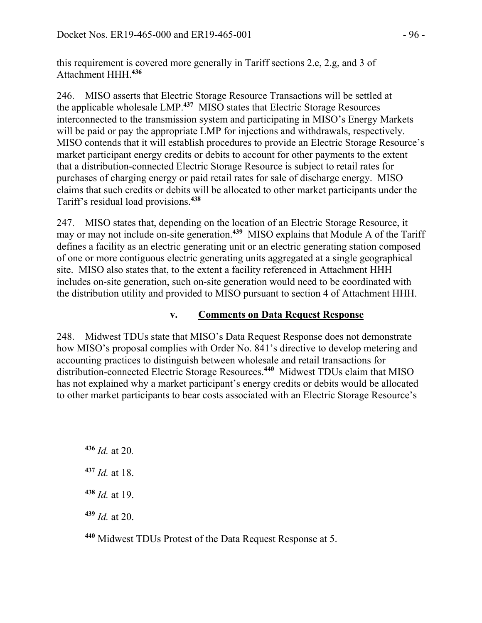this requirement is covered more generally in Tariff sections 2.e, 2.g, and 3 of Attachment HHH.**<sup>436</sup>**

246. MISO asserts that Electric Storage Resource Transactions will be settled at the applicable wholesale LMP.**<sup>437</sup>** MISO states that Electric Storage Resources interconnected to the transmission system and participating in MISO's Energy Markets will be paid or pay the appropriate LMP for injections and withdrawals, respectively. MISO contends that it will establish procedures to provide an Electric Storage Resource's market participant energy credits or debits to account for other payments to the extent that a distribution-connected Electric Storage Resource is subject to retail rates for purchases of charging energy or paid retail rates for sale of discharge energy. MISO claims that such credits or debits will be allocated to other market participants under the Tariff's residual load provisions.**<sup>438</sup>**

247. MISO states that, depending on the location of an Electric Storage Resource, it may or may not include on-site generation.**<sup>439</sup>** MISO explains that Module A of the Tariff defines a facility as an electric generating unit or an electric generating station composed of one or more contiguous electric generating units aggregated at a single geographical site. MISO also states that, to the extent a facility referenced in Attachment HHH includes on-site generation, such on-site generation would need to be coordinated with the distribution utility and provided to MISO pursuant to section 4 of Attachment HHH.

#### **v. Comments on Data Request Response**

248. Midwest TDUs state that MISO's Data Request Response does not demonstrate how MISO's proposal complies with Order No. 841's directive to develop metering and accounting practices to distinguish between wholesale and retail transactions for distribution-connected Electric Storage Resources.**<sup>440</sup>** Midwest TDUs claim that MISO has not explained why a market participant's energy credits or debits would be allocated to other market participants to bear costs associated with an Electric Storage Resource's

**<sup>436</sup>** *Id.* at 20*.*

 $\overline{a}$ 

**<sup>437</sup>** *Id.* at 18.

**<sup>438</sup>** *Id.* at 19.

**<sup>439</sup>** *Id.* at 20.

**<sup>440</sup>** Midwest TDUs Protest of the Data Request Response at 5.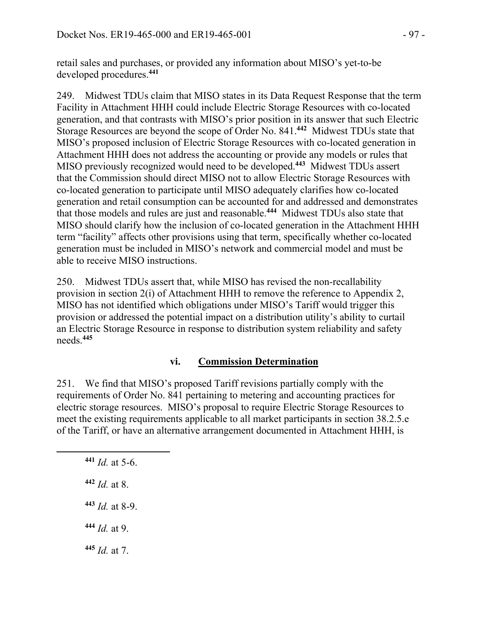retail sales and purchases, or provided any information about MISO's yet-to-be developed procedures.**<sup>441</sup>**

249. Midwest TDUs claim that MISO states in its Data Request Response that the term Facility in Attachment HHH could include Electric Storage Resources with co-located generation, and that contrasts with MISO's prior position in its answer that such Electric Storage Resources are beyond the scope of Order No. 841.**<sup>442</sup>** Midwest TDUs state that MISO's proposed inclusion of Electric Storage Resources with co-located generation in Attachment HHH does not address the accounting or provide any models or rules that MISO previously recognized would need to be developed.**<sup>443</sup>** Midwest TDUs assert that the Commission should direct MISO not to allow Electric Storage Resources with co-located generation to participate until MISO adequately clarifies how co-located generation and retail consumption can be accounted for and addressed and demonstrates that those models and rules are just and reasonable.**<sup>444</sup>** Midwest TDUs also state that MISO should clarify how the inclusion of co-located generation in the Attachment HHH term "facility" affects other provisions using that term, specifically whether co-located generation must be included in MISO's network and commercial model and must be able to receive MISO instructions.

250. Midwest TDUs assert that, while MISO has revised the non-recallability provision in section 2(i) of Attachment HHH to remove the reference to Appendix 2, MISO has not identified which obligations under MISO's Tariff would trigger this provision or addressed the potential impact on a distribution utility's ability to curtail an Electric Storage Resource in response to distribution system reliability and safety needs.**<sup>445</sup>**

#### **vi. Commission Determination**

251. We find that MISO's proposed Tariff revisions partially comply with the requirements of Order No. 841 pertaining to metering and accounting practices for electric storage resources. MISO's proposal to require Electric Storage Resources to meet the existing requirements applicable to all market participants in section 38.2.5.e of the Tariff, or have an alternative arrangement documented in Attachment HHH, is

 *Id.* at 5-6. *Id.* at 8. *Id.* at 8-9. *Id.* at 9. *Id.* at 7.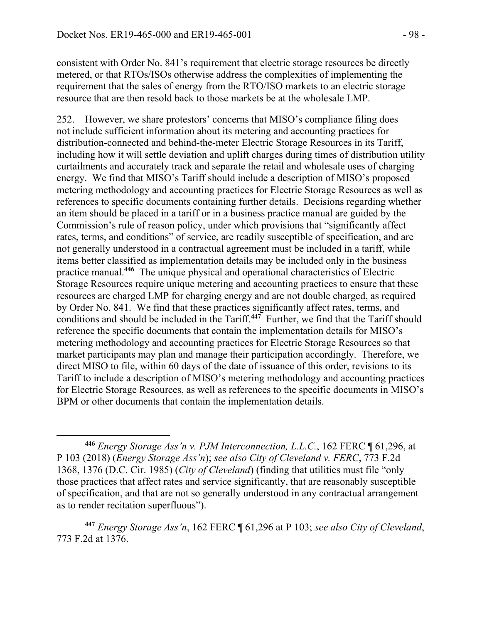consistent with Order No. 841's requirement that electric storage resources be directly metered, or that RTOs/ISOs otherwise address the complexities of implementing the requirement that the sales of energy from the RTO/ISO markets to an electric storage resource that are then resold back to those markets be at the wholesale LMP.

252. However, we share protestors' concerns that MISO's compliance filing does not include sufficient information about its metering and accounting practices for distribution-connected and behind-the-meter Electric Storage Resources in its Tariff, including how it will settle deviation and uplift charges during times of distribution utility curtailments and accurately track and separate the retail and wholesale uses of charging energy. We find that MISO's Tariff should include a description of MISO's proposed metering methodology and accounting practices for Electric Storage Resources as well as references to specific documents containing further details. Decisions regarding whether an item should be placed in a tariff or in a business practice manual are guided by the Commission's rule of reason policy, under which provisions that "significantly affect rates, terms, and conditions" of service, are readily susceptible of specification, and are not generally understood in a contractual agreement must be included in a tariff, while items better classified as implementation details may be included only in the business practice manual.**<sup>446</sup>** The unique physical and operational characteristics of Electric Storage Resources require unique metering and accounting practices to ensure that these resources are charged LMP for charging energy and are not double charged, as required by Order No. 841. We find that these practices significantly affect rates, terms, and conditions and should be included in the Tariff.**<sup>447</sup>** Further, we find that the Tariff should reference the specific documents that contain the implementation details for MISO's metering methodology and accounting practices for Electric Storage Resources so that market participants may plan and manage their participation accordingly. Therefore, we direct MISO to file, within 60 days of the date of issuance of this order, revisions to its Tariff to include a description of MISO's metering methodology and accounting practices for Electric Storage Resources, as well as references to the specific documents in MISO's BPM or other documents that contain the implementation details.

**<sup>446</sup>** *Energy Storage Ass'n v. PJM Interconnection, L.L.C.*, 162 FERC ¶ 61,296, at P 103 (2018) (*Energy Storage Ass'n*); *see also City of Cleveland v. FERC*, 773 F.2d 1368, 1376 (D.C. Cir. 1985) (*City of Cleveland*) (finding that utilities must file "only those practices that affect rates and service significantly, that are reasonably susceptible of specification, and that are not so generally understood in any contractual arrangement as to render recitation superfluous").

**<sup>447</sup>** *Energy Storage Ass'n*, 162 FERC ¶ 61,296 at P 103; *see also City of Cleveland*, 773 F.2d at 1376.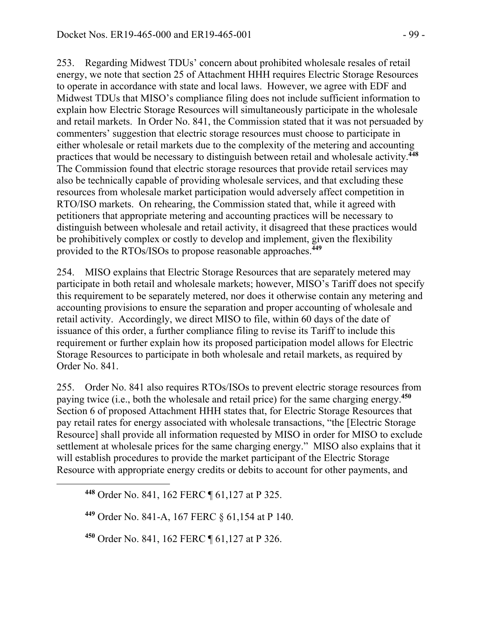253. Regarding Midwest TDUs' concern about prohibited wholesale resales of retail energy, we note that section 25 of Attachment HHH requires Electric Storage Resources to operate in accordance with state and local laws. However, we agree with EDF and Midwest TDUs that MISO's compliance filing does not include sufficient information to explain how Electric Storage Resources will simultaneously participate in the wholesale and retail markets. In Order No. 841, the Commission stated that it was not persuaded by commenters' suggestion that electric storage resources must choose to participate in either wholesale or retail markets due to the complexity of the metering and accounting practices that would be necessary to distinguish between retail and wholesale activity.**<sup>448</sup>** The Commission found that electric storage resources that provide retail services may also be technically capable of providing wholesale services, and that excluding these resources from wholesale market participation would adversely affect competition in RTO/ISO markets. On rehearing, the Commission stated that, while it agreed with petitioners that appropriate metering and accounting practices will be necessary to distinguish between wholesale and retail activity, it disagreed that these practices would be prohibitively complex or costly to develop and implement, given the flexibility provided to the RTOs/ISOs to propose reasonable approaches.**<sup>449</sup>**

254. MISO explains that Electric Storage Resources that are separately metered may participate in both retail and wholesale markets; however, MISO's Tariff does not specify this requirement to be separately metered, nor does it otherwise contain any metering and accounting provisions to ensure the separation and proper accounting of wholesale and retail activity. Accordingly, we direct MISO to file, within 60 days of the date of issuance of this order, a further compliance filing to revise its Tariff to include this requirement or further explain how its proposed participation model allows for Electric Storage Resources to participate in both wholesale and retail markets, as required by Order No. 841.

255. Order No. 841 also requires RTOs/ISOs to prevent electric storage resources from paying twice (i.e., both the wholesale and retail price) for the same charging energy.**<sup>450</sup>** Section 6 of proposed Attachment HHH states that, for Electric Storage Resources that pay retail rates for energy associated with wholesale transactions, "the [Electric Storage Resource] shall provide all information requested by MISO in order for MISO to exclude settlement at wholesale prices for the same charging energy." MISO also explains that it will establish procedures to provide the market participant of the Electric Storage Resource with appropriate energy credits or debits to account for other payments, and

**<sup>448</sup>** Order No. 841, 162 FERC ¶ 61,127 at P 325.

 $\overline{a}$ 

**<sup>449</sup>** Order No. 841-A, 167 FERC § 61,154 at P 140.

**<sup>450</sup>** Order No. 841, 162 FERC ¶ 61,127 at P 326.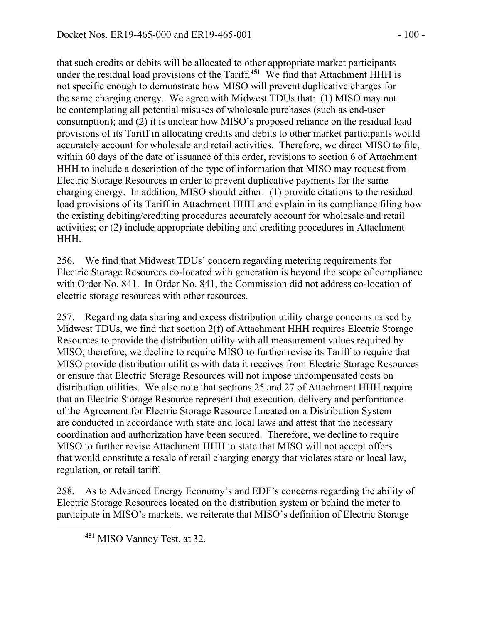that such credits or debits will be allocated to other appropriate market participants under the residual load provisions of the Tariff.**<sup>451</sup>** We find that Attachment HHH is not specific enough to demonstrate how MISO will prevent duplicative charges for the same charging energy. We agree with Midwest TDUs that: (1) MISO may not be contemplating all potential misuses of wholesale purchases (such as end-user consumption); and (2) it is unclear how MISO's proposed reliance on the residual load provisions of its Tariff in allocating credits and debits to other market participants would accurately account for wholesale and retail activities. Therefore, we direct MISO to file, within 60 days of the date of issuance of this order, revisions to section 6 of Attachment HHH to include a description of the type of information that MISO may request from Electric Storage Resources in order to prevent duplicative payments for the same charging energy. In addition, MISO should either: (1) provide citations to the residual load provisions of its Tariff in Attachment HHH and explain in its compliance filing how the existing debiting/crediting procedures accurately account for wholesale and retail activities; or (2) include appropriate debiting and crediting procedures in Attachment HHH.

256. We find that Midwest TDUs' concern regarding metering requirements for Electric Storage Resources co-located with generation is beyond the scope of compliance with Order No. 841. In Order No. 841, the Commission did not address co-location of electric storage resources with other resources.

257. Regarding data sharing and excess distribution utility charge concerns raised by Midwest TDUs, we find that section 2(f) of Attachment HHH requires Electric Storage Resources to provide the distribution utility with all measurement values required by MISO; therefore, we decline to require MISO to further revise its Tariff to require that MISO provide distribution utilities with data it receives from Electric Storage Resources or ensure that Electric Storage Resources will not impose uncompensated costs on distribution utilities. We also note that sections 25 and 27 of Attachment HHH require that an Electric Storage Resource represent that execution, delivery and performance of the Agreement for Electric Storage Resource Located on a Distribution System are conducted in accordance with state and local laws and attest that the necessary coordination and authorization have been secured. Therefore, we decline to require MISO to further revise Attachment HHH to state that MISO will not accept offers that would constitute a resale of retail charging energy that violates state or local law, regulation, or retail tariff.

258. As to Advanced Energy Economy's and EDF's concerns regarding the ability of Electric Storage Resources located on the distribution system or behind the meter to participate in MISO's markets, we reiterate that MISO's definition of Electric Storage

**<sup>451</sup>** MISO Vannoy Test. at 32.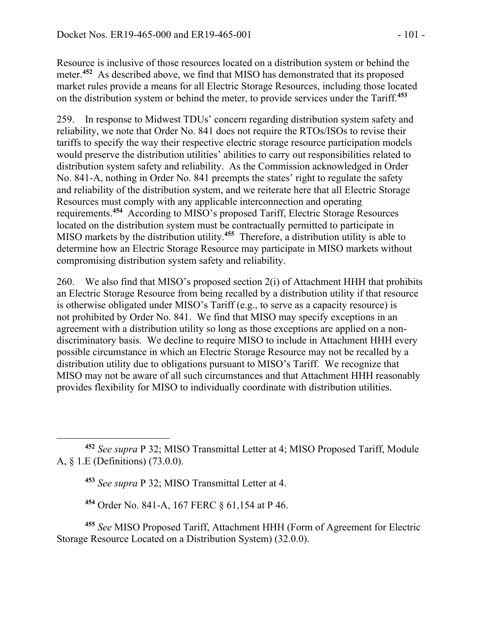Resource is inclusive of those resources located on a distribution system or behind the meter.**<sup>452</sup>** As described above, we find that MISO has demonstrated that its proposed market rules provide a means for all Electric Storage Resources, including those located on the distribution system or behind the meter, to provide services under the Tariff.**<sup>453</sup>**

259. In response to Midwest TDUs' concern regarding distribution system safety and reliability, we note that Order No. 841 does not require the RTOs/ISOs to revise their tariffs to specify the way their respective electric storage resource participation models would preserve the distribution utilities' abilities to carry out responsibilities related to distribution system safety and reliability. As the Commission acknowledged in Order No. 841-A, nothing in Order No. 841 preempts the states' right to regulate the safety and reliability of the distribution system, and we reiterate here that all Electric Storage Resources must comply with any applicable interconnection and operating requirements.**<sup>454</sup>** According to MISO's proposed Tariff, Electric Storage Resources located on the distribution system must be contractually permitted to participate in MISO markets by the distribution utility.**<sup>455</sup>** Therefore, a distribution utility is able to determine how an Electric Storage Resource may participate in MISO markets without compromising distribution system safety and reliability.

260. We also find that MISO's proposed section 2(i) of Attachment HHH that prohibits an Electric Storage Resource from being recalled by a distribution utility if that resource is otherwise obligated under MISO's Tariff (e.g., to serve as a capacity resource) is not prohibited by Order No. 841. We find that MISO may specify exceptions in an agreement with a distribution utility so long as those exceptions are applied on a nondiscriminatory basis. We decline to require MISO to include in Attachment HHH every possible circumstance in which an Electric Storage Resource may not be recalled by a distribution utility due to obligations pursuant to MISO's Tariff. We recognize that MISO may not be aware of all such circumstances and that Attachment HHH reasonably provides flexibility for MISO to individually coordinate with distribution utilities.

**<sup>453</sup>** *See supra* P 32; MISO Transmittal Letter at 4.

 $\overline{a}$ 

**<sup>454</sup>** Order No. 841-A, 167 FERC § 61,154 at P 46.

**<sup>455</sup>** *See* MISO Proposed Tariff, Attachment HHH (Form of Agreement for Electric Storage Resource Located on a Distribution System) (32.0.0).

**<sup>452</sup>** *See supra* P 32; MISO Transmittal Letter at 4; MISO Proposed Tariff, Module A, § 1.E (Definitions) (73.0.0).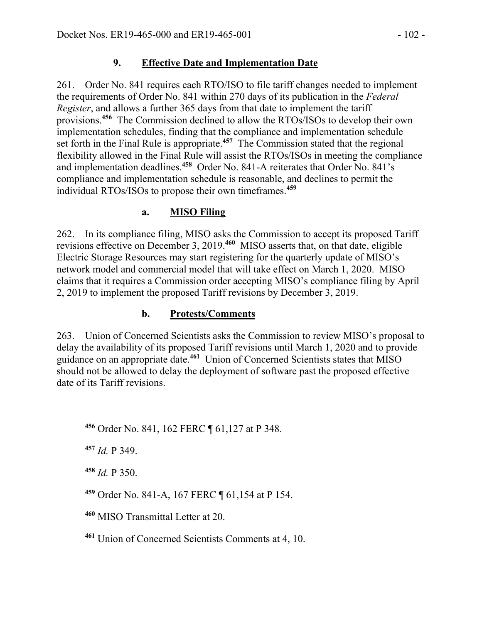# **9. Effective Date and Implementation Date**

261. Order No. 841 requires each RTO/ISO to file tariff changes needed to implement the requirements of Order No. 841 within 270 days of its publication in the *Federal Register*, and allows a further 365 days from that date to implement the tariff provisions.**<sup>456</sup>** The Commission declined to allow the RTOs/ISOs to develop their own implementation schedules, finding that the compliance and implementation schedule set forth in the Final Rule is appropriate.**<sup>457</sup>** The Commission stated that the regional flexibility allowed in the Final Rule will assist the RTOs/ISOs in meeting the compliance and implementation deadlines.**<sup>458</sup>** Order No. 841-A reiterates that Order No. 841's compliance and implementation schedule is reasonable, and declines to permit the individual RTOs/ISOs to propose their own timeframes.**<sup>459</sup>**

## **a. MISO Filing**

262. In its compliance filing, MISO asks the Commission to accept its proposed Tariff revisions effective on December 3, 2019.**<sup>460</sup>** MISO asserts that, on that date, eligible Electric Storage Resources may start registering for the quarterly update of MISO's network model and commercial model that will take effect on March 1, 2020. MISO claims that it requires a Commission order accepting MISO's compliance filing by April 2, 2019 to implement the proposed Tariff revisions by December 3, 2019.

## **b. Protests/Comments**

263. Union of Concerned Scientists asks the Commission to review MISO's proposal to delay the availability of its proposed Tariff revisions until March 1, 2020 and to provide guidance on an appropriate date.**<sup>461</sup>** Union of Concerned Scientists states that MISO should not be allowed to delay the deployment of software past the proposed effective date of its Tariff revisions.

**<sup>456</sup>** Order No. 841, 162 FERC ¶ 61,127 at P 348.

**<sup>457</sup>** *Id.* P 349.

 $\overline{a}$ 

**<sup>458</sup>** *Id.* P 350.

**<sup>459</sup>** Order No. 841-A, 167 FERC ¶ 61,154 at P 154.

**<sup>460</sup>** MISO Transmittal Letter at 20.

**<sup>461</sup>** Union of Concerned Scientists Comments at 4, 10.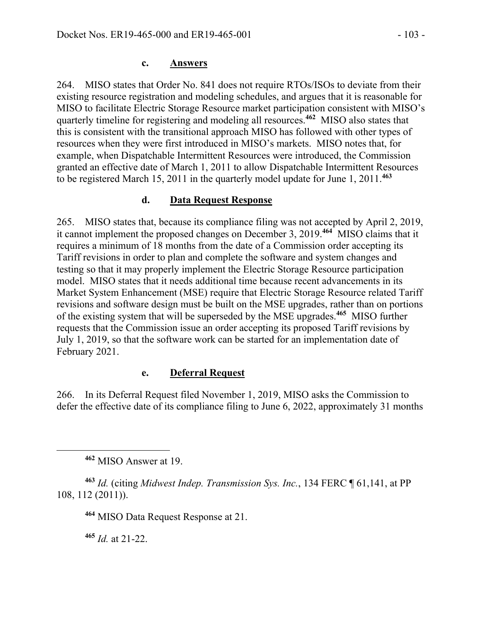264. MISO states that Order No. 841 does not require RTOs/ISOs to deviate from their existing resource registration and modeling schedules, and argues that it is reasonable for MISO to facilitate Electric Storage Resource market participation consistent with MISO's quarterly timeline for registering and modeling all resources.**<sup>462</sup>** MISO also states that this is consistent with the transitional approach MISO has followed with other types of resources when they were first introduced in MISO's markets. MISO notes that, for example, when Dispatchable Intermittent Resources were introduced, the Commission granted an effective date of March 1, 2011 to allow Dispatchable Intermittent Resources to be registered March 15, 2011 in the quarterly model update for June 1, 2011.**<sup>463</sup>**

## **d. Data Request Response**

265. MISO states that, because its compliance filing was not accepted by April 2, 2019, it cannot implement the proposed changes on December 3, 2019.**<sup>464</sup>** MISO claims that it requires a minimum of 18 months from the date of a Commission order accepting its Tariff revisions in order to plan and complete the software and system changes and testing so that it may properly implement the Electric Storage Resource participation model. MISO states that it needs additional time because recent advancements in its Market System Enhancement (MSE) require that Electric Storage Resource related Tariff revisions and software design must be built on the MSE upgrades, rather than on portions of the existing system that will be superseded by the MSE upgrades.**<sup>465</sup>** MISO further requests that the Commission issue an order accepting its proposed Tariff revisions by July 1, 2019, so that the software work can be started for an implementation date of February 2021.

## **e. Deferral Request**

266. In its Deferral Request filed November 1, 2019, MISO asks the Commission to defer the effective date of its compliance filing to June 6, 2022, approximately 31 months

**<sup>462</sup>** MISO Answer at 19.

**<sup>463</sup>** *Id.* (citing *Midwest Indep. Transmission Sys. Inc.*, 134 FERC ¶ 61,141, at PP 108, 112 (2011)).

**<sup>464</sup>** MISO Data Request Response at 21.

**<sup>465</sup>** *Id.* at 21-22.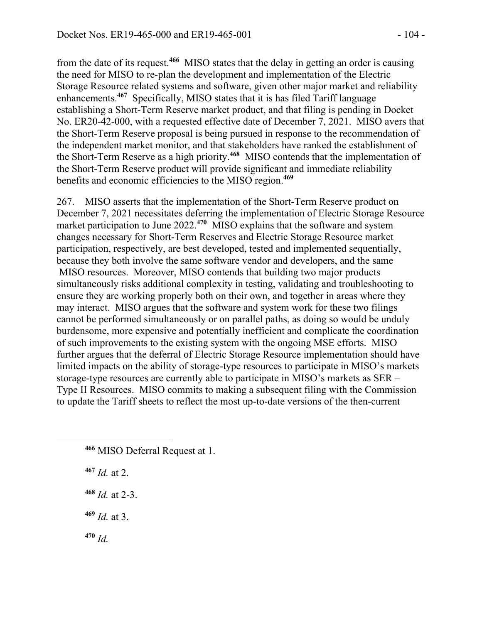from the date of its request.**<sup>466</sup>** MISO states that the delay in getting an order is causing the need for MISO to re-plan the development and implementation of the Electric Storage Resource related systems and software, given other major market and reliability enhancements.**<sup>467</sup>** Specifically, MISO states that it is has filed Tariff language establishing a Short-Term Reserve market product, and that filing is pending in Docket No. ER20-42-000, with a requested effective date of December 7, 2021. MISO avers that the Short-Term Reserve proposal is being pursued in response to the recommendation of the independent market monitor, and that stakeholders have ranked the establishment of the Short-Term Reserve as a high priority.**<sup>468</sup>** MISO contends that the implementation of the Short-Term Reserve product will provide significant and immediate reliability benefits and economic efficiencies to the MISO region.**<sup>469</sup>**

267. MISO asserts that the implementation of the Short-Term Reserve product on December 7, 2021 necessitates deferring the implementation of Electric Storage Resource market participation to June 2022.**<sup>470</sup>** MISO explains that the software and system changes necessary for Short-Term Reserves and Electric Storage Resource market participation, respectively, are best developed, tested and implemented sequentially, because they both involve the same software vendor and developers, and the same MISO resources. Moreover, MISO contends that building two major products simultaneously risks additional complexity in testing, validating and troubleshooting to ensure they are working properly both on their own, and together in areas where they may interact. MISO argues that the software and system work for these two filings cannot be performed simultaneously or on parallel paths, as doing so would be unduly burdensome, more expensive and potentially inefficient and complicate the coordination of such improvements to the existing system with the ongoing MSE efforts. MISO further argues that the deferral of Electric Storage Resource implementation should have limited impacts on the ability of storage-type resources to participate in MISO's markets storage-type resources are currently able to participate in MISO's markets as SER – Type II Resources. MISO commits to making a subsequent filing with the Commission to update the Tariff sheets to reflect the most up-to-date versions of the then-current

- **<sup>466</sup>** MISO Deferral Request at 1.
- **<sup>467</sup>** *Id.* at 2.

- **<sup>468</sup>** *Id.* at 2-3.
- **<sup>469</sup>** *Id.* at 3.
- **<sup>470</sup>** *Id.*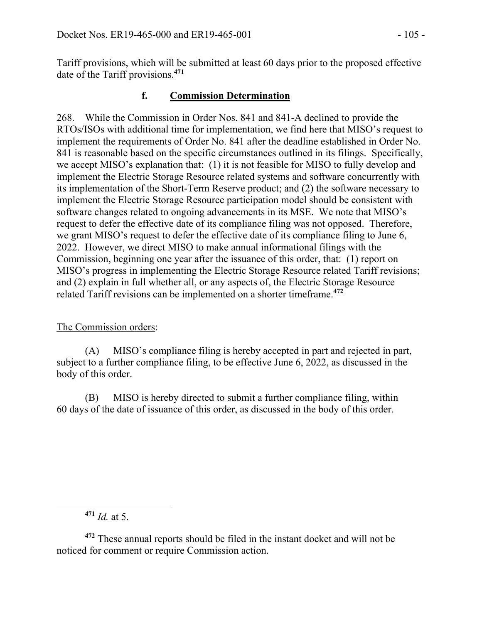Tariff provisions, which will be submitted at least 60 days prior to the proposed effective date of the Tariff provisions.**<sup>471</sup>**

### **f. Commission Determination**

268. While the Commission in Order Nos. 841 and 841-A declined to provide the RTOs/ISOs with additional time for implementation, we find here that MISO's request to implement the requirements of Order No. 841 after the deadline established in Order No. 841 is reasonable based on the specific circumstances outlined in its filings. Specifically, we accept MISO's explanation that: (1) it is not feasible for MISO to fully develop and implement the Electric Storage Resource related systems and software concurrently with its implementation of the Short-Term Reserve product; and (2) the software necessary to implement the Electric Storage Resource participation model should be consistent with software changes related to ongoing advancements in its MSE. We note that MISO's request to defer the effective date of its compliance filing was not opposed. Therefore, we grant MISO's request to defer the effective date of its compliance filing to June 6, 2022. However, we direct MISO to make annual informational filings with the Commission, beginning one year after the issuance of this order, that: (1) report on MISO's progress in implementing the Electric Storage Resource related Tariff revisions; and (2) explain in full whether all, or any aspects of, the Electric Storage Resource related Tariff revisions can be implemented on a shorter timeframe.**<sup>472</sup>**

#### The Commission orders:

(A) MISO's compliance filing is hereby accepted in part and rejected in part, subject to a further compliance filing, to be effective June 6, 2022, as discussed in the body of this order.

(B) MISO is hereby directed to submit a further compliance filing, within 60 days of the date of issuance of this order, as discussed in the body of this order.

**<sup>471</sup>** *Id.* at 5.

**<sup>472</sup>** These annual reports should be filed in the instant docket and will not be noticed for comment or require Commission action.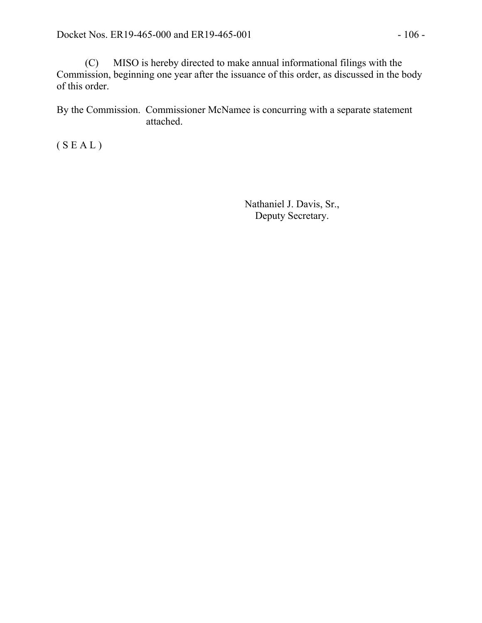(C) MISO is hereby directed to make annual informational filings with the Commission, beginning one year after the issuance of this order, as discussed in the body of this order.

By the Commission. Commissioner McNamee is concurring with a separate statement attached.

 $(S E A L)$ 

Nathaniel J. Davis, Sr., Deputy Secretary.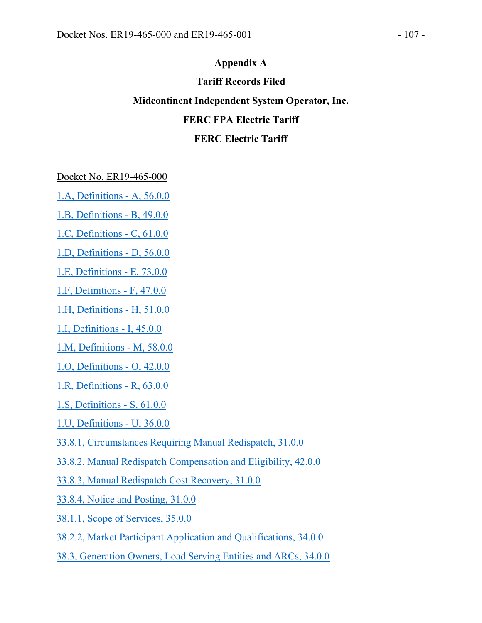### **Appendix A**

**Tariff Records Filed** 

## **Midcontinent Independent System Operator, Inc.**

## **FERC FPA Electric Tariff**

### **FERC Electric Tariff**

Docket No. ER19-465-000

1.A, Definitions - A, 56.0.0

1.B, Definitions - B, 49.0.0

1.C, Definitions - C, 61.0.0

1.D, Definitions - D, 56.0.0

1.E, Definitions - E, 73.0.0

1.F, Definitions - F, 47.0.0

1.H, Definitions - H, 51.0.0

1.I, Definitions - I, 45.0.0

1.M, Definitions - M, 58.0.0

1.O, Definitions - O, 42.0.0

1.R, Definitions - R, 63.0.0

1.S, Definitions - S, 61.0.0

1.U, Definitions - U, 36.0.0

33.8.1, Circumstances Requiring Manual Redispatch, 31.0.0

33.8.2, Manual Redispatch Compensation and Eligibility, 42.0.0

33.8.3, Manual Redispatch Cost Recovery, 31.0.0

33.8.4, Notice and Posting, 31.0.0

38.1.1, Scope of Services, 35.0.0

38.2.2, Market Participant Application and Qualifications, 34.0.0

38.3, Generation Owners, Load Serving Entities and ARCs, 34.0.0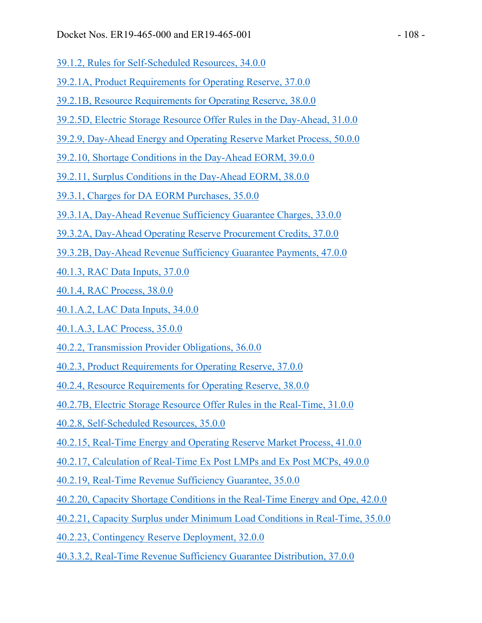- 39.1.2, Rules for Self-Scheduled Resources, 34.0.0
- 39.2.1A, Product Requirements for Operating Reserve, 37.0.0
- 39.2.1B, Resource Requirements for Operating Reserve, 38.0.0
- 39.2.5D, Electric Storage Resource Offer Rules in the Day-Ahead, 31.0.0
- 39.2.9, Day-Ahead Energy and Operating Reserve Market Process, 50.0.0
- 39.2.10, Shortage Conditions in the Day-Ahead EORM, 39.0.0
- 39.2.11, Surplus Conditions in the Day-Ahead EORM, 38.0.0
- 39.3.1, Charges for DA EORM Purchases, 35.0.0
- 39.3.1A, Day-Ahead Revenue Sufficiency Guarantee Charges, 33.0.0
- 39.3.2A, Day-Ahead Operating Reserve Procurement Credits, 37.0.0
- 39.3.2B, Day-Ahead Revenue Sufficiency Guarantee Payments, 47.0.0
- 40.1.3, RAC Data Inputs, 37.0.0
- 40.1.4, RAC Process, 38.0.0
- 40.1.A.2, LAC Data Inputs, 34.0.0
- 40.1.A.3, LAC Process, 35.0.0
- 40.2.2, Transmission Provider Obligations, 36.0.0
- 40.2.3, Product Requirements for Operating Reserve, 37.0.0
- 40.2.4, Resource Requirements for Operating Reserve, 38.0.0
- 40.2.7B, Electric Storage Resource Offer Rules in the Real-Time, 31.0.0
- 40.2.8, Self-Scheduled Resources, 35.0.0
- 40.2.15, Real-Time Energy and Operating Reserve Market Process, 41.0.0
- 40.2.17, Calculation of Real-Time Ex Post LMPs and Ex Post MCPs, 49.0.0
- 40.2.19, Real-Time Revenue Sufficiency Guarantee, 35.0.0
- 40.2.20, Capacity Shortage Conditions in the Real-Time Energy and Ope, 42.0.0
- 40.2.21, Capacity Surplus under Minimum Load Conditions in Real-Time, 35.0.0
- 40.2.23, Contingency Reserve Deployment, 32.0.0
- 40.3.3.2, Real-Time Revenue Sufficiency Guarantee Distribution, 37.0.0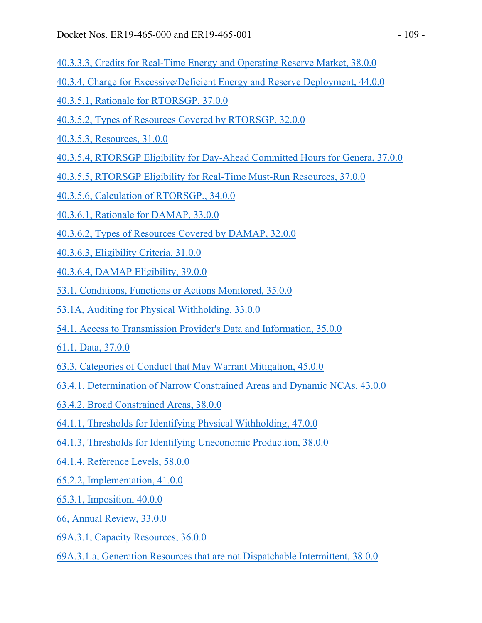- 40.3.3.3, Credits for Real-Time Energy and Operating Reserve Market, 38.0.0
- 40.3.4, Charge for Excessive/Deficient Energy and Reserve Deployment, 44.0.0
- 40.3.5.1, Rationale for RTORSGP, 37.0.0
- 40.3.5.2, Types of Resources Covered by RTORSGP, 32.0.0
- 40.3.5.3, Resources, 31.0.0
- 40.3.5.4, RTORSGP Eligibility for Day-Ahead Committed Hours for Genera, 37.0.0
- 40.3.5.5, RTORSGP Eligibility for Real-Time Must-Run Resources, 37.0.0
- 40.3.5.6, Calculation of RTORSGP., 34.0.0
- 40.3.6.1, Rationale for DAMAP, 33.0.0
- 40.3.6.2, Types of Resources Covered by DAMAP, 32.0.0
- 40.3.6.3, Eligibility Criteria, 31.0.0
- 40.3.6.4, DAMAP Eligibility, 39.0.0
- 53.1, Conditions, Functions or Actions Monitored, 35.0.0
- 53.1A, Auditing for Physical Withholding, 33.0.0
- 54.1, Access to Transmission Provider's Data and Information, 35.0.0
- 61.1, Data, 37.0.0
- 63.3, Categories of Conduct that May Warrant Mitigation, 45.0.0
- 63.4.1, Determination of Narrow Constrained Areas and Dynamic NCAs, 43.0.0
- 63.4.2, Broad Constrained Areas, 38.0.0
- 64.1.1, Thresholds for Identifying Physical Withholding, 47.0.0
- 64.1.3, Thresholds for Identifying Uneconomic Production, 38.0.0
- 64.1.4, Reference Levels, 58.0.0
- 65.2.2, Implementation, 41.0.0
- 65.3.1, Imposition, 40.0.0
- 66, Annual Review, 33.0.0
- 69A.3.1, Capacity Resources, 36.0.0
- 69A.3.1.a, Generation Resources that are not Dispatchable Intermittent, 38.0.0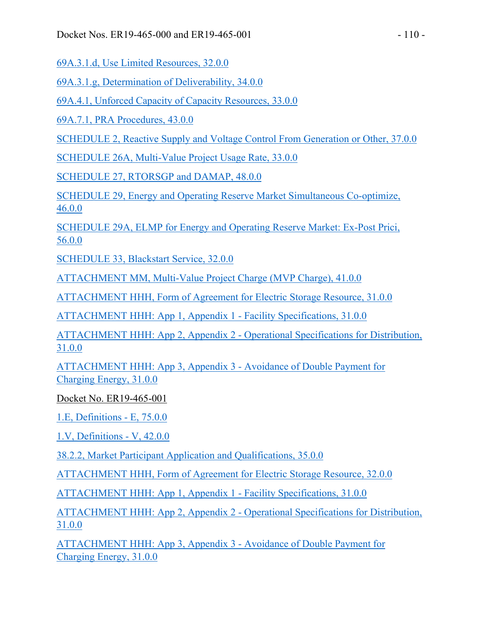69A.3.1.d, Use Limited Resources, 32.0.0

69A.3.1.g, Determination of Deliverability, 34.0.0

69A.4.1, Unforced Capacity of Capacity Resources, 33.0.0

69A.7.1, PRA Procedures, 43.0.0

SCHEDULE 2, Reactive Supply and Voltage Control From Generation or Other, 37.0.0

SCHEDULE 26A, Multi-Value Project Usage Rate, 33.0.0

SCHEDULE 27, RTORSGP and DAMAP, 48.0.0

SCHEDULE 29, Energy and Operating Reserve Market Simultaneous Co-optimize, 46.0.0

SCHEDULE 29A, ELMP for Energy and Operating Reserve Market: Ex-Post Prici, 56.0.0

SCHEDULE 33, Blackstart Service, 32.0.0

ATTACHMENT MM, Multi-Value Project Charge (MVP Charge), 41.0.0

ATTACHMENT HHH, Form of Agreement for Electric Storage Resource, 31.0.0

ATTACHMENT HHH: App 1, Appendix 1 - Facility Specifications, 31.0.0

ATTACHMENT HHH: App 2, Appendix 2 - Operational Specifications for Distribution, 31.0.0

ATTACHMENT HHH: App 3, Appendix 3 - Avoidance of Double Payment for Charging Energy, 31.0.0

Docket No. ER19-465-001

1.E, Definitions - E, 75.0.0

1.V, Definitions - V, 42.0.0

38.2.2, Market Participant Application and Qualifications, 35.0.0

ATTACHMENT HHH, Form of Agreement for Electric Storage Resource, 32.0.0

ATTACHMENT HHH: App 1, Appendix 1 - Facility Specifications, 31.0.0

ATTACHMENT HHH: App 2, Appendix 2 - Operational Specifications for Distribution, 31.0.0

ATTACHMENT HHH: App 3, Appendix 3 - Avoidance of Double Payment for Charging Energy, 31.0.0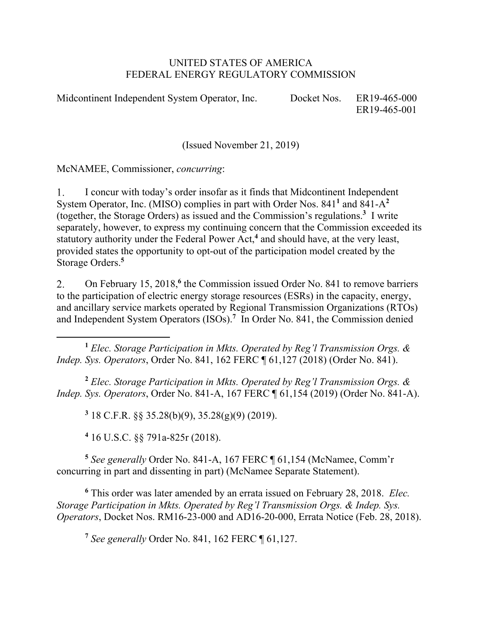## UNITED STATES OF AMERICA FEDERAL ENERGY REGULATORY COMMISSION

Midcontinent Independent System Operator, Inc. Docket Nos. ER19-465-000

ER19-465-001

(Issued November 21, 2019)

McNAMEE, Commissioner, *concurring*:

 $1<sub>1</sub>$ I concur with today's order insofar as it finds that Midcontinent Independent System Operator, Inc. (MISO) complies in part with Order Nos. 841**<sup>1</sup>** and 841-A**<sup>2</sup>** (together, the Storage Orders) as issued and the Commission's regulations.**<sup>3</sup>** I write separately, however, to express my continuing concern that the Commission exceeded its statutory authority under the Federal Power Act,**<sup>4</sup>** and should have, at the very least, provided states the opportunity to opt-out of the participation model created by the Storage Orders.**<sup>5</sup>**

On February 15, 2018,<sup>6</sup> the Commission issued Order No. 841 to remove barriers  $2.$ to the participation of electric energy storage resources (ESRs) in the capacity, energy, and ancillary service markets operated by Regional Transmission Organizations (RTOs) and Independent System Operators (ISOs).**<sup>7</sup>** In Order No. 841, the Commission denied

**<sup>1</sup>** *Elec. Storage Participation in Mkts. Operated by Reg'l Transmission Orgs. & Indep. Sys. Operators*, Order No. 841, 162 FERC ¶ 61,127 (2018) (Order No. 841).

**<sup>2</sup>** *Elec. Storage Participation in Mkts. Operated by Reg'l Transmission Orgs. & Indep. Sys. Operators*, Order No. 841-A, 167 FERC ¶ 61,154 (2019) (Order No. 841-A).

**3** 18 C.F.R. §§ 35.28(b)(9), 35.28(g)(9) (2019).

**4** 16 U.S.C. §§ 791a-825r (2018).

 $\overline{a}$ 

**<sup>5</sup>** *See generally* Order No. 841-A, 167 FERC ¶ 61,154 (McNamee, Comm'r concurring in part and dissenting in part) (McNamee Separate Statement).

**6** This order was later amended by an errata issued on February 28, 2018. *Elec. Storage Participation in Mkts. Operated by Reg'l Transmission Orgs. & Indep. Sys. Operators*, Docket Nos. RM16-23-000 and AD16-20-000, Errata Notice (Feb. 28, 2018).

**<sup>7</sup>** *See generally* Order No. 841, 162 FERC ¶ 61,127.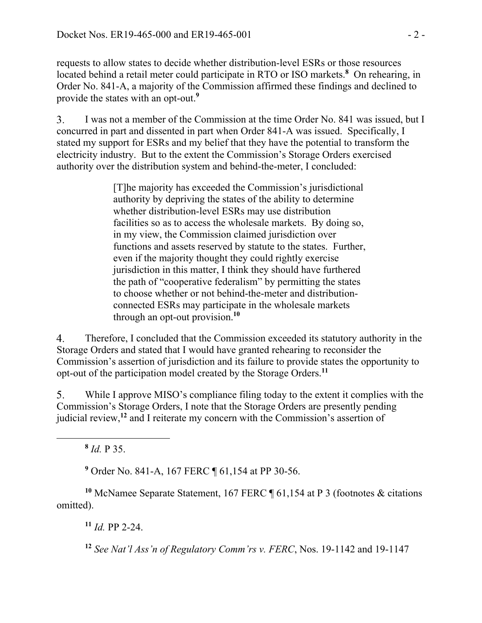requests to allow states to decide whether distribution-level ESRs or those resources located behind a retail meter could participate in RTO or ISO markets.<sup>8</sup> On rehearing, in Order No. 841-A, a majority of the Commission affirmed these findings and declined to provide the states with an opt-out.**<sup>9</sup>**

 $3.$ I was not a member of the Commission at the time Order No. 841 was issued, but I concurred in part and dissented in part when Order 841-A was issued. Specifically, I stated my support for ESRs and my belief that they have the potential to transform the electricity industry. But to the extent the Commission's Storage Orders exercised authority over the distribution system and behind-the-meter, I concluded:

> [T]he majority has exceeded the Commission's jurisdictional authority by depriving the states of the ability to determine whether distribution-level ESRs may use distribution facilities so as to access the wholesale markets. By doing so, in my view, the Commission claimed jurisdiction over functions and assets reserved by statute to the states. Further, even if the majority thought they could rightly exercise jurisdiction in this matter, I think they should have furthered the path of "cooperative federalism" by permitting the states to choose whether or not behind-the-meter and distributionconnected ESRs may participate in the wholesale markets through an opt-out provision.**<sup>10</sup>**

 $\overline{4}$ . Therefore, I concluded that the Commission exceeded its statutory authority in the Storage Orders and stated that I would have granted rehearing to reconsider the Commission's assertion of jurisdiction and its failure to provide states the opportunity to opt-out of the participation model created by the Storage Orders.**<sup>11</sup>**

While I approve MISO's compliance filing today to the extent it complies with the 5. Commission's Storage Orders, I note that the Storage Orders are presently pending judicial review,**<sup>12</sup>** and I reiterate my concern with the Commission's assertion of

**<sup>8</sup>** *Id.* P 35.

 $\overline{a}$ 

**9** Order No. 841-A, 167 FERC ¶ 61,154 at PP 30-56.

**<sup>10</sup>** McNamee Separate Statement, 167 FERC ¶ 61,154 at P 3 (footnotes & citations omitted).

**<sup>11</sup>** *Id.* PP 2-24.

**<sup>12</sup>** *See Nat'l Ass'n of Regulatory Comm'rs v. FERC*, Nos. 19-1142 and 19-1147